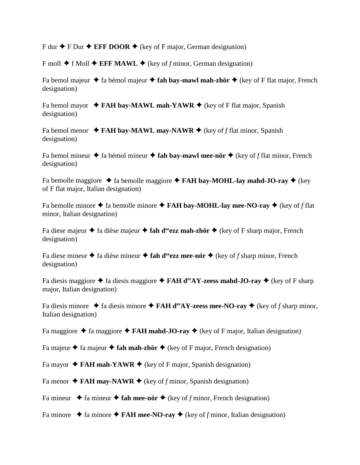$F$  dur  $\blacklozenge$  **F** Dur  $\blacklozenge$  **EFF DOOR**  $\blacklozenge$  (key of F major, German designation)

F moll  $\blacklozenge$  f Moll  $\blacklozenge$  **EFF MAWL**  $\blacklozenge$  (key of *f* minor, German designation)

Fa bemol majeur  $\triangle$  fa bémol majeur  $\triangle$  fah bay-mawl mah-zhör  $\triangle$  (key of F flat major, French designation)

Fa bemol mayor  $\triangle$  **FAH bay-MAWL mah-YAWR**  $\triangle$  (key of F flat major, Spanish designation)

Fa bemol menor  $\rightarrow$  **FAH bay-MAWL may-NAWR**  $\rightarrow$  (key of *f* flat minor, Spanish designation)

Fa bemol mineur  $\triangle$  fa bémol mineur  $\triangle$  **fah bay-mawl mee-nör**  $\triangle$  (key of *f* flat minor, French designation)

Fa bemolle maggiore  $\triangle$  fa bemolle maggiore  $\triangle$  **FAH bay-MOHL-lay mahd-JO-ray**  $\triangle$  (key of F flat major, Italian designation)

Fa bemolle minore  $\triangle$  fa bemolle minore  $\triangle$  **FAH bay-MOHL-lay mee-NO-ray**  $\triangle$  (key of *f* flat minor, Italian designation)

Fa diese majeur  $\triangle$  fa dièse majeur  $\triangle$  fah d<sup>ee</sup>ezz mah-zhör  $\triangle$  (key of F sharp major, French designation)

Fa diese mineur  $\triangle$  fa dièse mineur  $\triangle$  fah d<sup>ee</sup>ezz mee-nör  $\triangle$  (key of *f* sharp minor, French designation)

Fa diesis maggiore  $\triangle$  fa diesis maggiore  $\triangle$  **FAH d<sup>ee</sup>AY-zeess mahd-JO-ray**  $\triangle$  (key of F sharp major, Italian designation)

Fa diesis minore  $\triangle$  fa diesis minore  $\triangle$  **FAH d<sup>ee</sup>AY-zeess mee-NO-ray**  $\triangle$  (key of *f* sharp minor, Italian designation)

Fa maggiore  $\triangle$  fa maggiore  $\triangle$  **FAH mahd-JO-ray**  $\triangle$  (key of F major, Italian designation)

Fa majeur  $\triangle$  fa majeur  $\triangle$  fah mah-zhör  $\triangle$  (key of F major, French designation)

Fa mayor  $\triangle$  **FAH mah-YAWR**  $\triangle$  (key of F major, Spanish designation)

Fa menor  $\triangle$  **FAH may-NAWR**  $\triangle$  (key of *f* minor, Spanish designation)

Fa mineur  $\triangle$  fa mineur  $\triangle$  fah mee-nör  $\triangle$  (key of *f* minor, French designation)

Fa minore  $\triangle$  fa minore  $\triangle$  **FAH mee-NO-ray**  $\triangle$  (key of *f* minor, Italian designation)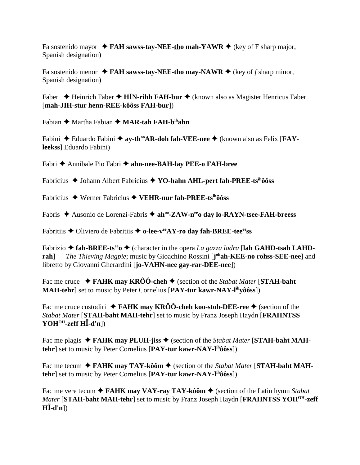Fa sostenido mayor  $\triangle$  **FAH sawss-tay-NEE-tho mah-YAWR**  $\triangle$  (key of F sharp major, Spanish designation)

Fa sostenido menor  $\triangle$  **FAH sawss-tay-NEE-tho may-NAWR**  $\triangle$  (key of *f* sharp minor, Spanish designation)

Faber ◆ Heinrich Faber ◆ **H<sup>I</sup>N-rih<u>h</u> FAH-bur** ◆ (known also as Magister Henricus Faber [**mah-JIH-stur henn-REE-kôôss FAH-bur**])

Fabian  $\triangle$  Martha Fabian  $\triangle$  **MAR-tah FAH-b<sup>ih</sup>ahn** 

Fabini ◆ Eduardo Fabini ◆ ay-th<sup>oo</sup>AR-doh fah-VEE-nee ◆ (known also as Felix [**FAYleekss**] Eduardo Fabini)

Fabri Annibale Pio Fabri **ahn-nee-BAH-lay PEE-o FAH-bree**

Fabricius ◆ Johann Albert Fabricius ◆ YO-hahn AHL-pert fah-PREE-tsihôôss

Fabricius Werner Fabricius **VEHR-nur fah-PREE-tsihôôss**

Fabris ◆ Ausonio de Lorenzi-Fabris ◆ ah<sup>oo</sup>-ZAW-n<sup>ee</sup>o day lo-RAYN-tsee-FAH-breess

Fabritiis ◆ Oliviero de Fabritiis ◆ o-lee-v<sup>ee</sup>AY-ro day fah-BREE-tee<sup>ee</sup>ss

Fabrizio  $\triangle$  fah-BREE-ts<sup>ee</sup>  $\triangle$  (character in the opera *La gazza ladra* [lah GAHD-tsah LAHDrah] — *The Thieving Magpie*; music by Gioachino Rossini [j<sup>oh</sup>ah-KEE-no rohss-SEE-nee] and libretto by Giovanni Gherardini [**jo-VAHN-nee gay-rar-DEE-nee**])

Fac me cruce  $\rightarrow$  **FAHK may KRÔÔ-cheh**  $\rightarrow$  (section of the *Stabat Mater* [**STAH-baht MAH-tehr**] set to music by Peter Cornelius [**PAY-tur kawr-NAY-lihyôôss**])

Fac me cruce custodiri  $\rightarrow$  **FAHK may KRÔÔ-cheh koo-stoh-DEE-ree**  $\rightarrow$  (section of the *Stabat Mater* [**STAH-baht MAH-tehr**] set to music by Franz Joseph Haydn [**FRAHNTSS YOHOH-zeff H-d'n**])

Fac me plagis  $\blacklozenge$  **FAHK may PLUH-jiss**  $\blacklozenge$  (section of the *Stabat Mater* [STAH-baht MAH**tehr**] set to music by Peter Cornelius [PAY-tur kawr-NAY-l<sup>ih</sup>ôôss])

Fac me tecum  $\triangle$  **FAHK may TAY-kôôm**  $\triangle$  (section of the *Stabat Mater* [STAH-baht MAH**tehr**] set to music by Peter Cornelius [**PAY-tur kawr-NAY-lihôôss**])

Fac me vere tecum  $\triangle$  **FAHK may VAY-ray TAY-kôôm**  $\triangle$  (section of the Latin hymn *Stabat Mater* [STAH-baht MAH-tehr] set to music by Franz Joseph Haydn [FRAHNTSS YOH<sup>OH</sup>-zeff]  $H\bar{L}$ -d'n])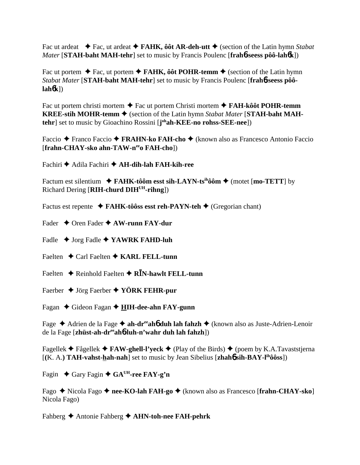Fac ut ardeat  $\blacklozenge$  Fac, ut ardeat  $\blacklozenge$  **FAHK, ôôt AR-deh-utt**  $\blacklozenge$  (section of the Latin hymn *Stabat Mater* [**STAH-baht MAH-tehr**] set to music by Francis Poulenc [**frah**6**-seess pôô-lah**6**k**])

Fac ut portem  $\blacklozenge$  Fac, ut portem  $\blacklozenge$  **FAHK, ôôt POHR-temm**  $\blacklozenge$  (section of the Latin hymn *Stabat Mater* [**STAH-baht MAH-tehr**] set to music by Francis Poulenc [**frah**6**-seess pôôlah**6**k**])

Fac ut portem christi mortem Fac ut portem Christi mortem **FAH-kôôt POHR-temm KREE-stih MOHR-temm ♦** (section of the Latin hymn *Stabat Mater* [STAH-baht MAH**tehr**] set to music by Gioachino Rossini [**j ohah-KEE-no rohss-SEE-nee**])

Faccio ◆ Franco Faccio ◆ FRAHN-ko FAH-cho ◆ (known also as Francesco Antonio Faccio [**frahn-CHAY-sko ahn-TAW-neeo FAH-cho**])

Fachiri Adila Fachiri **AH-dih-lah FAH-kih-ree**

Factum est silentium  $\rightarrow$  FAHK-tôôm esst sih-LAYN-ts<sup>ih</sup>ôôm  $\rightarrow$  (motet [mo-TETT] by Richard Dering [**RIH-churd DIHUH-rihng**])

Factus est repente **↓ FAHK-tôôss esst reh-PAYN-teh ◆** (Gregorian chant)

Fader Oren Fader **AW-runn FAY-dur**

Fadle  $\rightarrow$  Jorg Fadle  $\rightarrow$  **YAWRK FAHD-luh** 

Faelten **→** Carl Faelten ◆ **KARL FELL-tunn** 

Faelten ◆ Reinhold Faelten ◆ R**I**N-hawlt FELL-tunn

Faerber Jörg Faerber **YÖRK FEHR-pur**

Fagan ◆ Gideon Fagan ◆ HIH-dee-ahn FAY-gunn

Fage ◆ Adrien de la Fage ◆ ah-dr<sup>ee</sup>ah**6** duh lah fahzh ◆ (known also as Juste-Adrien-Lenoir de la Fage [**zhüst-ah-dreeah**6**-luh-n'wahr duh lah fahzh**])

Fagellek  $\blacklozenge$  Fågellek  $\blacklozenge$  **FAW-ghell-l'yeck**  $\blacklozenge$  (Play of the Birds)  $\blacklozenge$  (poem by K.A.Tavaststjerna  $[(K, A. )$  **TAH-vahst-hah-nah**] set to music by Jean Sibelius  $[\mathbf{zhah6\,sih\text{-}BAY\text{-}l\text{th}\hat{o}\hat{o}\text{ss}]}$ 

Fagin  $\triangle$  Gary Fagin  $\triangle$  GA<sup>UH</sup>-ree FAY-g'n

Fago ◆ Nicola Fago ◆ nee-KO-lah FAH-go ◆ (known also as Francesco [frahn-CHAY-sko] Nicola Fago)

Fahberg Antonie Fahberg **AHN-toh-nee FAH-pehrk**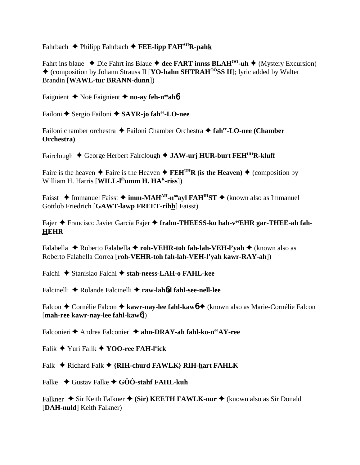Fahrbach  $\triangle$  Philipp Fahrbach  $\triangle$  FEE-lipp FAH<sup>AH</sup>R-pahk

Fahrt ins blaue  $\triangle$  Die Fahrt ins Blaue  $\triangle$  dee FART innss BLAH<sup>00</sup>-uh  $\triangle$  (Mystery Excursion) ◆ (composition by Johann Strauss II [**YO-hahn SHTRAH<sup>ôô</sup>SS II**]; lyric added by Walter Brandin [WAWL-tur BRANN-dunn])

Faignient  $\triangle$  Noë Faignient  $\triangle$  no-ay feh-n<sup>ee</sup> aho

Failoni ← Sergio Failoni ← SAYR-jo fahee-LO-nee

Failoni chamber orchestra  $\triangle$  Failoni Chamber Orchestra  $\triangle$  fah<sup>ee</sup>-LO-nee (Chamber Orchestra)

Fairclough  $\triangle$  George Herbert Fairclough  $\triangle$  JAW-urj HUR-burt FEH<sup>UH</sup>R-kluff

Faire is the heaven  $\triangle$  Faire is the Heaven  $\triangle$  FEH<sup>UH</sup>R (is the Heaven)  $\triangle$  (composition by William H. Harris [WILL-l<sup>ih</sup>umm H. HA<sup>R</sup>-riss])

Faisst  $\triangle$  Immanuel Faisst  $\triangle$  imm-MAH<sup>AH</sup>-n<sup>oo</sup>avl FAH<sup>IH</sup>ST  $\triangle$  (known also as Immanuel Gottlob Friedrich [GAWT-lawp FREET-rihh] Faisst)

Fajer → Francisco Javier García Fajer → frahn-THEESS-ko hah-veEHR gar-THEE-ah fah-**HEHR** 

Falabella  $\triangle$  Roberto Falabella  $\triangle$  roh-VEHR-toh fah-lah-VEH-l'yah  $\triangle$  (known also as Roberto Falabella Correa [roh-VEHR-toh fah-lah-VEH-l'vah kawr-RAY-ah])

Falchi ◆ Stanislao Falchi ◆ stah-neess-LAH-o FAHL-kee

Falcinelli ◆ Rolande Falcinelli ◆ raw-lahod fahl-see-nell-lee

Falcon ← Cornélie Falcon ← kawr-nay-lee fahl-kawo ← (known also as Marie-Cornélie Falcon [mah-ree kawr-nay-lee fahl-kaw6])

Falconieri  $\triangle$  Andrea Falconieri  $\triangle$  ahn-DRAY-ah fahl-ko-n<sup>ee</sup>AY-ree

Falik  $\blacklozenge$  Yuri Falik  $\blacklozenge$  YOO-ree FAH-l<sup>y</sup>ick

Falk  $\blacklozenge$  Richard Falk  $\blacklozenge$  {RIH-churd FAWLK} RIH-hart FAHLK

Falke  $\rightarrow$  Gustav Falke  $\rightarrow$  GÔÔ-stahf FAHL-kuh

Falkner  $\triangle$  Sir Keith Falkner  $\triangle$  (Sir) KEETH FAWLK-nur  $\triangle$  (known also as Sir Donald [DAH-nuld] Keith Falkner)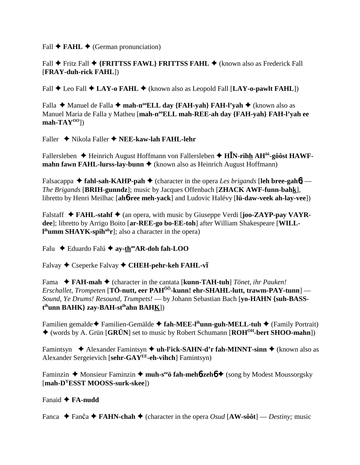Fall  $\blacklozenge$  **FAHL**  $\blacklozenge$  (German pronunciation)

Fall **◆** Fritz Fall ◆ {FRITTSS FAWL} FRITTSS FAHL ◆ (known also as Frederick Fall [**FRAY-duh-rick FAHL**])

Fall  $\blacklozenge$  Leo Fall  $\blacklozenge$  LAY-o FAHL  $\blacklozenge$  (known also as Leopold Fall [LAY-o-pawlt FAHL])

Falla **→** Manuel de Falla → mah-n<sup>oo</sup>ELL day {FAH-yah} FAH-l'yah → (known also as Manuel Maria de Falla y Matheu [mah-n<sup>oo</sup>ELL mah-REE-ah day {FAH-yah} FAH-l'yah ee **mah-TAYOO**])

Faller Nikola Faller **NEE-kaw-lah FAHL-lehr**

Fallersleben ◆ Heinrich August Hoffmann von Fallersleben ◆ H**IN-rihh AH<sup>ôô</sup>-gôôst HAWFmahn fawn FAHL-lurss-lay-bunn ♦** (known also as Heinrich August Hoffmann)

Falsacappa  $\triangle$  fahl-sah-KAHP-pah  $\triangle$  (character in the opera *Les brigands* [leh bree-gah**6**] — *The Brigands* [**BRIH-gunndz**]; music by Jacques Offenbach [**ZHACK AWF-funn-bahk**], libretto by Henri Meilhac [**ah**6**-ree meh-yack**] and Ludovic Halévy [**lü-daw-veek ah-lay-vee**])

Falstaff  $\triangle$  **FAHL-stahf**  $\triangle$  (an opera, with music by Giuseppe Verdi [**joo-ZAYP-pay VAYRdee**]; libretto by Arrigo Boito [**ar-REE-go bo-EE-toh**] after William Shakespeare [**WILLl ihumm SHAYK-spihuhr**]; also a character in the opera)

Falu **←** Eduardo Falú ← ay-th<sup>oo</sup>AR-doh fah-LOO

Falvay ◆ Cseperke Falvay ◆ CHEH-pehr-keh FAHL-v**ī** 

Fama **FAH-mah** (character in the cantata [**kunn-TAH-tuh**] *Tönet, ihr Pauken! Erschallet, Trompeten* [**TÖ-nutt, eer PAHÔÔ-kunn! ehr-SHAHL-lutt, trawm-PAY-tunn**] — *Sound, Ye Drums! Resound, Trumpets!* — by Johann Sebastian Bach [**yo-HAHN {suh-BASSt ihunn BAHK} zay-BAH-stihahn BAHK**])

Familien gemalde **←** Familien-Gemälde **← fah-MEE-l<sup>ih</sup>unn-guh-MELL-tuh ←** (Family Portrait) (words by A. Grün [**GRÜN**] set to music by Robert Schumann [**ROHOH-bert SHOO-mahn**])

Famintsyn **→** Alexander Famintsyn ◆ **uh-l<sup>y</sup>ick-SAHN-d'r fah-MINNT-sinn ◆** (known also as Alexander Sergeievich [**sehr-GAYEE-eh-vihch**] Famintsyn)

Faminzin ◆ Monsieur Faminzin ◆ muh-s<sup>ee</sup>ö fah-meh**6-zeh6 ◆** (song by Modest Moussorgsky [**mah-DYESST MOOSS-surk-skee**])

Fanaid **FA-nudd**

Fanca  $\blacklozenge$  Fanča  $\blacklozenge$  FAHN-chah  $\blacklozenge$  (character in the opera *Osud* [AW-sôôt] — *Destiny:* music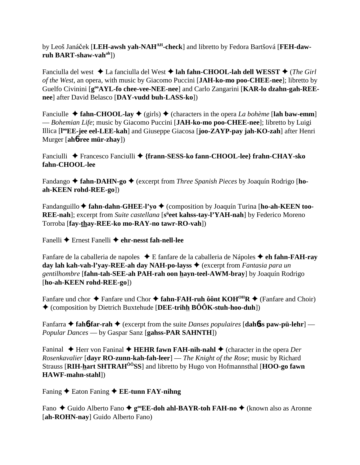by Leoš Janáček [LEH-awsh yah-NAH<sup>AH</sup>-check] and libretto by Fedora Bartšová [FEH-daw**ruh BART-shaw-vahah**])

Fanciulla del west ◆ La fanciulla del West ◆ lah fahn-CHOOL-lah dell WESST ◆ (*The Girl of the West*, an opera, with music by Giacomo Puccini [**JAH-ko-mo poo-CHEE-nee**]; libretto by Guelfo Civinini [**gooAYL-fo chee-vee-NEE-nee**] and Carlo Zangarini [**KAR-lo dzahn-gah-REEnee**] after David Belasco [**DAY-vudd buh-LASS-ko**])

Fanciulle  $\triangle$  fahn-CHOOL-lay  $\triangle$  (girls)  $\triangle$  (characters in the opera *La bohème* [lah baw-emm] — *Bohemian Life*; music by Giacomo Puccini [**JAH-ko-mo poo-CHEE-nee**]; libretto by Luigi Illica [**l ooEE-jee eel-LEE-kah**] and Giuseppe Giacosa [**joo-ZAYP-pay jah-KO-zah**] after Henri Murger [**ah**6**-ree mür-zhay**])

Fanciulli Francesco Fanciulli **{frann-SESS-ko fann-CHOOL-lee} frahn-CHAY-sko fahn-CHOOL-lee**

Fandango  $\triangle$  **fahn-DAHN-go**  $\triangle$  (excerpt from *Three Spanish Pieces* by Joaquín Rodrigo [ho**ah-KEEN rohd-REE-go**])

Fandanguillo ♦ fahn-dahn-GHEE-l'yo ♦ (composition by Joaquín Turina [ho-ah-KEEN too-**REE-nah**]; excerpt from *Suite castellana* [s<sup>ü</sup>eet kahss-tay-l'YAH-nah] by Federico Moreno Torroba [**fay-thay-REE-ko mo-RAY-no tawr-RO-vah**])

Fanelli Ernest Fanelli **ehr-nesst fah-nell-lee**

Fanfare de la caballeria de napoles ◆ E fanfare de la caballeria de Nápoles ◆ **eh fahn-FAH-ray day lah kah-vah-l'yay-REE-ah day NAH-po-layss** (excerpt from *Fantasia para un gentilhombre* [**fahn-tah-SEE-ah PAH-rah oon hayn-teel-AWM-bray**] by Joaquín Rodrigo [**ho-ah-KEEN rohd-REE-go**])

Fanfare und chor  $\triangle$  Fanfare und Chor  $\triangle$  fahn-FAH-ruh ôônt KOH<sup>OH</sup>R  $\triangle$  (Fanfare and Choir) (composition by Dietrich Buxtehude [**DEE-trihh BÔÔK-stuh-hoo-duh**])

Fanfarra  $\triangle$  fah**6**-far-rah  $\triangle$  (excerpt from the suite *Danses populaires* [dahbs paw-pü-lehr] — *Popular Dances* — by Gaspar Sanz [**gahss-PAR SAHNTH**])

Faninal  $\blacklozenge$  Herr von Faninal  $\blacklozenge$  **HEHR fawn FAH-nih-nahl**  $\blacklozenge$  (character in the opera *Der Rosenkavalier* [**dayr RO-zunn-kah-fah-leer**] — *The Knight of the Rose*; music by Richard Strauss [**RIH-hart SHTRAHÔÔSS**] and libretto by Hugo von Hofmannsthal [**HOO-go fawn HAWF-mahn-stahl**])

Faning ◆ Eaton Faning ◆ **EE-tunn FAY-nihng** 

Fano ◆ Guido Alberto Fano ◆ g<sup>oo</sup>**EE-doh ahl-BAYR-toh FAH-no** ◆ (known also as Aronne [**ah-ROHN-nay**] Guido Alberto Fano)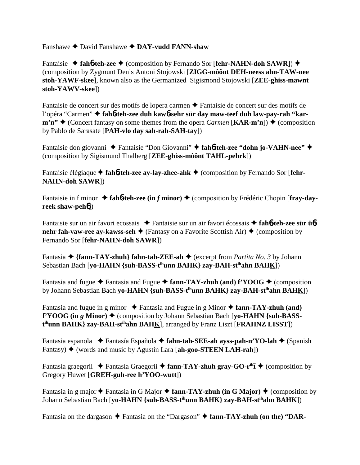Fanshawe David Fanshawe **DAY-vudd FANN-shaw**

Fantaisie ◆ fah**6-teh-zee** ◆ (composition by Fernando Sor [fehr-NAHN-doh SAWR]) ◆ (composition by Zygmunt Denis Antoni Stojowski [**ZIGG-môônt DEH-neess ahn-TAW-nee stoh-YAWF-skee**], known also as the Germanized Sigismond Stojowski [**ZEE-ghiss-mawnt stoh-YAWV-skee**])

Fantaisie de concert sur des motifs de lopera carmen  $\triangle$  Fantaisie de concert sur des motifs de l'opéra "Carmen" **fah**6**-teh-zee duh kaw**6**-sehr sür day maw-teef duh law-pay-rah "kar** $m'n''$   $\blacklozenge$  (Concert fantasy on some themes from the opera *Carmen* [**KAR-m'n**])  $\blacklozenge$  (composition by Pablo de Sarasate [**PAH-vlo day sah-rah-SAH-tay**])

Fantaisie don giovanni Fantaisie "Don Giovanni" **fah**6**-teh-zee "dohn jo-VAHN-nee"** (composition by Sigismund Thalberg [**ZEE-ghiss-môônt TAHL-pehrk**])

Fantaisie élégiaque **← fah<sup>6</sup>-teh-zee ay-lay-zhee-ahk ←** (composition by Fernando Sor [**fehr-NAHN-doh SAWR**])

Fantaisie in f minor  $\triangle$  fah**6**-teh-zee (in *f* minor)  $\triangle$  (composition by Frédéric Chopin [fray-day**reek shaw-peh**6])

Fantaisie sur un air favori ecossais Fantaisie sur un air favori écossais **fah**6**-teh-zee sür ü**6 **nehr fah-vaw-ree ay-kawss-seh**  $\blacklozenge$  (Fantasy on a Favorite Scottish Air)  $\blacklozenge$  (composition by Fernando Sor [**fehr-NAHN-doh SAWR**])

Fantasia ◆ {fann-TAY-zhuh} fahn-tah-ZEE-ah ◆ (excerpt from *Partita No. 3* by Johann Sebastian Bach [**yo-HAHN {suh-BASS-tihunn BAHK} zay-BAH-stihahn BAHK**])

Fantasia and fugue  $\triangle$  Fantasia and Fugue  $\triangle$  fann-TAY-zhuh (and) f<sup>\*</sup>YOOG  $\triangle$  (composition by Johann Sebastian Bach **yo-HAHN {suh-BASS-tihunn BAHK} zay-BAH-stihahn BAHK**])

Fantasia and fugue in g minor  $\triangle$  Fantasia and Fugue in g Minor  $\triangle$  fann-TAY-zhuh (and) **f'YOOG** (in *g* Minor) ♦ (composition by Johann Sebastian Bach [yo-HAHN {suh-BASS**t ihunn BAHK} zay-BAH-stihahn BAHK**], arranged by Franz Liszt [**FRAHNZ LISST**])

Fantasia espanola Fantasía Española **fahn-tah-SEE-ah ayss-pah-n'YO-lah** (Spanish Fantasy)  $\blacklozenge$  (words and music by Agustín Lara [ah-goo-STEEN LAH-rah])

Fantasia graegorii ◆ Fantasia Graegorii ◆ fann-TAY-zhuh gray-GO-r<sup>ih</sup> T◆ (composition by Gregory Huwet [**GREH-guh-ree h'YOO-wutt**])

Fantasia in g major  $\triangle$  Fantasia in G Major  $\triangle$  fann-TAY-zhuh (in G Major)  $\triangle$  (composition by Johann Sebastian Bach [**yo-HAHN {suh-BASS-tihunn BAHK} zay-BAH-stihahn BAHK**])

Fantasia on the dargason  $\triangle$  Fantasia on the "Dargason"  $\triangle$  fann-TAY-zhuh (on the) "DAR-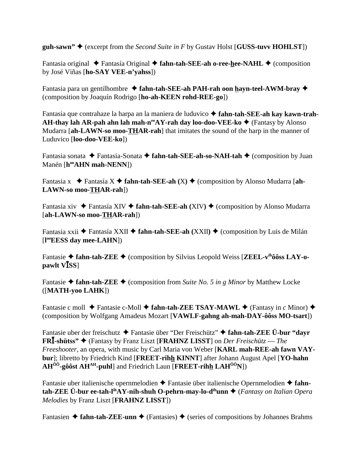**guh-sawn"**  $\triangle$  (excerpt from the *Second Suite in F* by Gustav Holst [**GUSS-tuvv HOHLST**])

Fantasia original ◆ Fantasía Original ◆ fahn-tah-SEE-ah o-ree-hee-NAHL ◆ (composition by José Viñas [**ho-SAY VEE-n'yahss**])

Fantasia para un gentilhombre  $\triangleleft$  fahn-tah-SEE-ah PAH-rah oon hayn-teel-AWM-bray  $\triangleleft$ (composition by Joaquín Rodrigo [**ho-ah-KEEN rohd-REE-go**])

Fantasia que contrahaze la harpa an la maniera de luduvico **fahn-tah-SEE-ah kay kawn-trah-AH-thay lah AR-pah ahn lah mah-n<sup>ee</sup>AY-rah day loo-doo-VEE-ko ♦** (Fantasy by Alonso Mudarra [**ah-LAWN-so moo-THAR-rah**] that imitates the sound of the harp in the manner of Luduvico [**loo-doo-VEE-ko**])

Fantasia sonata ◆ Fantasia-Sonata ◆ fahn-tah-SEE-ah-so-NAH-tah ◆ (composition by Juan Manén [h<sup>oo</sup>AHN mah-NENN])

Fantasia x  $\blacklozenge$  Fantasía X  $\blacklozenge$  fahn-tah-SEE-ah (X)  $\blacklozenge$  (composition by Alonso Mudarra [ah-**LAWN-so moo-THAR-rah**])

Fantasia xiv  $\blacklozenge$  Fantasía XIV  $\blacklozenge$  fahn-tah-SEE-ah (XIV)  $\blacklozenge$  (composition by Alonso Mudarra [**ah-LAWN-so moo-THAR-rah**])

Fantasia xxii ◆ Fantasía XXII ◆ fahn-tah-SEE-ah (XXII) ◆ (composition by Luis de Milán [**l ooEESS day mee-LAHN**])

Fantasie ◆ fahn-tah-ZEE ◆ (composition by Silvius Leopold Weiss [ZEEL-v<sup>ih</sup>ôôss LAY-o**pawlt V***ISS*]

Fantasie  $\triangle$  fahn-tah-ZEE  $\triangle$  (composition from *Suite No. 5 in g Minor* by Matthew Locke ([**MATH-yoo LAHK**])

Fantasie c moll  $\blacklozenge$  Fantasie c-Moll  $\blacklozenge$  fahn-tah-ZEE TSAY-MAWL  $\blacklozenge$  (Fantasy in *c* Minor)  $\blacklozenge$ (composition by Wolfgang Amadeus Mozart [**VAWLF-gahng ah-mah-DAY-ôôss MO-tsart**])

Fantasie uber der freischutz Fantasie über "Der Freischütz" **fahn-tah-ZEE Ü-bur "dayr FR-shütss"** (Fantasy by Franz Liszt [**FRAHNZ LISST**] on *Der Freischütz* — *The Freeshooter*, an opera, with music by Carl Maria von Weber [**KARL mah-REE-ah fawn VAYbur**]; libretto by Friedrich Kind [**FREET-rihh KINNT**] after Johann August Apel [**YO-hahn AHÔÔ-gôôst AHAH-puhl**] and Friedrich Laun [**FREET-rihh LAHÔÔN**])

Fantasie uber italienische opernmelodien Fantasie über italienische Opernmelodien **fahntah-ZEE Ü-bur ee-tah-lihAY-nih-shuh O-pehrn-may-lo-dihunn** (*Fantasy on Italian Opera Melodies* by Franz Liszt [**FRAHNZ LISST**])

Fantasien  $\triangle$  fahn-tah-ZEE-unn  $\triangle$  (Fantasies)  $\triangle$  (series of compositions by Johannes Brahms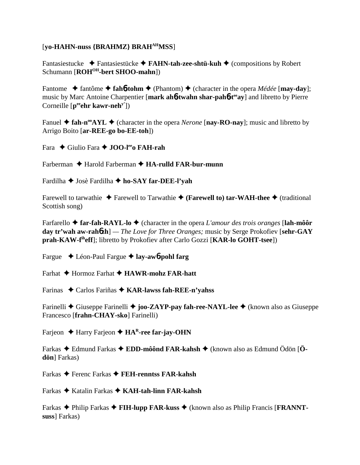## [**yo-HAHN-nuss {BRAHMZ} BRAHAHMSS**]

Fantasiestucke **→** Fantasiestücke → FAHN-tah-zee-shtü-kuh → (compositions by Robert Schumann [**ROH<sup>OH</sup>-bert SHOO-mahn**])

Fantome  $\triangle$  fantôme  $\triangle$  fah**6**-tohm  $\triangle$  (Phantom)  $\triangle$  (character in the opera *Médée* [**may-day**]; music by Marc Antoine Charpentier [**mark ah**6**-twahn shar-pah**6**-teeay**] and libretto by Pierre Corneille [p<sup>ee</sup>ehr kawr-neh<sup>y'</sup>])

Fanuel  $\triangle$  fah-n<sup>oo</sup>AYL  $\triangle$  (character in the opera *Nerone* [nay-RO-nay]; music and libretto by Arrigo Boito [**ar-REE-go bo-EE-toh**])

Fara Giulio Fara **JOO-leeo FAH-rah**

Farberman ◆ Harold Farberman ◆ **HA-rulld FAR-bur-munn** 

Fardilha Josè Fardilha **ho-SAY far-DEE-l'yah**

Farewell to tarwathie  $\triangle$  Farewell to Tarwathie  $\triangle$  (**Farewell to**) tar-WAH-thee  $\triangle$  (traditional Scottish song)

Farfarello **far-fah-RAYL-lo** (character in the opera *L'amour des trois oranges* [**lah-môôr day tr'wah aw-rah**6**zh**] *— The Love for Three Oranges;* music by Serge Prokofiev [**sehr-GAY prah-KAW-fiheff**]; libretto by Prokofiev after Carlo Gozzi [**KAR-lo GOHT-tsee**])

Fargue Léon-Paul Fargue **lay-aw**6**-pohl farg**

Farhat **→** Hormoz Farhat **→ HAWR-mohz FAR-hatt** 

Farinas Carlos Fariñas **KAR-lawss fah-REE-n'yahss**

Farinelli Giuseppe Farinelli **joo-ZAYP-pay fah-ree-NAYL-lee** (known also as Giuseppe Francesco [**frahn-CHAY-sko**] Farinelli)

Farjeon **← Harry Farjeon ← HA<sup>R</sup>-ree far-jay-OHN** 

Farkas Edmund Farkas **EDD-môônd FAR-kahsh** (known also as Edmund Ödön [**Ödön**] Farkas)

Farkas Ferenc Farkas **FEH-renntss FAR-kahsh**

Farkas Katalin Farkas **KAH-tah-linn FAR-kahsh**

Farkas ◆ Philip Farkas ◆ **FIH-lupp FAR-kuss** ◆ (known also as Philip Francis [**FRANNTsuss**] Farkas)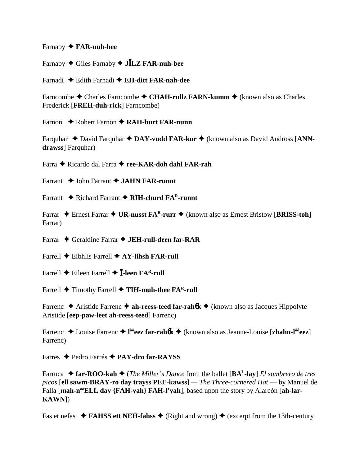Farnaby **FAR-nuh-bee**

Farnaby Giles Farnaby **JLZ FAR-nuh-bee**

Farnadi Edith Farnadi **EH-ditt FAR-nah-dee**

Farncombe ◆ Charles Farncombe ◆ CHAH-rullz FARN-kumm ◆ (known also as Charles Frederick [**FREH-duh-rick**] Farncombe)

Farnon ◆ Robert Farnon ◆ **RAH-burt FAR-nunn** 

Farquhar  $\triangle$  David Farquhar  $\triangle$  DAY-vudd FAR-kur  $\triangle$  (known also as David Andross [ANN**drawss**] Farquhar)

Farra ◆ Ricardo dal Farra ◆ ree-KAR-doh dahl FAR-rah

Farrant  $\rightarrow$  John Farrant  $\rightarrow$  **JAHN FAR-runnt** 

Farrant ◆ Richard Farrant ◆ RIH-churd FA<sup>R</sup>-runnt

Farrar ◆ Ernest Farrar ◆ UR-nusst FA<sup>R</sup>-rurr ◆ (known also as Ernest Bristow [BRISS-toh] Farrar)

Farrar Geraldine Farrar **JEH-rull-deen far-RAR**

Farrell Eibhlis Farrell **AY-lihsh FAR-rull**

Farrell  $\triangle$  Eileen Farrell  $\triangle$  **I**-leen FA<sup>R</sup>-rull

Farrell  $\blacklozenge$  Timothy Farrell  $\blacklozenge$  **TIH-muh-thee FA<sup>R</sup>-rull** 

Farrenc  $\triangle$  Aristide Farrenc  $\triangle$  ah-reess-teed far-rahologie (known also as Jacques Hippolyte Aristide [**eep-paw-leet ah-reess-teed**] Farrenc)

Farrenc Louise Farrenc **l ôôeez far-rah**6**k** (known also as Jeanne-Louise [**zhahn-lôôeez**] Farrenc)

Farres Pedro Farrés **PAY-dro far-RAYSS**

Farruca **far-ROO-kah** (*The Miller's Dance* from the ballet [**BAL-lay**] *El sombrero de tres picos* [**ell sawm-BRAY-ro day trayss PEE-kawss**] *— The Three-cornered Hat* — by Manuel de Falla [mah-n<sup>oo</sup>ELL day {FAH-yah} FAH-l'yah], based upon the story by Alarcón [ah-lar-**KAWN**])

Fas et nefas  $\triangle$  **FAHSS ett NEH-fahss**  $\triangle$  (Right and wrong)  $\triangle$  (excerpt from the 13th-century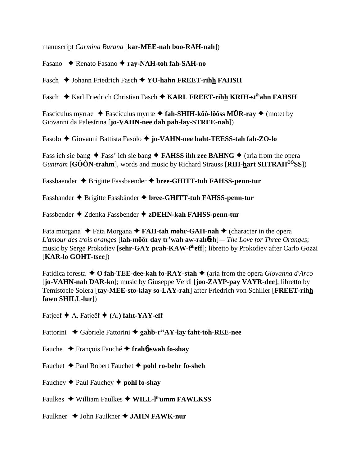manuscript *Carmina Burana* [**kar-MEE-nah boo-RAH-nah**])

Fasano **← Renato Fasano ← ray-NAH-toh fah-SAH-no** 

Fasch  $\blacklozenge$  Johann Friedrich Fasch  $\blacklozenge$  **YO-hahn FREET-rihh FAHSH** 

Fasch ◆ Karl Friedrich Christian Fasch ◆ KARL FREET-rihh KRIH-st<sup>ih</sup>ahn FAHSH

Fasciculus myrrae  $\triangle$  Fasciculus myrrae  $\triangle$  fah-SHIH-kôô-lôôss MÜR-ray  $\triangle$  (motet by Giovanni da Palestrina [**jo-VAHN-nee dah pah-lay-STREE-nah**])

Fasolo Giovanni Battista Fasolo **jo-VAHN-nee baht-TEESS-tah fah-ZO-lo**

Fass ich sie bang  $\triangle$  Fass' ich sie bang  $\triangle$  **FAHSS ihh zee BAHNG**  $\triangle$  (aria from the opera *Guntram* [**GÔÔN-trahm**], words and music by Richard Strauss [**RIH-hart SHTRAHÔÔSS**])

Fassbaender Brigitte Fassbaender **bree-GHITT-tuh FAHSS-penn-tur**

Fassbander Brigitte Fassbänder **bree-GHITT-tuh FAHSS-penn-tur**

Fassbender Zdenka Fassbender **zDEHN-kah FAHSS-penn-tur**

Fata morgana ◆ Fata Morgana ◆ **FAH-tah mohr-GAH-nah** ◆ (character in the opera *L'amour des trois oranges* [**lah-môôr day tr'wah aw-rah**6**zh**]*— The Love for Three Oranges*; music by Serge Prokofiev [**sehr-GAY prah-KAW-fiheff**]; libretto by Prokofiev after Carlo Gozzi [**KAR-lo GOHT-tsee**])

Fatidica foresta **← O fah-TEE-dee-kah fo-RAY-stah ←** (aria from the opera *Giovanna d'Arco* [**jo-VAHN-nah DAR-ko**]; music by Giuseppe Verdi [**joo-ZAYP-pay VAYR-dee**]; libretto by Temistocle Solera [**tay-MEE-sto-klay so-LAY-rah**] after Friedrich von Schiller [**FREET-rihh fawn SHILL-lur**])

Fatjeef A. Fatjeëf **(**A.**) faht-YAY-eff**

Fattorini ◆ Gabriele Fattorini ◆ gahb-r<sup>ee</sup>AY-lay faht-toh-REE-nee

- Fauche François Fauché **frah**6**-swah fo-shay**
- Fauchet Paul Robert Fauchet **pohl ro-behr fo-sheh**
- Fauchey  $\blacklozenge$  Paul Fauchey  $\blacklozenge$  **pohl fo-shay**
- Faulkes William Faulkes **WILL-lihumm FAWLKSS**
- Faulkner ◆ John Faulkner **◆ JAHN FAWK-nur**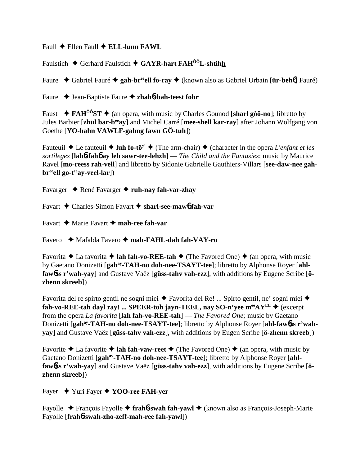Faull ◆ Ellen Faull ◆ **ELL-lunn FAWL** 

Faulstich  $\blacklozenge$  Gerhard Faulstich  $\blacklozenge$  **GAYR-hart FAH<sup>ôô</sup>L-shtihh** 

Faure Gabriel Fauré **gah-breeell fo-ray** (known also as Gabriel Urbain [**ür-beh**6] Fauré)

Faure Jean-Baptiste Faure **zhah**6**-bah-teest fohr**

Faust  $\rightarrow$  **FAH<sup>ôô</sup>ST**  $\rightarrow$  (an opera, with music by Charles Gounod [sharl gôô-no]; libretto by Jules Barbier [**zhül bar-beeay**] and Michel Carré [**mee-shell kar-ray**] after Johann Wolfgang von Goethe [**YO-hahn VAWLF-gahng fawn GÖ-tuh**])

Fauteuil  $\triangle$  Le fauteuil  $\triangle$  luh fo-tö<sup>y</sup>  $\triangle$  (The arm-chair)  $\triangle$  (character in the opera *L'enfant et les sortileges* [**lah**6**-fah**6 **ay leh sawr-tee-lehzh**] — *The Child and the Fantasies*; music by Maurice Ravel [**mo-reess rah-vell**] and libretto by Sidonie Gabrielle Gauthiers-Villars [**see-daw-nee gah**br<sup>ee</sup>ell go-t<sup>ee</sup>ay-veel-lar])

Favarger ♦ René Favarger ♦ ruh-nay fah-var-zhay

Favart Charles-Simon Favart **sharl-see-maw**6 **fah-var**

Favart **→** Marie Favart → mah-ree fah-var

Favero Mafalda Favero  **mah-FAHL-dah fah-VAY-ro**

Favorita  $\triangle$  La favorita  $\triangle$  **lah fah-vo-REE-tah**  $\triangle$  (The Favored One)  $\triangle$  (an opera, with music by Gaetano Donizetti [gah<sup>ay</sup>-TAH-no doh-nee-TSAYT-tee]; libretto by Alphonse Royer [ahl**faw**6**ss r'wah-yay**] and Gustave Vaëz [**güss-tahv vah-ezz**], with additions by Eugene Scribe [**özhenn skreeb**])

Favorita del re spirto gentil ne sogni miei ◆ Favorita del Re! ... Spirto gentil, ne' sogni miei ◆ fah-vo-REE-tah dayl ray! ... SPEER-toh jayn-TEEL, nay SO-n'yee  $m^{ee}AY^{EE} \triangleq (except$ from the opera *La favorita* [**lah fah-vo-REE-tah**] — *The Favored One;* music by Gaetano Donizetti [gah<sup>ay</sup>-TAH-no doh-nee-TSAYT-tee]; libretto by Alphonse Royer [ahl-faw6ss r'wah**yay**] and Gustave Vaëz [**güss-tahv vah-ezz**], with additions by Eugen Scribe [**ö-zhenn skreeb**])

Favorite  $\triangle$  La favorite  $\triangle$  lah fah-vaw-reet  $\triangle$  (The Favored One)  $\triangle$  (an opera, with music by Gaetano Donizetti [gah<sup>ay</sup>-TAH-no doh-nee-TSAYT-tee]; libretto by Alphonse Royer [ahl**faw**6**ss r'wah-yay**] and Gustave Vaëz [**güss-tahv vah-ezz**], with additions by Eugene Scribe [**özhenn skreeb**])

Fayer Yuri Fayer **YOO-ree FAH-yer**

Fayolle François Fayolle **frah**6**-swah fah-yawl** (known also as François-Joseph-Marie Fayolle [**frah**6**-swah-zho-zeff-mah-ree fah-yawl**])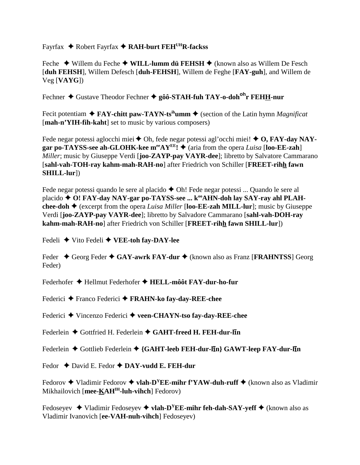Fayrfax ◆ Robert Fayrfax ◆ RAH-burt FEH<sup>UH</sup>R-fackss

Feche ◆ Willem du Feche ◆ **WILL-lumm dü FEHSH** ◆ (known also as Willem De Fesch [**duh FEHSH**], Willem Defesch [**duh-FEHSH**], Willem de Feghe [**FAY-guh**], and Willem de Veg [**VAYG**])

Fechner Gustave Theodor Fechner **gôô-STAH-fuh TAY-o-dohohr FEHH-nur**

Fecit potentiam  $\triangle$  **FAY-chitt paw-TAYN-ts<sup>ih</sup>umm**  $\triangle$  (section of the Latin hymn *Magnificat* [mah-n'YIH-fih-kaht] set to music by various composers)

Fede negar potessi aglocchi miei ◆ Oh, fede negar potessi agl'occhi miei! ◆ O, FAY-dav NAY**gar po-TAYSS-see ah-GLOHK-kee m<sup>ee</sup>AY<sup>EE</sup>!**  $\blacklozenge$  (aria from the opera *Luisa* [loo-EE-zah] *Miller*; music by Giuseppe Verdi [**joo-ZAYP-pay VAYR-dee**]; libretto by Salvatore Cammarano [**sahl-vah-TOH-ray kahm-mah-RAH-no**] after Friedrich von Schiller [**FREET-rihh fawn SHILL-lur**])

Fede negar potessi quando le sere al placido  $\triangle$  Oh! Fede negar potessi ... Quando le sere al placido **♦ O! FAY-day NAY-gar po-TAYSS-see ... k<sup>oo</sup>AHN-doh lay SAY-ray ahl PLAHchee-doh**  $\triangle$  (excerpt from the opera *Luisa Miller* [loo-**EE-zah MILL-lur**]; music by Giuseppe Verdi [**joo-ZAYP-pay VAYR-dee**]; libretto by Salvadore Cammarano [**sahl-vah-DOH-ray kahm-mah-RAH-no**] after Friedrich von Schiller [**FREET-rihh fawn SHILL-lur**])

Fedeli Vito Fedeli **VEE-toh fay-DAY-lee**

Feder ◆ Georg Feder ◆ GAY-awrk FAY-dur ◆ (known also as Franz [FRAHNTSS] Georg Feder)

Federhofer Hellmut Federhofer **HELL-môôt FAY-dur-ho-fur**

Federici Franco Federici **FRAHN-ko fay-day-REE-chee**

Federici ◆ Vincenzo Federici ◆ veen-CHAYN-tso fay-day-REE-chee

Federlein ♦ Gottfried H. Federlein ♦ GAHT-freed H. FEH-dur-lin

Federlein ◆ Gottlieb Federlein ◆ {GAHT-leeb FEH-dur-lin} GAWT-leep FAY-dur-lin

Fedor ◆ David E. Fedor ◆ **DAY-vudd E. FEH-dur** 

Fedorov  $\triangle$  Vladimir Fedorov  $\triangle$  vlah-D<sup>Y</sup>EE-mihr f'YAW-duh-ruff  $\triangle$  (known also as Vladimir Mikhailovich [mee-KAH<sup>IH</sup>-luh-vihch] Fedorov)

Fedoseyev  $\blacklozenge$  Vladimir Fedoseyev  $\blacklozenge$  **vlah-D<sup>Y</sup>EE-mihr feh-dah-SAY-yeff**  $\blacklozenge$  (known also as Vladimir Ivanovich [**ee-VAH-nuh-vihch**] Fedoseyev)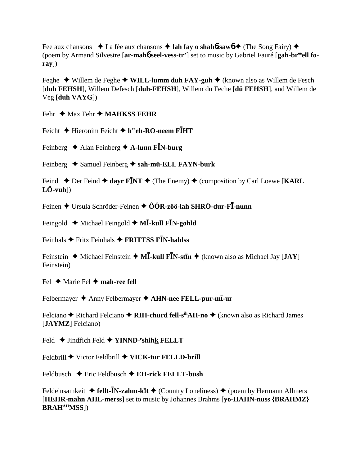Fee aux chansons  $\star$  La fée aux chansons  $\star$  lah fay o shahb-sawb  $\star$  (The Song Fairy)  $\star$ (poem by Armand Silvestre [ar-mahó seel-vess-tr'] set to music by Gabriel Fauré [gah-breell fo $ray)$ 

Feghe  $\triangle$  Willem de Feghe  $\triangle$  WILL-lumm duh FAY-guh  $\triangle$  (known also as Willem de Fesch [duh FEHSH], Willem Defesch [duh-FEHSH], Willem du Feche [dü FEHSH], and Willem de  $Veg$  [duh VAYG])

Fehr  $\triangleq$  Max Fehr  $\triangleq$  MAHKSS FEHR

Feicht  $\triangle$  Hieronim Feicht  $\triangle$  h<sup>ee</sup>eh-RO-neem FIHT

Feinberg  $\triangle$  Alan Feinberg  $\triangle$  A-lunn FIN-burg

Feinberg  $\triangle$  Samuel Feinberg  $\triangle$  sah-mü-ELL FAYN-burk

Feind  $\triangle$  Der Feind  $\triangle$  dayr FINT  $\triangle$  (The Enemy)  $\triangle$  (composition by Carl Loewe [KARL]  $L\ddot{\text{O}}$ -vuh $\text{O}$ 

Feinen  $\triangle$  Ursula Schröder-Feinen  $\triangle$  ÔÔR-zôô-lah SHRÖ-dur-F $\overline{I}$ -nunn

Feingold  $\triangleleft$  Michael Feingold  $\triangleleft$  MI-kull FIN-gohld

Feinhals  $\bigstar$  Fritz Feinhals  $\bigstar$  FRITTSS FIN-hahlss

Feinstein  $\triangle$  Michael Feinstein  $\triangle$  MI-kull FIN-stin  $\triangle$  (known also as Michael Jay [JAY] Feinstein)

Fel  $\triangle$  Marie Fel  $\triangle$  mah-ree fell

Felbermayer ♦ Anny Felbermayer ♦ AHN-nee FELL-pur-mi-ur

Felciano  $\triangle$  Richard Felciano  $\triangle$  RIH-churd fell-s<sup>ih</sup>AH-no  $\triangle$  (known also as Richard James [**JAYMZ**] Felciano)

Feld  $\blacklozenge$  Jindřich Feld  $\blacklozenge$  YINND-'shihk FELLT

Feldbrill ♦ Victor Feldbrill ♦ VICK-tur FELLD-brill

Feldbusch  $\div$  Eric Feldbusch  $\div$  EH-rick FELLT-büsh

Feldeinsamkeit  $\triangleq$  fellt- $\overline{I}N$ -zahm-k $\overline{I}t \triangleq$  (Country Loneliness)  $\triangleq$  (poem by Hermann Allmers [HEHR-mahn AHL-merss] set to music by Johannes Brahms [vo-HAHN-nuss {BRAHMZ}] **BRAH<sup>AH</sup>MSS**])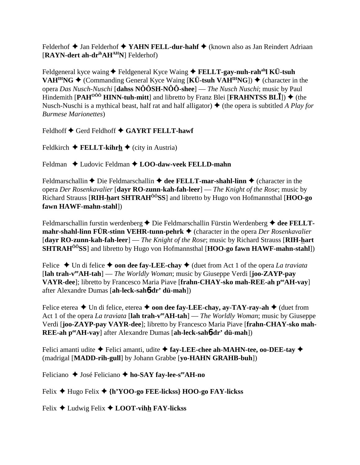Felderhof  $\triangle$  Jan Felderhof  $\triangle$  YAHN FELL-dur-hahf  $\triangle$  (known also as Jan Reindert Adriaan [**RAYN-dert ah-drihAHAHN**] Felderhof)

Feldgeneral kyce waing **◆** Feldgeneral Kyce Waing ◆ **FELLT-gay-nuh-rah<sup>ah</sup>l KÜ-tsuh VAH<sup>IH</sup>NG**  $\blacklozenge$  (Commanding General Kyce Waing [KÜ-tsuh VAH<sup>IH</sup>NG])  $\blacklozenge$  (character in the opera *Das Nusch-Nuschi* [**dahss NÔÔSH-NÔÔ-shee**] — *The Nusch Nuschi*; music by Paul Hindemith  $[PAH^{000}$  HINN-tuh-mitt<sup>a</sup> and libretto by Franz Blei  $[FRAHNTSS BL\bar{I}]$ )  $\blacklozenge$  (the Nusch-Nuschi is a mythical beast, half rat and half alligator)  $\triangle$  (the opera is subtitled *A Play for Burmese Marionettes*)

Feldhoff  $\blacklozenge$  Gerd Feldhoff  $\blacklozenge$  GAYRT FELLT-hawf

Feldkirch  $\triangle$  **FELLT-kihrh**  $\triangle$  (city in Austria)

Feldman ◆ Ludovic Feldman ◆ LOO-daw-veek FELLD-mahn

Feldmarschallin  $\triangle$  Die Feldmarschallin  $\triangle$  dee FELLT-mar-shahl-linn  $\triangle$  (character in the opera *Der Rosenkavalier* [**dayr RO-zunn-kah-fah-leer**] — *The Knight of the Rose*; music by Richard Strauss [**RIH-hart SHTRAHÔÔSS**] and libretto by Hugo von Hofmannsthal [**HOO-go fawn HAWF-mahn-stahl**])

Feldmarschallin furstin werdenberg **→** Die Feldmarschallin Fürstin Werdenberg **→ dee FELLTmahr-shahl-linn FÜR-stinn VEHR-tunn-pehrk ♦** (character in the opera *Der Rosenkavalier* [**dayr RO-zunn-kah-fah-leer**] — *The Knight of the Rose*; music by Richard Strauss [**RIH-hart SHTRAHÔÔSS**] and libretto by Hugo von Hofmannsthal [**HOO-go fawn HAWF-mahn-stahl**])

Felice  $\triangle$  Un di felice  $\triangle$  **oon dee fay-LEE-chay**  $\triangle$  (duet from Act 1 of the opera *La traviata* [**lah trah-veeAH-tah**] — *The Worldly Woman*; music by Giuseppe Verdi [**joo-ZAYP-pay VAYR-dee**]; libretto by Francesco Maria Piave [**frahn-CHAY-sko mah-REE-ah peeAH-vay**] after Alexandre Dumas [**ah-leck-sah**6**-dr' dü-mah**])

Felice eterea  $\triangle$  Un di felice, eterea  $\triangle$  **oon dee fay-LEE-chay, ay-TAY-ray-ah**  $\triangle$  (duet from Act 1 of the opera *La traviata* [**lah trah-veeAH-tah**] — *The Worldly Woman*; music by Giuseppe Verdi [**joo-ZAYP-pay VAYR-dee**]; libretto by Francesco Maria Piave [**frahn-CHAY-sko mah-REE-ah peeAH-vay**] after Alexandre Dumas [**ah-leck-sah**6**-dr' dü-mah**])

Felici amanti udite  $\triangle$  Felici amanti, udite  $\triangle$  fay-LEE-chee ah-MAHN-tee, oo-DEE-tay  $\triangle$ (madrigal [**MADD-rih-gull**] by Johann Grabbe [**yo-HAHN GRAHB-buh**])

Feliciano **→** José Feliciano **→ ho-SAY fay-lee-s<sup>ee</sup>AH-no** 

Felix Hugo Felix **{h'YOO-go FEE-lickss} HOO-go FAY-lickss**

Felix Ludwig Felix **LOOT-vihh FAY-lickss**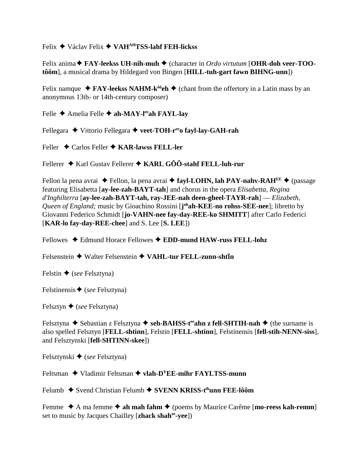## Felix ♦ Václav Felix ♦ VAH<sup>AH</sup>TSS-lahf FEH-lickss

Felix anima  $\blacklozenge$  FAY-leekss UH-nih-muh  $\blacklozenge$  (character in *Ordo virtutum* [OHR-doh veer-TOOtôôm], a musical drama by Hildegard von Bingen [HILL-tuh-gart fawn BIHNG-unn])

Felix namque  $\blacklozenge$  FAY-leekss NAHM-k<sup> $\delta \delta$ </sup>eh  $\blacklozenge$  (chant from the offertory in a Latin mass by an anonymous 13th- or 14th-century composer)

Felle  $\triangle$  Amelia Felle  $\triangle$  ah-MAY-l<sup>ee</sup>ah FAYL-lay

Fellegara  $\blacklozenge$  Vittorio Fellegara  $\blacklozenge$  veet-TOH-r<sup>ee</sup> fayl-lay-GAH-rah

Feller ◆ Carlos Feller ◆ KAR-lawss FELL-ler

Fellerer  $\triangle$  Karl Gustav Fellerer  $\triangle$  KARL GÔÔ-stahf FELL-luh-rur

Fellon la pena avrai  $\triangle$  Fellon, la pena avrai  $\triangle$  fayl-LOHN, lah PAY-nahv-RAH<sup>EE</sup>  $\triangle$  (passage featuring Elisabetta [ay-lee-zah-BAYT-tah] and chorus in the opera *Elisabetta*, Regina d'Inghilterra [av-lee-zah-BAYT-tah, rav-JEE-nah deen-gheel-TAYR-rah] — Elizabeth, Queen of England; music by Gioachino Rossini [johah-KEE-no rohss-SEE-nee]; libretto by Giovanni Federico Schmidt [jo-VAHN-nee fay-day-REE-ko SHMITT] after Carlo Federici [KAR-lo fay-day-REE-chee] and S. Lee [S. LEE])

Fellowes  $\triangleq$  Edmund Horace Fellowes  $\triangleq$  EDD-mund HAW-russ FELL-lohz

Felsenstein  $\triangle$  Walter Felsenstein  $\triangle$  VAHL-tur FELL-zunn-shtin

Felstin  $\triangle$  (see Felsztyna)

Felstinensis  $\blacklozenge$  (see Felsztyna)

Felsztyn  $\triangle$  (see Felsztyna)

Felsztyna  $\triangle$  Sebastian z Felsztyna  $\triangle$  seh-BAHSS-t<sup>ee</sup>ahn z fell-SHTIH-nah  $\triangle$  (the surname is also spelled Felsztyn [FELL-shtinn], Felstin [FELL-shtinn], Felstinensis [fell-stih-NENN-siss], and Felsztynski [fell-SHTINN-skee])

Felsztynski  $\blacklozenge$  (see Felsztyna)

Feltsman  $\triangle$  Vladimir Feltsman  $\triangle$  vlah-D<sup>Y</sup>EE-mihr FAYLTSS-munn

Felumb  $\triangle$  Svend Christian Felumb  $\triangle$  SVENN KRISS-t<sup>ih</sup>unn FEE-lôôm

Femme  $\triangle$  A ma femme  $\triangle$  ah mah fahm  $\triangle$  (poems by Maurice Carême [mo-reess kah-remm] set to music by Jacques Chailley [zhack shah<sup>ee</sup>-yee])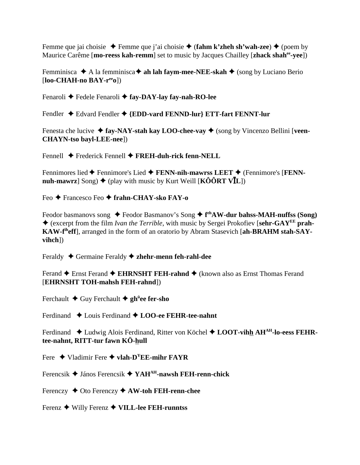Femme que jai choisie  $\blacklozenge$  Femme que j'ai choisie  $\blacklozenge$  (**fahm k'zheh sh'wah-zee**)  $\blacklozenge$  (poem by Maurice Carême [**mo-reess kah-remm**] set to music by Jacques Chailley [**zhack shahee-yee**])

Femminisca  $\triangle$  A la femminisca  $\triangle$  ah lah faym-mee-NEE-skah  $\triangle$  (song by Luciano Berio [**loo-CHAH-no BAY-reeo**])

Fenaroli **←** Fedele Fenaroli ← fay-DAY-lay fay-nah-RO-lee

Fendler  $\triangle$  Edvard Fendler  $\triangle$  {EDD-vard FENND-lur} ETT-fart FENNT-lur

Fenesta che lucive  $\triangle$  fay-NAY-stah kay LOO-chee-vay  $\triangle$  (song by Vincenzo Bellini [veen-**CHAYN-tso bayl-LEE-nee**])

Fennell Frederick Fennell **FREH-duh-rick fenn-NELL**

Fennimores lied **←** Fennimore's Lied **← FENN-nih-mawrss LEET** ← (Fennimore's [**FENNnuh-mawrz**] Song)  $\blacklozenge$  (play with music by Kurt Weill [**KÔÔRT VI**L])

Feo Francesco Feo  **frahn-CHAY-sko FAY-o**

Feodor basmanovs song ◆ Feodor Basmanov's Song ◆ f<sup>eh</sup>AW-dur bahss-MAH-nuffss (Song) (excerpt from the film *Ivan the Terrible*, with music by Sergei Prokofiev [**sehr-GAYEE prah-KAW-fiheff**], arranged in the form of an oratorio by Abram Stasevich [**ah-BRAHM stah-SAYvihch**])

Feraldy Germaine Feraldy **zhehr-menn feh-rahl-dee**

Ferand **←** Ernst Ferand ← **EHRNSHT FEH-rahnd** ← (known also as Ernst Thomas Ferand [**EHRNSHT TOH-mahsh FEH-rahnd**])

Ferchault Guy Ferchault **ghü ee fer-sho**

Ferdinand  $\triangle$  Louis Ferdinand  $\triangle$  **LOO-ee FEHR-tee-nahnt** 

Ferdinand  $\triangle$  Ludwig Alois Ferdinand, Ritter von Köchel  $\triangle$  **LOOT-vihh AH<sup>AH</sup>-lo-eess FEHRtee-nahnt, RITT-tur fawn KÖ-hull**

Fere Vladimir Fere **vlah-DYEE-mihr FAYR**

Ferencsik János Ferencsik **YAHAH-nawsh FEH-renn-chick**

Ferenczy Oto Ferenczy **AW-toh FEH-renn-chee**

Ferenz Willy Ferenz **VILL-lee FEH-runntss**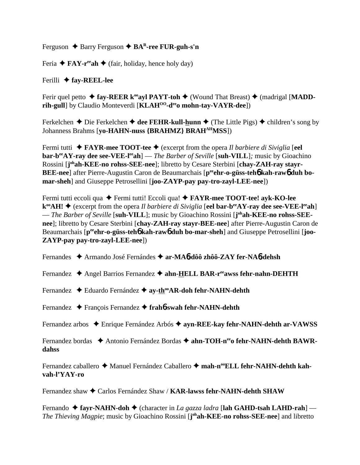Ferguson ◆ Barry Ferguson **◆ BA<sup>R</sup>-ree FUR-guh-s'n** 

Feria  $\triangle$  **FAY-r**<sup>ee</sup>**ah**  $\triangle$  (fair, holiday, hence holy day)

Ferilli **fay-REEL-lee**

Ferir quel petto  $\triangle$  fay-REER k<sup>oo</sup>ayl PAYT-toh  $\triangle$  (Wound That Breast)  $\triangle$  (madrigal [MADD**rih-gull**] by Claudio Monteverdi [**KLAH<sup>00</sup>-d<sup>ee</sup>o mohn-tay-VAYR-dee**])

Ferkelchen  $\triangle$  Die Ferkelchen  $\triangle$  dee FEHR-kull-hunn  $\triangle$  (The Little Pigs)  $\triangle$  children's song by Johanness Brahms [**yo-HAHN-nuss {BRAHMZ} BRAHAHMSS**])

Fermi tutti **FAYR-mee TOOT-tee** (excerpt from the opera *Il barbiere di Siviglia* [**eel bar-b<sup>ee</sup>AY-ray dee see-VEE-l<sup>ee</sup>ah**] — *The Barber of Seville* [suh-VILL]; music by Gioachino Rossini [j<sup>oh</sup>ah-KEE-no rohss-SEE-nee]; libretto by Cesare Sterbini [chay-ZAH-ray stayr-**BEE-nee**] after Pierre-Augustin Caron de Beaumarchais [p<sup>ee</sup>ehr-o-güss-teh6 kah-raw6 duh bo**mar-sheh**] and Giuseppe Petrosellini [**joo-ZAYP-pay pay-tro-zayl-LEE-nee**])

Fermi tutti eccoli qua ◆ Fermi tutti! Eccoli qua! ◆ **FAYR-mee TOOT-tee! ayk-KO-lee k<sup>∞</sup>AH! ◆** (excerpt from the opera *Il barbiere di Siviglia* [eel bar-b<sup>ee</sup>AY-ray dee see-VEE-l<sup>ee</sup>ah] — *The Barber of Seville* [suh-VILL]; music by Gioachino Rossini [j<sup>oh</sup>ah-KEE-no rohss-SEE**nee**]; libretto by Cesare Sterbini [**chay-ZAH-ray stayr-BEE-nee**] after Pierre-Augustin Caron de Beaumarchais [p<sup>ee</sup>ehr-o-güss-teh**6** kah-raw6 duh bo-mar-sheh] and Giuseppe Petrosellini [joo-**ZAYP-pay pay-tro-zayl-LEE-nee**])

Fernandes Armando José Fernándes **ar-MA**6**-dôô zhôô-ZAY fer-NA**6**-dehsh**

Fernandez ◆ Angel Barrios Fernandez ◆ ahn-HELL BAR-r<sup>ee</sup>awss fehr-nahn-DEHTH

Fernandez ◆ Eduardo Fernández ◆ ay-th<sup>oo</sup>AR-doh fehr-NAHN-dehth

Fernandez François Fernandez **frah**6**-swah fehr-NAHN-dehth**

Fernandez arbos Enrique Fernández Arbós **ayn-REE-kay fehr-NAHN-dehth ar-VAWSS**

Fernandez bordas **→** Antonio Fernández Bordas → ahn-TOH-n<sup>ee</sup>o fehr-NAHN-dehth BAWR**dahss**

Fernandez caballero ◆ Manuel Fernández Caballero ◆ mah-n<sup>oo</sup>ELL fehr-NAHN-dehth kah**vah-l'YAY-ro**

Fernandez shaw Carlos Fernández Shaw / **KAR-lawss fehr-NAHN-dehth SHAW**

Fernando ◆ fayr-NAHN-doh ◆ (character in *La gazza ladra* [lah GAHD-tsah LAHD-rah] — *The Thieving Magpie*; music by Gioachino Rossini [**j ohah-KEE-no rohss-SEE-nee**] and libretto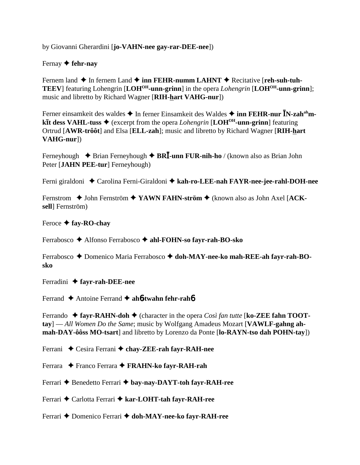by Giovanni Gherardini [**jo-VAHN-nee gay-rar-DEE-nee**])

## Fernay  **fehr-nay**

Fernem land  $\triangle$  In fernem Land  $\triangle$  inn FEHR-numm LAHNT  $\triangle$  Recitative [reh-suh-tuh-**TEEV**] featuring Lohengrin [**LOHOH-unn-grinn**] in the opera *Lohengrin* [**LOHOH-unn-grinn**]; music and libretto by Richard Wagner [**RIH-hart VAHG-nur**])

Ferner einsamkeit des waldes ◆ In ferner Einsamkeit des Waldes ◆ inn **FEHR-nur <b>Ī**N-zah<sup>ah</sup>m**kt̄t dess VAHL-tuss ♦** (excerpt from the opera *Lohengrin* [LOH<sup>OH</sup>-unn-grinn] featuring Ortrud [**AWR-trôôt**] and Elsa [**ELL-zah**]; music and libretto by Richard Wagner [**RIH-hart VAHG-nur**])

Ferneyhough **→** Brian Ferneyhough ◆ **BRI**-unn FUR-nih-ho / (known also as Brian John Peter [**JAHN PEE-tur**] Ferneyhough)

Ferni giraldoni Carolina Ferni-Giraldoni **kah-ro-LEE-nah FAYR-nee-jee-rahl-DOH-nee**

Fernstrom ◆ John Fernström ◆ YAWN FAHN-ström ◆ (known also as John Axel [ACK**sell**] Fernström)

#### Feroce **fay-RO-chay**

Ferrabosco Alfonso Ferrabosco **ahl-FOHN-so fayr-rah-BO-sko**

Ferrabosco ◆ Domenico Maria Ferrabosco ◆ doh-MAY-nee-ko mah-REE-ah favr-rah-BO**sko**

Ferradini **fayr-rah-DEE-nee**

Ferrand Antoine Ferrand **ah**6**-twahn fehr-rah**6

Ferrando  $\triangle$  fayr-RAHN-doh  $\triangle$  (character in the opera *Così fan tutte* [ko-ZEE fahn TOOT**tay**] — *All Women Do the Same*; music by Wolfgang Amadeus Mozart [**VAWLF-gahng ahmah-DAY-ôôss MO-tsart**] and libretto by Lorenzo da Ponte [**lo-RAYN-tso dah POHN-tay**])

Ferrani ◆ Cesira Ferrani ◆ chay-ZEE-rah fayr-RAH-nee

Ferrara Franco Ferrara **FRAHN-ko fayr-RAH-rah**

Ferrari **←** Benedetto Ferrari ← bay-nay-DAYT-toh fayr-RAH-ree

Ferrari ◆ Carlotta Ferrari ◆ kar-LOHT-tah favr-RAH-ree

Ferrari **←** Domenico Ferrari ← doh-MAY-nee-ko fayr-RAH-ree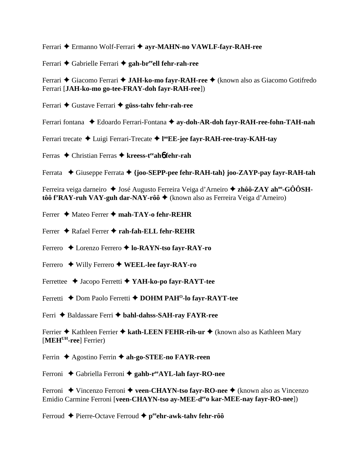Ferrari Ermanno Wolf-Ferrari **ayr-MAHN-no VAWLF-fayr-RAH-ree**

Ferrari ◆ Gabrielle Ferrari ◆ gah-br<sup>ee</sup>ell fehr-rah-ree

Ferrari ◆ Giacomo Ferrari ◆ **JAH-ko-mo fayr-RAH-ree** ◆ (known also as Giacomo Gotifredo Ferrari [**JAH-ko-mo go-tee-FRAY-doh fayr-RAH-ree**])

Ferrari **←** Gustave Ferrari ← güss-tahv fehr-rah-ree

Ferrari fontana  $\blacklozenge$  Edoardo Ferrari-Fontana  $\blacklozenge$  ay-doh-AR-doh fayr-RAH-ree-fohn-TAH-nah

Ferrari trecate Luigi Ferrari-Trecate **l ooEE-jee fayr-RAH-ree-tray-KAH-tay**

Ferras Christian Ferras **kreess-teeah**6 **fehr-rah**

Ferrata ◆ Giuseppe Ferrata ◆ {joo-SEPP-pee fehr-RAH-tah} joo-ZAYP-pay fayr-RAH-tah

Ferreira veiga darneiro ◆ José Augusto Ferreira Veiga d'Arneiro ◆ zhôô-ZAY ah<sup>oo</sup>-GÔÔSH**tôô f'RAY-ruh VAY-guh dar-NAY-rôô ♦** (known also as Ferreira Veiga d'Arneiro)

Ferrer Mateo Ferrer **mah-TAY-o fehr-REHR**

Ferrer ◆ Rafael Ferrer ◆ rah-fah-ELL fehr-REHR

Ferrero ◆ Lorenzo Ferrero ◆ lo-RAYN-tso fayr-RAY-ro

Ferrero Willy Ferrero **WEEL-lee fayr-RAY-ro**

Ferrettee Jacopo Ferretti **YAH-ko-po fayr-RAYT-tee**

Ferretti ◆ Dom Paolo Ferretti ◆ DOHM PAH<sup>O</sup>-lo fayr-RAYT-tee

Ferri ◆ Baldassare Ferri ◆ bahl-dahss-SAH-ray FAYR-ree

Ferrier ◆ Kathleen Ferrier ◆ kath-LEEN FEHR-rih-ur ◆ (known also as Kathleen Mary [**MEHUH-ree**] Ferrier)

Ferrin **→** Agostino Ferrin **→ ah-go-STEE-no FAYR-reen** 

Ferroni ◆ Gabriella Ferroni ◆ gahb-r<sup>ee</sup>AYL-lah fayr-RO-nee

Ferroni ◆ Vincenzo Ferroni ◆ veen-CHAYN-tso fayr-RO-nee ◆ (known also as Vincenzo Emidio Carmine Ferroni [**veen-CHAYN-tso ay-MEE-deeo kar-MEE-nay fayr-RO-nee**])

Ferroud ◆ Pierre-Octave Ferroud ◆ p<sup>ee</sup>ehr-awk-tahv fehr-rôô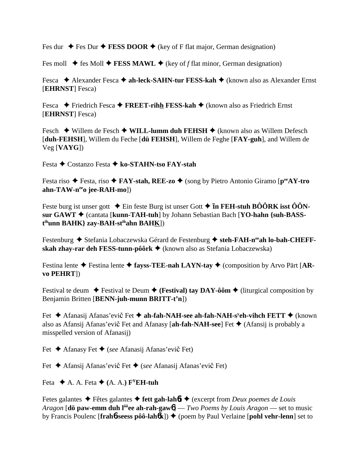Fes dur  $\triangle$  Fes Dur  $\triangle$  **FESS DOOR**  $\triangle$  (key of F flat major, German designation)

Fes moll  $\blacklozenge$  fes Moll  $\blacklozenge$  **FESS MAWL**  $\blacklozenge$  (key of *f* flat minor, German designation)

Fesca ◆ Alexander Fesca ◆ **ah-leck-SAHN-tur FESS-kah** ◆ (known also as Alexander Ernst [**EHRNST**] Fesca)

Fesca **←** Friedrich Fesca ← FREET-rihh FESS-kah ← (known also as Friedrich Ernst [**EHRNST**] Fesca)

Fesch ◆ Willem de Fesch ◆ WILL-lumm duh FEHSH ◆ (known also as Willem Defesch [**duh-FEHSH**], Willem du Feche [**dü FEHSH**], Willem de Feghe [**FAY-guh**], and Willem de Veg [**VAYG**])

Festa Costanzo Festa **ko-STAHN-tso FAY-stah**

Festa riso ◆ Festa, riso ◆ **FAY-stah, REE-zo** ◆ (song by Pietro Antonio Giramo [ $p^{ee}AY$ -tro **ahn-TAW-neeo jee-RAH-mo**])

Feste burg ist unser gott  $\triangle$  Ein feste Burg ist unser Gott  $\triangle$  **In FEH-stuh BÔÔRK isst ÔÔNsur GAWT** (cantata [**kunn-TAH-tuh**] by Johann Sebastian Bach [**YO-hahn {suh-BASSt ihunn BAHK} zay-BAH-stihahn BAHK**])

Festenburg ◆ Stefania Lobaczewska Gérard de Festenburg ◆ steh-FAH-n<sup>ee</sup>ah lo-bah-CHEFF**skah zhay-rar deh FESS-tunn-pôôrk** (known also as Stefania Lobaczewska)

Festina lente  $\triangle$  Festina lente  $\triangle$  fayss-TEE-nah LAYN-tay  $\triangle$  (composition by Arvo Pärt [AR**vo PEHRT**])

Festival te deum  $\blacklozenge$  Festival te Deum  $\blacklozenge$  (**Festival**) tay DAY-ôôm  $\blacklozenge$  (liturgical composition by Benjamin Britten [**BENN-juh-munn BRITT-t'n**])

Fet ◆ Afanasij Afanas'evič Fet ◆ ah-fah-NAH-see ah-fah-NAH-s<sup>y</sup>eh-vihch FETT ◆ (known also as Afansij Afanas'evič Fet and Afanasy [**ah-fah-NAH-see**] Fet ♦ (Afansij is probably a misspelled version of Afanasij)

Fet **→** Afanasy Fet ◆ (*see* Afanasij Afanas'evič Fet)

Fet ◆ Afansij Afanas'evič Fet ◆ (*see* Afanasij Afanas'evič Fet)

Feta  $\blacklozenge$  A. A. Feta  $\blacklozenge$  (A. A.) F<sup>Y</sup>EH-tuh

Fetes galantes Fêtes galantes  **fett gah-lah**6**t** (excerpt from *Deux poemes de Louis Aragon* [**dö paw-emm duh lôôee ah-rah-gaw**6] — *Two Poems by Louis Aragon* — set to music by Francis Poulenc [**frah**6**-seess pôô-lah**6**k**]) (poem by Paul Verlaine [**pohl vehr-lenn**] set to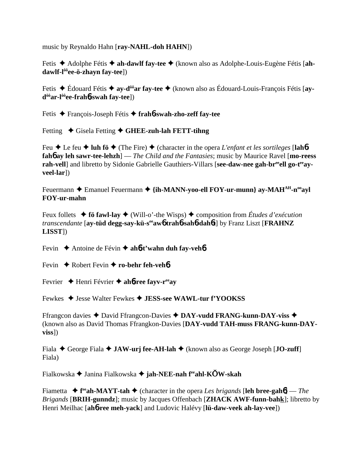music by Reynaldo Hahn [**ray-NAHL-doh HAHN**])

Fetis ◆ Adolphe Fétis ◆ ah-dawlf fay-tee ◆ (known also as Adolphe-Louis-Eugène Fétis [ah**dawlf-lôôee-ö-zhayn fay-tee**])

Fetis Édouard Fétis **ay-dôôar fay-tee** (known also as Édouard-Louis-François Fétis [**aydôôar-lôôee-frah**6**-swah fay-tee**])

Fetis François-Joseph Fétis **frah**6**-swah-zho-zeff fay-tee**

Fetting ◆ Gisela Fetting **◆ GHEE-zuh-lah FETT-tihng** 

Feu  $\blacklozenge$  Le feu  $\blacklozenge$  **luh fö**  $\blacklozenge$  (The Fire)  $\blacklozenge$  (character in the opera *L'enfant et les sortileges* [**lah**b**fah**6 **ay leh sawr-tee-lehzh**] — *The Child and the Fantasies*; music by Maurice Ravel [**mo-reess** rah-vell] and libretto by Sidonie Gabrielle Gauthiers-Villars [see-daw-nee gah-br<sup>ee</sup>ell go-t<sup>ee</sup>ay**veel-lar**])

Feuermann ◆ Emanuel Feuermann ◆ {ih-MANN-yoo-ell FOY-ur-munn} ay-MAH<sup>AH</sup>-n<sup>oo</sup>ayl **FOY-ur-mahn**

Feux follets  $\blacklozenge$  **fö fawl-lay**  $\blacklozenge$  (Will-o'-the Wisps)  $\blacklozenge$  composition from *Études d'exécution transcendante* [**ay-tüd degg-say-kü-seeaw**6 **trah**6**-sah**6**-dah**6**t**] by Franz Liszt [**FRAHNZ LISST**])

Fevin **→** Antoine de Févin → ah**6-t'wahn duh fay-veh6** 

Fevin ♦ Robert Fevin ♦ ro-behr feh-veh**6** 

Fevrier Henri Février **ah**6**-ree fayv-reeay**

Fewkes Jesse Walter Fewkes **JESS-see WAWL-tur f'YOOKSS**

Ffrangcon davies ◆ David Ffrangcon-Davies ◆ DAY-vudd FRANG-kunn-DAY-viss ◆ (known also as David Thomas Ffrangkon-Davies [**DAY-vudd TAH-muss FRANG-kunn-DAYviss**])

Fiala  $\triangle$  George Fiala  $\triangle$  **JAW-urj fee-AH-lah**  $\triangle$  (known also as George Joseph [**JO-zuff**] Fiala)

Fialkowska Janina Fialkowska **jah-NEE-nah feeahl-KW-skah**

Fiametta  $\bullet$  f<sup>ee</sup>ah-MAYT-tah  $\bullet$  (character in the opera *Les brigands* [leh bree-gah6] — *The Brigands* [**BRIH-gunndz**]; music by Jacques Offenbach [**ZHACK AWF-funn-bahk**]; libretto by Henri Meilhac [**ah**6**-ree meh-yack**] and Ludovic Halévy [**lü-daw-veek ah-lay-vee**])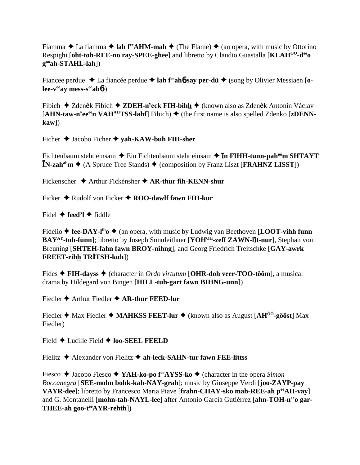Fiamma  $\triangle$  La fiamma  $\triangle$  **lah f<sup>re</sup>AHM-mah**  $\triangle$  (The Flame)  $\triangle$  (an opera, with music by Ottorino Respighi [**oht-toh-REE-no ray-SPEE-ghee**] and libretto by Claudio Guastalla [**KLAHOO-deeo gooah-STAHL-lah**])

Fiancee perdue  $\triangle$  La fiancée perdue  $\triangle$  lah f<sup>ee</sup> ah**6**-say per-dü  $\triangle$  (song by Olivier Messiaen [o**lee-veeay mess-seeah**6])

Fibich ◆ Zdeněk Fibich ◆ ZDEH-n<sup>y</sup>eck FIH-bihh ◆ (known also as Zdeněk Antonín Václav  $[AHN-taw-n<sup>y</sup>ee<sup>ee</sup>n VAH<sup>AH</sup>TSS-lahf] Fibich)$  (the first name is also spelled Zdenko [zDENN**kaw**])

Ficher  $\triangle$  Jacobo Ficher  $\triangle$  yah-KAW-buh FIH-sher

Fichtenbaum steht einsam  $\blacklozenge$  Ein Fichtenbaum steht einsam  $\blacklozenge$  **In FIHH-tunn-pah<sup>ôô</sup>m SHTAYT**  $\mathbf{\bar{N}}$ -zah<sup>ah</sup>m  $\blacklozenge$  (A Spruce Tree Stands)  $\blacklozenge$  (composition by Franz Liszt [**FRAHNZ LISST**])

Fickenscher **→** Arthur Fickénsher ◆ AR-thur fih-KENN-shur

Ficker  $\triangle$  Rudolf von Ficker  $\triangle$  **ROO-dawlf fawn FIH-kur** 

Fidel  $\triangle$  feed'l  $\triangle$  fiddle

Fidelio  $\triangle$  fee-DAY-l<sup>ih</sup>o  $\triangle$  (an opera, with music by Ludwig van Beethoven [**LOOT-vihh funn BAY<sup>AY</sup>-toh-funn**]; libretto by Joseph Sonnleithner [**YOH<sup>OH</sup>-zeff ZAWN-lit-nur**], Stephan von Breuning [**SHTEH-fahn fawn BROY-nihng**], and Georg Friedrich Treitschke [**GAY-awrk FREET-rihh TRTSH-kuh**])

Fides **FIH-dayss** (character in *Ordo virtutum* [**OHR-doh veer-TOO-tôôm**], a musical drama by Hildegard von Bingen [**HILL-tuh-gart fawn BIHNG-unn**])

Fiedler  $\triangle$  Arthur Fiedler  $\triangle$  AR-thur FEED-lur

Fiedler  $\triangle$  Max Fiedler  $\triangle$  **MAHKSS FEET-lur**  $\triangle$  (known also as August [AH<sup>00</sup>-gôôst] Max Fiedler)

Field  $\triangle$  Lucille Field  $\triangle$  **loo-SEEL FEELD** 

Fielitz Alexander von Fielitz **ah-leck-SAHN-tur fawn FEE-littss**

Fiesco ◆ Jacopo Fiesco ◆ **YAH-ko-po f<sup>ee</sup>AYSS-ko** ◆ (character in the opera *Simon Boccanegra* [**SEE-mohn bohk-kah-NAY-grah**]; music by Giuseppe Verdi [**joo-ZAYP-pay VAYR-dee**]; libretto by Francesco Maria Piave [frahn-CHAY-sko mah-REE-ah per AH-vay] and G. Montanelli [**mohn-tah-NAYL-lee**] after Antonio García Gutiérrez [**ahn-TOH-neeo gar-THEE-ah goo-teeAYR-rehth**])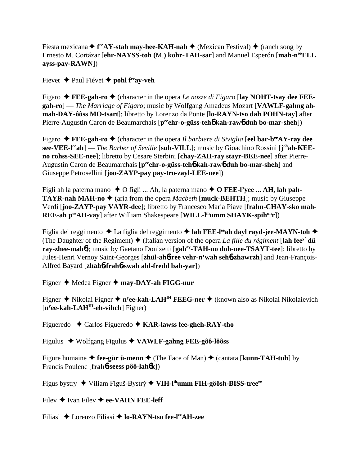Fiesta mexicana ◆ f<sup>re</sup>AY-stah may-hee-KAH-nah ◆ (Mexican Festival) ◆ (ranch song by Ernesto M. Cortázar [ehr-NAYSS-toh (M.) kohr-TAH-sar] and Manuel Esperón [mah-n<sup>oo</sup>ELL **ayss-pay-RAWN**])

Fievet **→** Paul Fiévet **→** pohl f<sup>ee</sup>ay-veh

Figaro **FEE-gah-ro** (character in the opera *Le nozze di Figaro* [**lay NOHT-tsay dee FEEgah-ro**] — *The Marriage of Figaro*; music by Wolfgang Amadeus Mozart [**VAWLF-gahng ahmah-DAY-ôôss MO-tsart**]; libretto by Lorenzo da Ponte [**lo-RAYN-tso dah POHN-tay**] after Pierre-Augustin Caron de Beaumarchais [p<sup>ee</sup>ehr-o-güss-teh**6** kah-raw6 duh bo-mar-sheh])

Figaro **FEE-gah-ro** (character in the opera *Il barbiere di Siviglia* [**eel bar-beeAY-ray dee see-VEE-l<sup>ee</sup>ah**] — *The Barber of Seville* [**suh-VILL**]; music by Gioachino Rossini [**j**<sup>oh</sup>**ah-KEEno rohss-SEE-nee**]; libretto by Cesare Sterbini [**chay-ZAH-ray stayr-BEE-nee**] after Pierre-Augustin Caron de Beaumarchais [p<sup>ee</sup>ehr-o-güss-teh**ó kah-rawó duh bo-mar-sheh**] and Giuseppe Petrosellini [**joo-ZAYP-pay pay-tro-zayl-LEE-nee**])

Figli ah la paterna mano  $\triangle$  O figli ... Ah, la paterna mano  $\triangle$  O **FEE-l'yee ... AH, lah pah-TAYR-nah MAH-no**  $\blacklozenge$  (aria from the opera *Macbeth* [**muck-BEHTH**]; music by Giuseppe Verdi [**joo-ZAYP-pay VAYR-dee**]; libretto by Francesco Maria Piave [**frahn-CHAY-sko mah-REE-ah p<sup>ee</sup>AH-vay**] after William Shakespeare [**WILL-l<sup>ih</sup>umm SHAYK-spih<sup>uh</sup>r**])

Figlia del reggimento ◆ La figlia del reggimento ◆ lah FEE-l<sup>ee</sup>ah dayl rayd-jee-MAYN-toh ◆ (The Daughter of the Regiment)  $\blacklozenge$  (Italian version of the opera *La fille du régiment* [**lah fee**<sup>y</sup> **dü ray-zhee-mah**6]; music by Gaetano Donizetti [**gahay-TAH-no doh-nee-TSAYT-tee**]; libretto by Jules-Henri Vernoy Saint-Georges [**zhül-ah**6**-ree vehr-n'wah seh**6**-zhawrzh**] and Jean-François-Alfred Bayard [**zhah**6**-frah**6**-swah ahl-fredd bah-yar**])

Figner ◆ Medea Figner ◆ may-DAY-ah FIGG-nur

Figner Nikolai Figner **ny ee-kah-LAHIH FEEG-ner** (known also as Nikolai Nikolaievich [**ny ee-kah-LAHIH-eh-vihch**] Figner)

Figueredo Carlos Figueredo **KAR-lawss fee-gheh-RAY-tho**

Figulus Wolfgang Figulus **VAWLF-gahng FEE-gôô-lôôss**

Figure humaine  $\triangle$  fee-gür ü-menn  $\triangle$  (The Face of Man)  $\triangle$  (cantata [**kunn-TAH-tuh**] by Francis Poulenc [**frah**6**-seess pôô-lah**6**k**])

Figus bystry Viliam Figuš-Bystrý  **VIH-lihumm FIH-gôôsh-BISS-treeee**

Filev  $\triangle$  Ivan Filev  $\triangle$  ee-VAHN FEE-leff

Filiasi Lorenzo Filiasi **lo-RAYN-tso fee-leeAH-zee**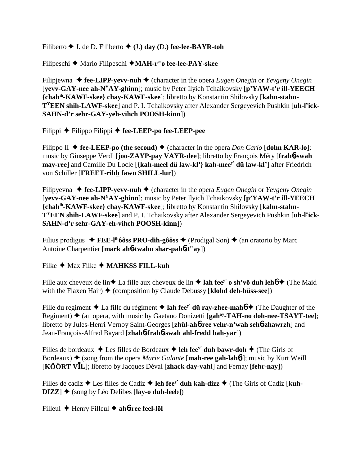Filiberto  $\blacklozenge$  J. de D. Filiberto  $\blacklozenge$  (J.) day (D.) fee-lee-BAYR-toh

Filipeschi ◆ Mario Filipeschi ◆ MAH-r<sup>ee</sup>o fee-lee-PAY-skee

Filipjewna ◆ fee-LIPP-yevv-nuh ◆ (character in the opera *Eugen Onegin* or *Yevgeny Onegin* [**yevv-GAY-nee ah-NYAY-ghinn**]; music by Peter Ilyich Tchaikovsky [**p'YAW-t'r ill-YEECH {chahih-KAWF-skee} chay-KAWF-skee**]; libretto by Konstantin Shilovsky [**kahn-stahn-TYEEN shih-LAWF-skee**] and P. I. Tchaikovsky after Alexander Sergeyevich Pushkin [**uh-ly ick-SAHN-d'r sehr-GAY-yeh-vihch POOSH-kinn**])

Filippi Filippo Filippi **fee-LEEP-po fee-LEEP-pee**

Filippo II  $\triangle$  **fee-LEEP-po (the second)**  $\triangle$  (character in the opera *Don Carlo* [**dohn KAR-lo**]; music by Giuseppe Verdi [**joo-ZAYP-pay VAYR-dee**]; libretto by François Méry [**frah**6**-swah may-ree**] and Camille Du Locle [**{kah-meel dü law-kl'} kah-meey' dü law-kl'**] after Friedrich von Schiller [**FREET-rihh fawn SHILL-lur**])

Filipyevna  $\triangle$  **fee-LIPP-yevv-nuh**  $\triangle$  (character in the opera *Eugen Onegin* or *Yevgeny Onegin* [**yevv-GAY-nee ah-NYAY-ghinn**]; music by Peter Ilyich Tchaikovsky [**p'YAW-t'r ill-YEECH {chahih-KAWF-skee} chay-KAWF-skee**]; libretto by Konstantin Shilovsky [**kahn-stahn-TYEEN shih-LAWF-skee**] and P. I. Tchaikovsky after Alexander Sergeyevich Pushkin [**uh-ly ick-SAHN-d'r sehr-GAY-eh-vihch POOSH-kinn**])

Filius prodigus  $\blacklozenge$  **FEE-l<sup>ih</sup>ôôss PRO-dih-gôôss**  $\blacklozenge$  (Prodigal Son)  $\blacklozenge$  (an oratorio by Marc Antoine Charpentier [**mark ah**6**-twahn shar-pah**6**-teeay**])

Filke ◆ Max Filke ◆ **MAHKSS FILL-kuh** 

Fille aux cheveux de lin  $\triangle$  La fille aux cheveux de lin  $\triangle$  lah fee<sup>y</sup> o sh'vö duh leh $6 \triangle$  (The Maid with the Flaxen Hair)  $\blacklozenge$  (composition by Claude Debussy [**klohd deh-büss-see**])

Fille du regiment  $\triangle$  La fille du régiment  $\triangle$  lah fee<sup>y</sup>' dü ray-zhee-mahó  $\triangle$  (The Daughter of the Regiment) ♦ (an opera, with music by Gaetano Donizetti [**gah<sup>ay</sup>-TAH-no doh-nee-TSAYT-tee**]; libretto by Jules-Henri Vernoy Saint-Georges [**zhül-ah**6**-ree vehr-n'wah seh**6**-zhawrzh**] and Jean-François-Alfred Bayard [**zhah**6**-frah**6**-swah ahl-fredd bah-yar**])

Filles de bordeaux  $\triangle$  Les filles de Bordeaux  $\triangle$  leh fee<sup>y'</sup> duh bawr-doh  $\triangle$  (The Girls of Bordeaux)  $\triangle$  (song from the opera *Marie Galante* [**mah-ree gah-lah6t**]; music by Kurt Weill [**KÔÔRT VL**]; libretto by Jacques Déval [**zhack day-vahl**] and Fernay [**fehr-nay**])

Filles de cadiz  $\triangle$  Les filles de Cadiz  $\triangle$  leh fee<sup>y</sup>' duh kah-dizz  $\triangle$  (The Girls of Cadiz [kuh- $\text{DIZZ}$   $\blacklozenge$  (song by Léo Delibes [lay-o duh-leeb])

Filleul Henry Filleul **ah**6**-ree feel-löl**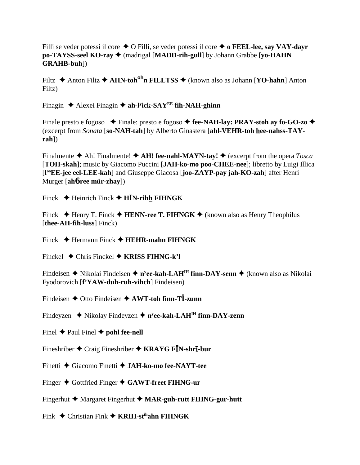Filli se veder potessi il core  $\triangle$  O Filli, se veder potessi il core  $\triangle$  o **FEEL-lee, say VAY-dayr po-TAYSS-seel KO-ray**  $\triangleleft$  (madrigal [MADD-rih-gull] by Johann Grabbe [yo-HAHN] **GRAHB-buh**])

Filtz **→** Anton Filtz **→ AHN-toh<sup>oh</sup>n FILLTSS** → (known also as Johann [**YO-hahn**] Anton Filtz)

Finagin ◆ Alexei Finagin ◆ ah-l<sup>y</sup>ick-SAY<sup>EE</sup> fih-NAH-ghinn

Finale presto e fogoso  $\blacklozenge$  Finale: presto e fogoso  $\blacklozenge$  **fee-NAH-lay: PRAY-stoh ay fo-GO-zo**  $\blacklozenge$ (excerpt from *Sonata* [**so-NAH-tah**] by Alberto Ginastera [**ahl-VEHR-toh hee-nahss-TAYrah**])

Finalmente  $\triangle$  Ah! Finalmente!  $\triangle$  AH! fee-nahl-MAYN-tay!  $\triangle$  (excerpt from the opera *Tosca* [**TOH-skah**]; music by Giacomo Puccini [**JAH-ko-mo poo-CHEE-nee**]; libretto by Luigi Illica [**l ooEE-jee eel-LEE-kah**] and Giuseppe Giacosa [**joo-ZAYP-pay jah-KO-zah**] after Henri Murger [**ah**6**-ree mür-zhay**])

Finck  $\blacklozenge$  Heinrich Finck  $\blacklozenge$  **HN-rihh FIHNGK** 

Finck  $\blacklozenge$  Henry T. Finck  $\blacklozenge$  **HENN-ree T. FIHNGK**  $\blacklozenge$  (known also as Henry Theophilus [**thee-AH-fih-luss**] Finck)

Finck Hermann Finck **HEHR-mahn FIHNGK**

Finckel Chris Finckel **KRISS FIHNG-k'l**

Findeisen ◆ Nikolai Findeisen ◆ n<sup>y</sup>**ee-kah-LAH<sup>IH</sup> finn-DAY-senn ◆** (known also as Nikolai Fyodorovich [**f'YAW-duh-ruh-vihch**] Findeisen)

Findeisen **→** Otto Findeisen ◆ AWT-toh finn-T**I**-zunn

Findeyzen ◆ Nikolay Findeyzen ◆ n<sup>y</sup>ee-kah-LAH<sup>IH</sup> finn-DAY-zenn

Finel  $\triangle$  Paul Finel  $\triangle$  pohl fee-nell

Fineshriber ◆ Craig Fineshriber ◆ KRAYG F**I**N-shr**ī**-bur

Finetti Giacomo Finetti **JAH-ko-mo fee-NAYT-tee**

Finger Gottfried Finger **GAWT-freet FIHNG-ur**

Fingerhut **←** Margaret Fingerhut ← MAR-guh-rutt FIHNG-gur-hutt

Fink Christian Fink **KRIH-stihahn FIHNGK**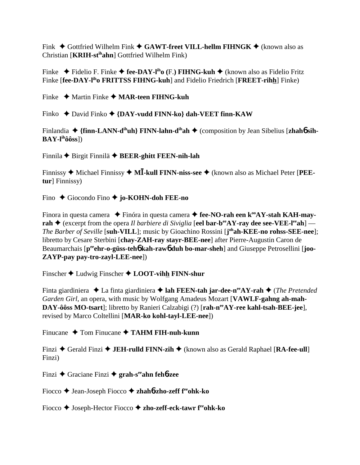Fink  $\triangle$  Gottfried Wilhelm Fink  $\triangle$  GAWT-freet VILL-hellm FIHNGK  $\triangle$  (known also as Christian [**KRIH-stihahn**] Gottfried Wilhelm Fink)

Finke ◆ Fidelio F. Finke ◆ fee-DAY-l<sup>ih</sup>o (F.) **FIHNG-kuh** ◆ (known also as Fidelio Fritz Finke [**fee-DAY-liho FRITTSS FIHNG-kuh**] and Fidelio Friedrich [**FREET-rihh**] Finke)

Finke Martin Finke **MAR-teen FIHNG-kuh**

Finko ◆ David Finko ◆ {DAY-vudd FINN-ko} dah-VEET finn-KAW

Finlandia ◆ {finn-LANN-d<sup>ih</sup>uh} FINN-lahn-d<sup>ih</sup>ah ◆ (composition by Jean Sibelius [zhah**6** sih-**BAY-lihôôss**])

Finnila Birgit Finnilä **BEER-ghitt FEEN-nih-lah**

Finnissy ◆ Michael Finnissy ◆ M**I-kull FINN-niss-see** ◆ (known also as Michael Peter [PEE**tur**] Finnissy)

Fino Giocondo Fino **jo-KOHN-doh FEE-no**

Finora in questa camera  $\blacklozenge$  Finóra in questa camera  $\blacklozenge$  fee-NO-rah een k<sup>oo</sup>AY-stah KAH-may**rah**  $\triangle$  (excerpt from the opera *Il barbiere di Siviglia* [eel bar-b<sup>ee</sup>AY-ray dee see-VEE-l<sup>ee</sup>ah] — *The Barber of Seville* [**suh-VILL**]; music by Gioachino Rossini [**j ohah-KEE-no rohss-SEE-nee**]; libretto by Cesare Sterbini [**chay-ZAH-ray stayr-BEE-nee**] after Pierre-Augustin Caron de Beaumarchais [p<sup>ee</sup>ehr-o-güss-teh**6** kah-raw6 duh bo-mar-sheh] and Giuseppe Petrosellini [joo-**ZAYP-pay pay-tro-zayl-LEE-nee**])

Finscher ◆ Ludwig Finscher ◆ **LOOT-vihh FINN-shur** 

Finta giardiniera ◆ La finta giardiniera ◆ **lah FEEN-tah jar-dee-n<sup>ee</sup>AY-rah** ◆ (*The Pretended Garden Girl*, an opera, with music by Wolfgang Amadeus Mozart [**VAWLF-gahng ah-mah-**DAY-ôôss MO-tsart]; libretto by Ranieri Calzabigi (?) [rah-n<sup>ee</sup>AY-ree kahl-tsah-BEE-jee], revised by Marco Coltellini [**MAR-ko kohl-tayl-LEE-nee**])

Finucane ◆ Tom Finucane ◆ **TAHM FIH-nuh-kunn** 

Finzi ◆ Gerald Finzi ◆ **JEH-rulld FINN-zih** ◆ (known also as Gerald Raphael [**RA-fee-ull**] Finzi)

Finzi Graciane Finzi **grah-seeahn feh**6**-zee**

Fiocco **→** Jean-Joseph Fiocco → zhah**6-zho-zeff f<sup>ee</sup>ohk-ko** 

Fiocco ◆ Joseph-Hector Fiocco ◆ zho-zeff-eck-tawr f<sup>ee</sup>ohk-ko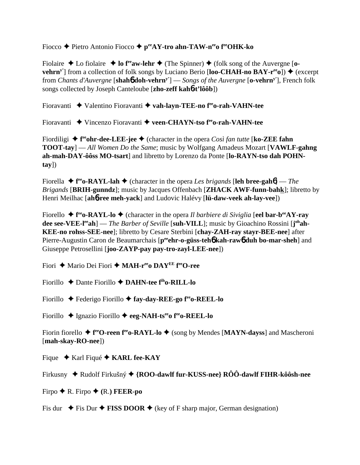Fiocco ◆ Pietro Antonio Fiocco ◆ peeAY-tro ahn-TAW-n<sup>ee</sup>o f<sup>ee</sup>OHK-ko

Fiolaire  $\triangle$  Lo fiolaire  $\triangle$  **lo f<sup>ee</sup>aw-lehr**  $\triangle$  (The Spinner)  $\triangle$  (folk song of the Auvergne [**ovehrn<sup>y'</sup>**] from a collection of folk songs by Luciano Berio  $[loo\text{-}CHAH\text{-}no\,BAY\text{-}r<sup>ee</sup>o])$   $\blacklozenge$  (excerpt from *Chants d'Auvergne* [**shah**6 **doh-vehrny'**] — *Songs of the Auvergne* [**o-vehrny'**], French folk songs collected by Joseph Canteloube [**zho-zeff kah**6**-t'lôôb**])

Fioravanti ◆ Valentino Fioravanti ◆ vah-layn-TEE-no f<sup>ee</sup>o-rah-VAHN-tee

Fioravanti Vincenzo Fioravanti **veen-CHAYN-tso feeo-rah-VAHN-tee**

Fiordiligi ◆ **f**<sup>re</sup>**ohr-dee-LEE-jee** ◆ (character in the opera *Così fan tutte* [**ko-ZEE fahn TOOT-tay**] — *All Women Do the Same*; music by Wolfgang Amadeus Mozart [**VAWLF-gahng ah-mah-DAY-ôôss MO-tsart**] and libretto by Lorenzo da Ponte [**lo-RAYN-tso dah POHNtay**])

Fiorella  $\triangle$  f<sup>re</sup>o-RAYL-lah  $\triangle$  (character in the opera *Les brigands* [leh bree-gah6] — *The Brigands* [**BRIH-gunndz**]; music by Jacques Offenbach [**ZHACK AWF-funn-bahk**]; libretto by Henri Meilhac [**ah**6**-ree meh-yack**] and Ludovic Halévy [**lü-daw-veek ah-lay-vee**])

Fiorello ◆ **f<sup>re</sup>o-RAYL-lo ◆** (character in the opera *Il barbiere di Siviglia* [**eel bar-b<sup>ee</sup>AY-ray dee see-VEE-l<sup>ee</sup>ah**] — *The Barber of Seville* [suh-VILL]; music by Gioachino Rossini [j<sup>oh</sup>ah-**KEE-no rohss-SEE-nee**]; libretto by Cesare Sterbini [**chay-ZAH-ray stayr-BEE-nee**] after Pierre-Augustin Caron de Beaumarchais [peent-o-güss-teh**6** kah-raw**6** duh bo-mar-sheh] and Giuseppe Petrosellini [**joo-ZAYP-pay pay-tro-zayl-LEE-nee**])

Fiori ◆ Mario Dei Fiori ◆ MAH-r<sup>ee</sup>o DAY<sup>EE</sup> f<sup>ee</sup>O-ree

Fiorillo Dante Fiorillo **DAHN-tee fiho-RILL-lo**

Fiorillo ◆ Federigo Fiorillo ◆ fay-day-REE-go f<sup>ee</sup>o-REEL-lo

Fiorillo Ignazio Fiorillo **eeg-NAH-tseeo feeo-REEL-lo**

Fiorin fiorello ◆ f<sup>ee</sup>O-reen f<sup>ee</sup>o-RAYL-lo ◆ (song by Mendes [MAYN-dayss] and Mascheroni [**mah-skay-RO-nee**])

Fique ◆ Karl Fiqué ◆ **KARL fee-KAY** 

Firkusny ◆ Rudolf Firkušný ◆ {ROO-dawlf fur-KUSS-nee} RÔÔ-dawlf FIHR-kôôsh-nee

Firpo  $\blacklozenge$  **R.** Firpo  $\blacklozenge$  **(R.) FEER-po** 

Fis dur  $\div$  Fis Dur  $\div$  **FISS DOOR**  $\div$  (key of F sharp major, German designation)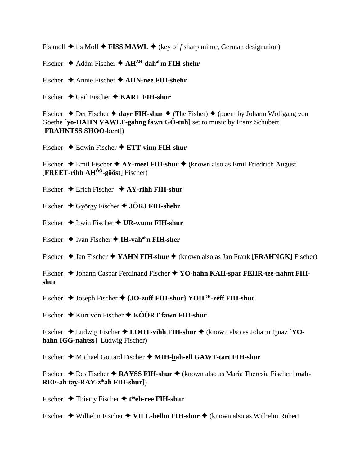Fis moll  $\blacklozenge$  fis Moll  $\blacklozenge$  FISS MAWL  $\blacklozenge$  (key of f sharp minor, German designation)

Fischer  $\triangleq$  Ádám Fischer  $\triangleq$  AH<sup>AH</sup>-dah<sup>ah</sup>m FIH-shehr

Fischer  $\triangle$  Annie Fischer  $\triangle$  AHN-nee FIH-shehr

Fischer  $\triangleleft$  Carl Fischer  $\triangleleft$  KARL FIH-shur

Fischer  $\triangle$  Der Fischer  $\triangle$  dayr FIH-shur  $\triangle$  (The Fisher)  $\triangle$  (poem by Johann Wolfgang von Goethe [yo-HAHN VAWLF-gahng fawn GÖ-tuh] set to music by Franz Schubert [FRAHNTSS SHOO-bert])

Fischer  $\triangleleft$  Edwin Fischer  $\triangleleft$  ETT-vinn FIH-shur

Fischer  $\triangle$  Emil Fischer  $\triangle$  AY-meel FIH-shur  $\triangle$  (known also as Emil Friedrich August [FREET-rihh  $AH^{00}$ -gôôst] Fischer)

Fischer  $\triangle$  Erich Fischer  $\triangle$  AY-rihh FIH-shur

- Fischer  $\blacklozenge$  György Fischer  $\blacklozenge$  JÖRJ FIH-shehr
- Fischer  $\blacklozenge$  Irwin Fischer  $\blacklozenge$  UR-wunn FIH-shur

Fischer  $\triangleq$  Iván Fischer  $\triangleq$  IH-vah<sup>ah</sup>n FIH-sher

Fischer  $\triangle$  Jan Fischer  $\triangle$  YAHN FIH-shur  $\triangle$  (known also as Jan Frank [FRAHNGK] Fischer)

Fischer  $\blacklozenge$  Johann Caspar Ferdinand Fischer  $\blacklozenge$  YO-hahn KAH-spar FEHR-tee-nahnt FIHshur

Fischer  $\triangle$  Joseph Fischer  $\triangle$  {JO-zuff FIH-shur} YOH<sup>OH</sup>-zeff FIH-shur

Fischer  $\triangle$  Kurt von Fischer  $\triangle$  KÔÔRT fawn FIH-shur

Fischer  $\triangleleft$  Ludwig Fischer  $\triangleleft$  LOOT-vihh FIH-shur  $\triangleleft$  (known also as Johann Ignaz [YOhahn IGG-nahtss] Ludwig Fischer)

Fischer ♦ Michael Gottard Fischer ♦ MIH-hah-ell GAWT-tart FIH-shur

Fischer  $\triangle$  Res Fischer  $\triangle$  RAYSS FIH-shur  $\triangle$  (known also as Maria Theresia Fischer [mah- $REE-ah$  tay-RAY-z<sup>ih</sup>ah FIH-shur])

Fischer  $\blacklozenge$  Thierry Fischer  $\blacklozenge$  teen-ree FIH-shur

Fischer  $\blacklozenge$  Wilhelm Fischer  $\blacklozenge$  VILL-hellm FIH-shur  $\blacklozenge$  (known also as Wilhelm Robert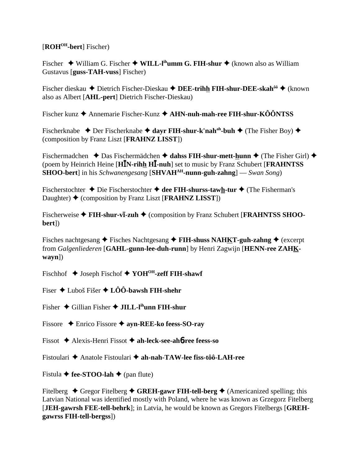# [ROH<sup>OH</sup>-bert] Fischer)

Fischer  $\blacklozenge$  William G. Fischer  $\blacklozenge$  WILL-I<sup>th</sup>umm G. FIH-shur  $\blacklozenge$  (known also as William Gustavus [guss-TAH-vuss] Fischer)

Fischer dieskau ◆ Dietrich Fischer-Dieskau ◆ DEE-trihh FIH-shur-DEE-skah<sup>ôô</sup> ◆ (known also as Albert [AHL-pert] Dietrich Fischer-Dieskau)

Fischer kunz  $\triangle$  Annemarie Fischer-Kunz  $\triangle$  AHN-nuh-mah-ree FIH-shur-KÔÔNTSS

Fischerknabe  $\rightarrow$  Der Fischerknabe  $\rightarrow$  dayr FIH-shur-k'nah<sup>ah</sup>-buh  $\rightarrow$  (The Fisher Boy)  $\rightarrow$ (composition by Franz Liszt [FRAHNZ LISST])

Fischermadchen  $\triangle$  Das Fischermädchen  $\triangle$  dahss FIH-shur-mett-hunn  $\triangle$  (The Fisher Girl)  $\triangle$ (poem by Heinrich Heine [HIN-rihh HI-nuh] set to music by Franz Schubert [FRAHNTSS] **SHOO-bert**] in his *Schwanengesang* [**SHVAH**<sup>AH</sup>-nunn-guh-zahng] — *Swan Song*)

Fischerstochter  $\triangle$  Die Fischerstochter  $\triangle$  dee FIH-shurss-tawh-tur  $\triangle$  (The Fisherman's Daughter)  $\blacklozenge$  (composition by Franz Liszt [FRAHNZ LISST])

Fischerweise  $\blacklozenge$  FIH-shur-vi-zuh  $\blacklozenge$  (composition by Franz Schubert [FRAHNTSS SHOObert])

Fisches nachtgesang  $\triangle$  Fisches Nachtgesang  $\triangle$  FIH-shuss NAHKT-guh-zahng  $\triangle$  (excerpt from Galgenliederen [GAHL-gunn-lee-duh-runn] by Henri Zagwijn [HENN-ree ZAHK $wayn$ ])

Fischhof  $\triangle$  Joseph Fischof  $\triangle$  YOH<sup>OH</sup>-zeff FIH-shawf

Fiser  $\triangle$  Luboš Fišer  $\triangle$  LÔÔ-bawsh FIH-shehr

Fisher  $\triangle$  Gillian Fisher  $\triangle$  JILL-l<sup>ih</sup>unn FIH-shur

Fissore  $\triangle$  Enrico Fissore  $\triangle$  ayn-REE-ko feess-SO-ray

Fissot  $\triangle$  Alexis-Henri Fissot  $\triangle$  ah-leck-see-ah6-ree feess-so

Fistoulari ◆ Anatole Fistoulari ◆ ah-nah-TAW-lee fiss-tôô-LAH-ree

Fistula  $\blacklozenge$  fee-STOO-lah  $\blacklozenge$  (pan flute)

Fitelberg  $\triangle$  Gregor Fitelberg  $\triangle$  GREH-gawr FIH-tell-berg  $\triangle$  (Americanized spelling; this Latvian National was identified mostly with Poland, where he was known as Grzegorz Fitelberg [JEH-gawrsh FEE-tell-behrk]; in Latvia, he would be known as Gregors Fitelbergs [GREHgawrss FIH-tell-bergss])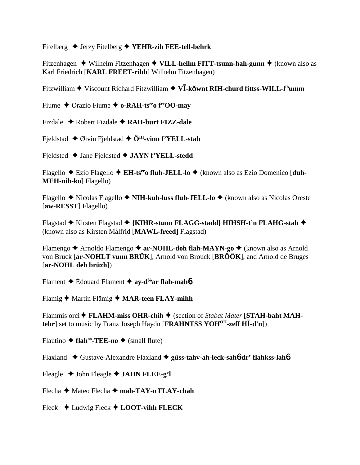Fitelberg  $\triangle$  Jerzy Fitelberg  $\triangle$  YEHR-zih FEE-tell-behrk

Fitzenhagen  $\triangle$  Wilhelm Fitzenhagen  $\triangle$  VILL-hellm FITT-tsunn-hah-gunn  $\triangle$  (known also as Karl Friedrich [KARL FREET-rihh] Wilhelm Fitzenhagen)

Fitzwilliam  $\blacklozenge$  Viscount Richard Fitzwilliam  $\blacklozenge$  V**I**-kovnt RIH-churd fittss-WILL-l<sup>ih</sup>umm

Fiume  $\triangle$  Orazio Fiume  $\triangle$  o-RAH-ts<sup>ee</sup> of read only

Fizdale  $\triangle$  Robert Fizdale  $\triangle$  RAH-burt FIZZ-dale

Fieldstad  $\triangle$  Øivin Fieldstad  $\triangle$  Ö<sup>IH</sup>-vinn f'YELL-stah

Fieldsted  $\triangle$  Jane Fieldsted  $\triangle$  JAYN f'YELL-stedd

Flagello ◆ Ezio Flagello ◆ EH-ts<sup>ee</sup>o fluh-JELL-lo ◆ (known also as Ezio Domenico [duh-**MEH-nih-ko**] Flagello)

Flagello  $\triangle$  Nicolas Flagello  $\triangle$  NIH-kuh-luss fluh-JELL-lo  $\triangle$  (known also as Nicolas Oreste [aw-RESST] Flagello)

Flagstad ◆ Kirsten Flagstad ◆ {KIHR-stunn FLAGG-stadd} HIHSH-t'n FLAHG-stah ◆ (known also as Kirsten Målfrid [MAWL-freed] Flagstad)

Flamengo  $\triangle$  Arnoldo Flamengo  $\triangle$  ar-NOHL-doh flah-MAYN-go  $\triangle$  (known also as Arnold von Bruck [ar-NOHLT vunn BRÜK], Arnold von Brouck [BR $\hat{O} \hat{O} K$ ], and Arnold de Bruges  $[\text{ar-NOHL}$  deh brüzh $])$ 

Flament  $\triangle$  Édouard Flament  $\triangleq$  av-d<sup>ôô</sup>ar flah-mahó

Flamig  $\blacklozenge$  Martin Flämig  $\blacklozenge$  MAR-teen FLAY-mihh

Flammis orci  $\blacklozenge$  FLAHM-miss OHR-chih  $\blacklozenge$  (section of *Stabat Mater* [STAH-baht MAHtehr] set to music by Franz Joseph Haydn [FRAHNTSS YOH<sup>OH</sup>-zeff  $H\bar{I}$ -d'n])

Flautino  $\triangle$  flah<sup>oo</sup>-TEE-no  $\triangle$  (small flute)

Flaxland  $\triangle$  Gustave-Alexandre Flaxland  $\triangle$  güss-tahv-ah-leck-saho-dr' flahkss-laho

Fleagle  $\triangle$  John Fleagle  $\triangle$  JAHN FLEE-g'l

Flecha ◆ Mateo Flecha ◆ mah-TAY-o FLAY-chah

Fleck  $\triangleleft$  Ludwig Fleck  $\triangleleft$  LOOT-vihh FLECK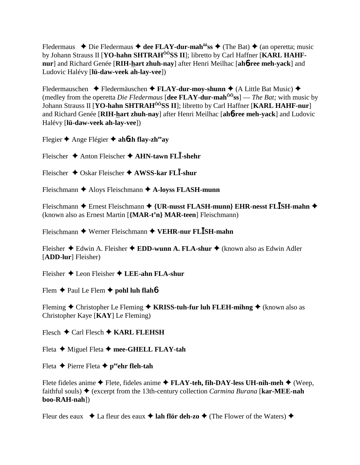Fledermaus  $\triangle$  Die Fledermaus  $\triangle$  dee FLAY-dur-mah<sup> $\hat{\theta}$ os  $\triangle$  (The Bat)  $\triangle$  (an operetta; music</sup> by Johann Strauss II [YO-hahn SHTRAH<sup>ÔÔ</sup>SS II]; libretto by Carl Haffner [KARL HAHFnur] and Richard Genée [RIH-hart zhuh-nay] after Henri Meilhac [ah6-ree meh-yack] and Ludovic Halévy [lü-daw-veek ah-lay-vee])

Fledermauschen  $\triangle$  Fledermäuschen  $\triangle$  FLAY-dur-moy-shunn  $\triangle$  (A Little Bat Music)  $\triangle$ (medley from the operetta *Die Fledermaus* [dee FLAY-dur-mah<sup> $\hat{00}$ </sup>ss] — *The Bat*; with music by Johann Strauss II [YO-hahn SHTRAH<sup>ÔÔ</sup>SS II]; libretto by Carl Haffner [KARL HAHF-nur] and Richard Genée [RIH-hart zhuh-nay] after Henri Meilhac [ah6-ree meh-yack] and Ludovic Halévy [lü-daw-veek ah-lay-vee])

Flegier  $\triangle$  Ange Flégier  $\triangle$  ahozh flav-zh<sup>ee</sup> av

Fleischer  $\triangle$  Anton Fleischer  $\triangle$  AHN-tawn FLI-shehr

Fleischer  $\triangle$  Oskar Fleischer  $\triangle$  AWSS-kar FLI-shur

Fleischmann  $\triangle$  Aloys Fleischmann  $\triangle$  A-loyss FLASH-munn

Fleischmann  $\triangle$  Ernest Fleischmann  $\triangle$  {UR-nusst FLASH-munn} EHR-nesst FLISH-mahn  $\triangle$ (known also as Ernest Martin [{MAR-t'n} MAR-teen] Fleischmann)

Fleischmann  $\blacklozenge$  Werner Fleischmann  $\blacklozenge$  VEHR-nur FLISH-mahn

Fleisher  $\triangle$  Edwin A. Fleisher  $\triangle$  EDD-wunn A. FLA-shur  $\triangle$  (known also as Edwin Adler [ADD-lur] Fleisher)

Fleisher  $\triangle$  Leon Fleisher  $\triangle$  LEE-ahn FLA-shur

Flem  $\triangle$  Paul Le Flem  $\triangle$  pohl luh flaho

Fleming  $\triangle$  Christopher Le Fleming  $\triangle$  KRISS-tuh-fur luh FLEH-ming  $\triangle$  (known also as Christopher Kaye [KAY] Le Fleming)

Flesch  $\bigstar$  Carl Flesch  $\bigstar$  KARL FLEHSH

Fleta  $\blacklozenge$  Miguel Fleta  $\blacklozenge$  mee-GHELL FLAY-tah

Fleta  $\blacklozenge$  Pierre Fleta  $\blacklozenge$  p<sup>ee</sup>ehr fleh-tah

Flete fideles anime  $\blacklozenge$  Flete, fideles anime  $\blacklozenge$  FLAY-teh, fih-DAY-less UH-nih-meh  $\blacklozenge$  (Weep, faithful souls)  $\blacklozenge$  (excerpt from the 13th-century collection *Carmina Burana* [**kar-MEE-nah**] boo-RAH-nah])

Fleur des eaux  $\bullet$  La fleur des eaux  $\bullet$  lah flör deh-zo  $\bullet$  (The Flower of the Waters)  $\bullet$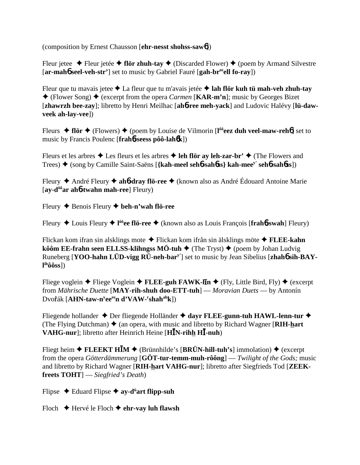(composition by Ernest Chausson [**ehr-nesst shohss-saw**6])

Fleur jetee  $\triangle$  Fleur jetée  $\triangle$  fl**ör zhuh-tay**  $\triangle$  (Discarded Flower)  $\triangle$  (poem by Armand Silvestre [**ar-mah**6 **seel-veh-str'**] set to music by Gabriel Fauré [**gah-breeell fo-ray**])

Fleur que tu mavais jetee La fleur que tu m'avais jetée **lah flör kuh tü mah-veh zhuh-tay**  $\triangle$  (Flower Song)  $\triangle$  (excerpt from the opera *Carmen* [**KAR-m'n**]; music by Georges Bizet [**zhawrzh bee-zay**]; libretto by Henri Meilhac [**ah**6**-ree meh-yack**] and Ludovic Halévy [**lü-dawveek ah-lay-vee**])

Fleurs **→ flör →** (Flowers) ◆ (poem by Louise de Vilmorin [l<sup>ôô</sup>eez duh veel-maw-reh<sup>o</sup>] set to music by Francis Poulenc [**frah**6**-seess pôô-lah**6**k**])

Fleurs et les arbres  $\triangle$  Les fleurs et les arbres  $\triangle$  leh flör ay leh-zar-br'  $\triangle$  (The Flowers and Trees) (song by Camille Saint-Saëns [**{kah-meel seh**6**-sah**6**ss} kah-meey' seh**6**-sah**6**ss**])

Fleury André Fleury **ah**6**-dray flö-ree** (known also as André Édouard Antoine Marie [**ay-dôôar ah**6**-twahn mah-ree**] Fleury)

Fleury Benois Fleury **beh-n'wah flö-ree**

Fleury Louis Fleury **l ôôee flö-ree** (known also as Louis François [**frah**6**-swah**] Fleury)

Flickan kom ifran sin alsklings mote Flickan kom ifrån sin älsklings möte  **FLEE-kahn kôôm EE-frahn seen ELLSS-klihngss MÖ-tuh ♦** (The Tryst) ♦ (poem by Johan Ludvig Runeberg [**YOO-hahn LÜD-vigg RÜ-neh-bary'**] set to music by Jean Sibelius [**zhah**6 **sih-BAYl ihôôss**])

Fliege voglein ◆ Fliege Voglein ◆ FLEE-guh FAWK-l**In** ◆ (Fly, Little Bird, Fly) ◆ (excerpt from *Mährische Duette* [**MAY-rih-shuh doo-ETT-tuh**] — *Moravian Duets* — by Antonín Dvořák [**AHN-taw-n<sup>y</sup>ee<sup>ee</sup>n d'VAW-<sup>r</sup>shah<sup>ah</sup>k**])

Fliegende hollander ◆ Der fliegende Holländer ◆ dayr FLEE-gunn-tuh HAWL-lenn-tur ◆ (The Flying Dutchman)  $\triangle$  (an opera, with music and libretto by Richard Wagner [**RIH-hart VAHG-nur**]; libretto after Heinrich Heine [**HN-rihh H-nuh**)

Fliegt heim  $\triangle$  **FLEEKT HIM**  $\triangle$  (Brünnhilde's [BRÜN-hill-tuh's] immolation)  $\triangle$  (excerpt from the opera *Götterdämmerung* [**GÖT-tur-temm-muh-rôông**] — *Twilight of the Gods;* music and libretto by Richard Wagner [**RIH-hart VAHG-nur**]; libretto after Siegfrieds Tod [**ZEEKfreets TOHT**] — *Siegfried's Death*)

Flipse Eduard Flipse **ay-dü art flipp-suh**

Floch Hervé le Floch **ehr-vay luh flawsh**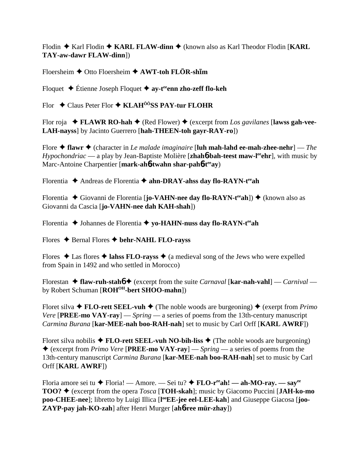Flodin  $\triangle$  Karl Flodin  $\triangle$  KARL FLAW-dinn  $\triangle$  (known also as Karl Theodor Flodin [KARL TAY-aw-dawr FLAW-dinn])

Floersheim  $\triangle$  Otto Floersheim  $\triangle$  AWT-toh FLÖR-shim

Floquet  $\triangle$  Étienne Joseph Floquet  $\triangleq$  ay-t<sup>ee</sup> enn zho-zeff flo-keh

Flor  $\triangle$  Claus Peter Flor  $\triangle$  KLAH<sup> $\hat{0}$ ÔSS PAY-tur FLOHR</sup>

Flor roja  $\div$  FLAWR RO-hah  $\div$  (Red Flower)  $\div$  (excerpt from Los gavilanes [lawss gah-vee-LAH-nayss] by Jacinto Guerrero [hah-THEEN-toh gayr-RAY-ro])

Flore  $\triangle$  flawr  $\triangle$  (character in *Le malade imaginaire* [luh mah-lahd ee-mah-zhee-nehr] — The *Hypochondriac* — a play by Jean-Baptiste Molière [**zhahó-bah-teest maw-l<sup>ee</sup>chr**], with music by Marc-Antoine Charpentier [mark-ah6-twahn shar-pah6-t<sup>ee</sup>ay)

Florentia  $\triangle$  Andreas de Florentia  $\triangle$  ahn-DRAY-ahss day flo-RAYN-t<sup>ee</sup> ah

Florentia  $\blacklozenge$  Giovanni de Florentia [**jo-VAHN-nee day flo-RAYN-t<sup>ee</sup>ah**])  $\blacklozenge$  (known also as Giovanni da Cascia [jo-VAHN-nee dah KAH-shah])

Florentia ◆ Johannes de Florentia ◆ yo-HAHN-nuss day flo-RAYN-t<sup>ee</sup>ah

Flores  $\triangle$  Bernal Flores  $\triangle$  behr-NAHL FLO-rayss

Flores  $\triangle$  Las flores  $\triangle$  lahse FLO-rayss  $\triangle$  (a medieval song of the Jews who were expelled from Spain in 1492 and who settled in Morocco)

Florestan  $\triangle$  flaw-ruh-stah $\phi$  (excerpt from the suite *Carnaval* [kar-nah-vahl] — *Carnival* by Robert Schuman [ROH<sup>OH</sup>-bert SHOO-mahn])

Floret silva  $\triangle$  FLO-rett SEEL-vuh  $\triangle$  (The noble woods are burgeoning)  $\triangle$  (exerpt from *Primo Vere* [PREE-mo VAY-ray] — Spring — a series of poems from the 13th-century manuscript Carmina Burana [kar-MEE-nah boo-RAH-nah] set to music by Carl Orff [KARL AWRF])

Floret silva nobilis  $\triangle$  FLO-rett SEEL-vuh NO-bih-liss  $\triangle$  (The noble woods are burgeoning)  $\triangle$  (excerpt from *Primo Vere* [**PREE-mo VAY-ray**] — *Spring* — a series of poems from the 13th-century manuscript Carmina Burana [kar-MEE-nah boo-RAH-nah] set to music by Carl Orff [KARL AWRF])

Floria amore sei tu  $\triangle$  Floria! — Amore. — Sei tu?  $\triangle$  FLO-r<sup>ee</sup>ah! — ah-MO-ray. — say<sup>ee</sup> **TOO?**  $\blacklozenge$  (excerpt from the opera *Tosca* [**TOH-skah**]; music by Giacomo Puccini [JAH-ko-mo] poo-CHEE-nee]; libretto by Luigi Illica [l<sup>oo</sup>EE-jee eel-LEE-kah] and Giuseppe Giacosa [joo-ZAYP-pay jah-KO-zah] after Henri Murger [ah6-ree mür-zhay])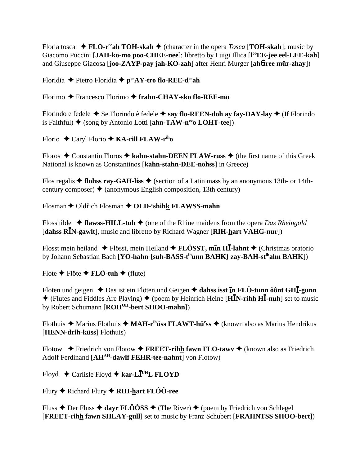Floria tosca  $\bullet$  FLO-r<sup>ee</sup>ah TOH-skah  $\bullet$  (character in the opera *Tosca* [TOH-skah]; music by Giacomo Puccini [JAH-ko-mo poo-CHEE-nee]; libretto by Luigi Illica [l<sup>oo</sup>EE-jee eel-LEE-kah] and Giuseppe Giacosa [joo-ZAYP-pay jah-KO-zah] after Henri Murger [ah6-ree mür-zhay])

Floridia  $\blacklozenge$  Pietro Floridia  $\blacklozenge$  p<sup>ee</sup>AY-tro flo-REE-d<sup>ee</sup>ah

Florimo ◆ Francesco Florimo ◆ frahn-CHAY-sko flo-REE-mo

Florindo e fedele  $\triangle$  Se Florindo è fedele  $\triangle$  say flo-REEN-doh ay fay-DAY-lay  $\triangle$  (If Florindo is Faithful)  $\blacklozenge$  (song by Antonio Lotti [ahn-TAW-n<sup>ee</sup>o LOHT-tee])

Florio  $\triangle$  Caryl Florio  $\triangle$  KA-rill FLAW-r<sup>ih</sup>o

Floros  $\triangle$  Constantin Floros  $\triangle$  kahn-stahn-DEEN FLAW-russ  $\triangle$  (the first name of this Greek National is known as Constantinos [kahn-stahn-DEE-nohss] in Greece)

Flos regalis  $\triangle$  flohss ray-GAH-liss  $\triangle$  (section of a Latin mass by an anonymous 13th- or 14thcentury composer)  $\triangleleft$  (anonymous English composition, 13th century)

Flosman  $\blacklozenge$  Oldr̃ich Flosman  $\blacklozenge$  OLD-'shihk FLAWSS-mahn

Flosshilde  $\triangleleft$  flawss-HILL-tuh  $\triangleleft$  (one of the Rhine maidens from the opera *Das Rheingold* [dahss RIN-gawlt], music and libretto by Richard Wagner [RIH-hart VAHG-nur])

Flosst mein heiland  $\triangle$  Flösst, mein Heiland  $\triangle$  FLÖSST, min HĪ-lahnt  $\triangle$  (Christmas oratorio by Johann Sebastian Bach [YO-hahn {suh-BASS-t<sup>ih</sup>unn BAHK} zay-BAH-st<sup>ih</sup>ahn BAHK])

Flote  $\blacklozenge$  Flöte  $\blacklozenge$  FLÖ-tuh  $\blacklozenge$  (flute)

Floten und geigen  $\triangle$  Das ist ein Flöten und Geigen  $\triangle$  dahss isst in FLÖ-tunn ô ont GHI-gunn  $\blacklozenge$  (Flutes and Fiddles Are Playing)  $\blacklozenge$  (poem by Heinrich Heine [HIN-rihh HI-nuh] set to music by Robert Schumann [ROH<sup>OH</sup>-bert SHOO-mahn])

Flothuis  $\triangle$  Marius Flothuis  $\triangle$  MAH-r<sup>ih</sup>uiss FLAWT-hu<sup>r</sup>ss  $\triangle$  (known also as Marius Hendrikus) [HENN-drih-küss] Flothuis)

Flotow  $\blacklozenge$  Friedrich von Flotow  $\blacklozenge$  FREET-rihh fawn FLO-tawy  $\blacklozenge$  (known also as Friedrich Adolf Ferdinand [AH<sup>AH</sup>-dawlf FEHR-tee-nahnt] von Flotow)

Floyd  $\triangle$  Carlisle Floyd  $\triangle$  kar-LI<sup>UH</sup>L FLOYD

Flury  $\blacklozenge$  Richard Flury  $\blacklozenge$  RIH-hart FLOO-ree

Fluss  $\triangle$  Der Fluss  $\triangle$  dayr FLÔÔSS  $\triangle$  (The River)  $\triangle$  (poem by Friedrich von Schlegel [FREET-rihh fawn SHLAY-gull] set to music by Franz Schubert [FRAHNTSS SHOO-bert])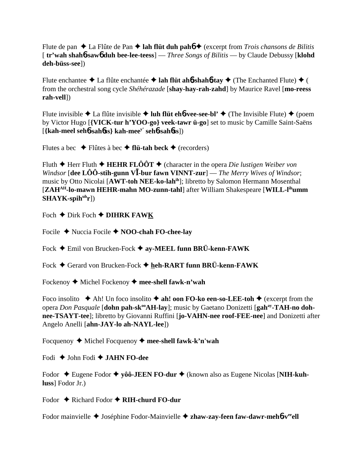Flute de pan  $\triangle$  La Flûte de Pan  $\triangle$  **lah flüt duh pahó**  $\triangle$  (excerpt from *Trois chansons de Bilitis* [ **tr'wah shah**6**-saw**6 **duh bee-lee-teess**] — *Three Songs of Bilitis* — by Claude Debussy [**klohd deh-büss-see**])

Flute enchantee  $\triangle$  La flûte enchantée  $\triangle$  **lah flüt ahb-shahb-tay**  $\triangle$  (The Enchanted Flute)  $\triangle$  ( from the orchestral song cycle *Shéhérazade* [**shay-hay-rah-zahd**] by Maurice Ravel [**mo-reess rah-vell**])

Flute invisible  $\triangle$  La flûte invisible  $\triangle$  luh flüt eh**6**-vee-see-bl'  $\triangle$  (The Invisible Flute)  $\triangle$  (poem by Victor Hugo [**{VICK-tur h'YOO-go} veek-tawr ü-go**] set to music by Camille Saint-Saëns [**{kah-meel seh**6**-sah**6**ss} kah-meey' seh**6**-sah**6**ss**])

Flutes a bec  $\rightarrow$  Flûtes à bec  $\rightarrow$  **flü-tah beck**  $\rightarrow$  (recorders)

Fluth  $\blacklozenge$  Herr Fluth  $\blacklozenge$  **HEHR FLÔÔT**  $\blacklozenge$  (character in the opera *Die lustigen Weiber von Windsor* [dee LÔÔ-stih-gunn VĪ-bur fawn VINNT-zur] — *The Merry Wives of Windsor*; music by Otto Nicolai [**AWT-toh NEE-ko-lahih**]; libretto by Salomon Hermann Mosenthal [**ZAHAH-lo-mawn HEHR-mahn MO-zunn-tahl**] after William Shakespeare [**WILL-lihumm** SHAYK-spih<sup>uh</sup>r])

Foch  $\triangle$  Dirk Foch  $\triangle$  **DIHRK FAWK** 

Focile Nuccia Focile **NOO-chah FO-chee-lay**

Fock Emil von Brucken-Fock **ay-MEEL funn BRÜ-kenn-FAWK**

Fock ♦ Gerard von Brucken-Fock ♦ heh-RART funn BRÜ-kenn-FAWK

Fockenoy ◆ Michel Fockenoy ◆ mee-shell fawk-n'wah

Foco insolito  $\triangle$  Ah! Un foco insolito  $\triangle$  ah! oon FO-ko een-so-LEE-toh  $\triangle$  (excerpt from the opera *Don Pasquale* [**dohn pah-sk<sup>oo</sup>AH-lay**]; music by Gaetano Donizetti [gah<sup>ay</sup>-TAH-no doh**nee-TSAYT-tee**]; libretto by Giovanni Ruffini [**jo-VAHN-nee roof-FEE-nee**] and Donizetti after Angelo Anelli [**ahn-JAY-lo ah-NAYL-lee**])

Focquenoy Michel Focquenoy **mee-shell fawk-k'n'wah**

Fodi John Fodi **JAHN FO-dee**

Fodor ◆ Eugene Fodor ◆ yôô-JEEN FO-dur ◆ (known also as Eugene Nicolas [NIH-kuh**luss**] Fodor Jr.)

Fodor ♦ Richard Fodor ♦ **RIH-churd FO-dur** 

Fodor mainvielle ◆ Joséphine Fodor-Mainvielle ◆ zhaw-zay-feen faw-dawr-meh**6**-v<sup>ee</sup>ell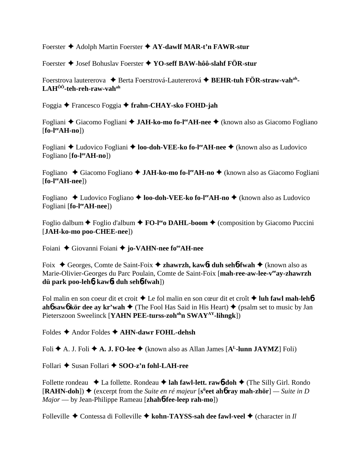Foerster Adolph Martin Foerster **AY-dawlf MAR-t'n FAWR-stur**

Foerster Josef Bohuslav Foerster **YO-seff BAW-hôô-slahf FÖR-stur**

Foerstrova lautererova ◆ Berta Foerstrová-Lautererová ◆ BEHR-tuh FÖR-straw-vah<sup>ah</sup>-**LAHÔÔ-teh-reh-raw-vahah**

Foggia Francesco Foggia **frahn-CHAY-sko FOHD-jah**

Fogliani ◆ Giacomo Fogliani ◆ **JAH-ko-mo fo-l<sup>ee</sup>AH-nee** ◆ (known also as Giacomo Fogliano  $[$ **fo-l<sup>ee</sup>AH-no**])

Fogliani ◆ Ludovico Fogliani ◆ **loo-doh-VEE-ko fo-l<sup>ee</sup>AH-nee** ◆ (known also as Ludovico Fogliano [**fo-leeAH-no**])

Fogliano ◆ Giacomo Fogliano ◆ **JAH-ko-mo fo-l<sup>ee</sup>AH-no** ◆ (known also as Giacomo Fogliani [**fo-leeAH-nee**])

Fogliano **→** Ludovico Fogliano → **loo-doh-VEE-ko fo-l<sup>ee</sup>AH-no** → (known also as Ludovico Fogliani [**fo-l<sup>ee</sup>AH-nee**])

Foglio dalbum  $\blacklozenge$  Foglio d'album  $\blacklozenge$  **FO-l<sup>ee</sup>o DAHL-boom**  $\blacklozenge$  (composition by Giacomo Puccini [**JAH-ko-mo poo-CHEE-nee**])

Foiani ◆ Giovanni Foiani ◆ **jo-VAHN-nee for AH-nee** 

Foix Georges, Comte de Saint-Foix **zhawrzh, kaw**6**t duh seh**6**-fwah** (known also as Marie-Olivier-Georges du Parc Poulain, Comte de Saint-Foix [mah-ree-aw-lee-v<sup>ee</sup>ay-zhawrzh **dü park poo-leh**6**, kaw**6**t duh seh**6**-fwah**])

Fol malin en son coeur dit et croit  $\triangle$  Le fol malin en son cœur dit et croît  $\triangle$  luh fawl mah-leh**6 ah6** saw6 kör dee ay kr'wah  $\triangle$  (The Fool Has Said in His Heart)  $\triangle$  (psalm set to music by Jan Pieterszoon Sweelinck [**YAHN PEE-turss-zoh<sup>oh</sup>n SWAY<sup>AY</sup>-lihngk**])

Foldes **→** Andor Foldes **→ AHN-dawr FOHL-dehsh** 

Foli  $\blacklozenge$  A. J. Foli  $\blacklozenge$  A. J. FO-lee  $\blacklozenge$  (known also as Allan James [A<sup>L</sup>-lunn JAYMZ] Foli)

Follari **→** Susan Follari ◆ SOO-z'n fohl-LAH-ree

Follette rondeau ◆ La follette. Rondeau ◆ lah fawl-lett. rawb-doh ◆ (The Silly Girl. Rondo [**RAHN-doh**]) ◆ (excerpt from the *Suite en ré majeur* [s<sup>ü</sup>eet ah**ó ray mah-zhör**] — *Suite in D Major* — by Jean-Philippe Rameau [**zhah**6**-fee-leep rah-mo**])

Folleville **→** Contessa di Folleville → kohn-TAYSS-sah dee fawl-veel → (character in *Il*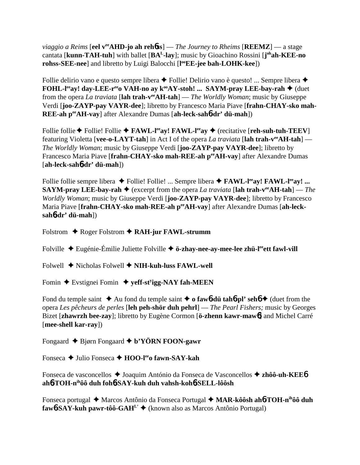*viaggio a Reims* [**eel v<sup>ee</sup>AHD-jo ah reh6ss**] — *The Journey to Rheims* [**REEMZ**] — a stage cantata [**kunn-TAH-tuh**] with ballet [**BAL-lay**]; music by Gioachino Rossini [**j ohah-KEE-no rohss-SEE-nee**] and libretto by Luigi Balocchi [**l ooEE-jee bah-LOHK-kee**])

Follie delirio vano e questo sempre libera  $\blacklozenge$  Follie! Delirio vano è questo! ... Sempre libera  $\blacklozenge$ **FOHL-l<sup>ee</sup>ay! day-LEE-r<sup>ee</sup>o VAH-no ay k<sup>oo</sup>AY-stoh! ... SAYM-pray LEE-bay-rah ♦ (duet** from the opera *La traviata* [**lah trah-veeAH-tah**] — *The Worldly Woman*; music by Giuseppe Verdi [**joo-ZAYP-pay VAYR-dee**]; libretto by Francesco Maria Piave [**frahn-CHAY-sko mah-REE-ah peeAH-vay**] after Alexandre Dumas [**ah-leck-sah**6**-dr' dü-mah**])

Follie follie  $\blacklozenge$  Follie! Follie  $\blacklozenge$  **FAWL-l<sup>ee</sup>ay! FAWL-l<sup>ee</sup>ay**  $\blacklozenge$  (recitative [**reh-suh-tuh-TEEV**] featuring Violetta [**vee-o-LAYT-tah**] in Act I of the opera *La traviata* [**lah trah-veeAH-tah**] — *The Worldly Woman*; music by Giuseppe Verdi [**joo-ZAYP-pay VAYR-dee**]; libretto by Francesco Maria Piave [frahn-CHAY-sko mah-REE-ah per AH-vay] after Alexandre Dumas [**ah-leck-sah**6**-dr' dü-mah**])

Follie follie sempre libera ◆ Follie! Follie! ... Sempre libera ◆ FAWL-l<sup>ee</sup>ay! FAWL-l<sup>ee</sup>ay! ... **SAYM-pray LEE-bay-rah**  $\blacklozenge$  (excerpt from the opera *La traviata* [lah trah-v<sup>ee</sup>AH-tah] — *The Worldly Woman*; music by Giuseppe Verdi [**joo-ZAYP-pay VAYR-dee**]; libretto by Francesco Maria Piave [frahn-CHAY-sko mah-REE-ah peeAH-vay] after Alexandre Dumas [ah-leck**sah**6**-dr' dü-mah**])

Folstrom ◆ Roger Folstrom **◆ RAH-jur FAWL-strumm** 

Folville  $\triangle$  Eugénie-Émilie Juliette Folville  $\triangle$  ö-zhay-nee-ay-mee-lee zhü-l<sup>ee</sup>ett fawl-vill

Folwell **→** Nicholas Folwell → **NIH-kuh-luss FAWL-well** 

Fomin Evstignei Fomin **yeff-sty igg-NAY fah-MEEN**

Fond du temple saint  $\triangle$  Au fond du temple saint  $\triangle$  **o fawb-dü tahb-pl' sehb**  $\triangle$  (duet from the opera *Les pêcheurs de perles* [**leh peh-shör duh pehrl**] — *The Pearl Fishers;* music by Georges Bizet [**zhawrzh bee-zay**]; libretto by Eugène Cormon [**ö-zhenn kawr-maw**6] and Michel Carré [**mee-shell kar-ray**])

Fongaard Bjørn Fongaard **b'YÖRN FOON-gawr**

Fonseca **→** Julio Fonseca → **HOO-l<sup>ee</sup>o fawn-SAY-kah** 

Fonseca de vasconcellos ◆ Joaquim António da Fonseca de Vasconcellos ◆ zhôô-uh-KEE6 **ah**6**-TOH-nihôô duh foh**6**-SAY-kuh duh vahsh-koh**6**-SELL-lôôsh**

Fonseca portugal ◆ Marcos Antônio da Fonseca Portugal ◆ MAR-kôôsh ah**6-TOH-n**<sup>ih</sup>ôô duh **faw6-SAY-kuh pawr-tôô-GAH<sup>L'</sup>**  $\blacklozenge$  (known also as Marcos Antônio Portugal)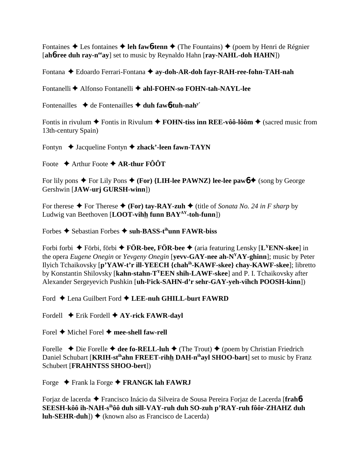Fontaines  $\triangle$  Les fontaines  $\triangle$  leh fawb-tenn  $\triangle$  (The Fountains)  $\triangle$  (poem by Henri de Régnier [ahb-ree duh ray-n<sup>ee</sup>ay] set to music by Reynaldo Hahn [ray-NAHL-doh HAHN])

Fontana ◆ Edoardo Ferrari-Fontana ◆ ay-doh-AR-doh fayr-RAH-ree-fohn-TAH-nah

Fontanelli ◆ Alfonso Fontanelli ◆ ahl-FOHN-so FOHN-tah-NAYL-lee

Fontenailles  $\rightarrow$  de Fontenailles  $\rightarrow$  duh faw6-tuh-nah<sup>y'</sup>

Fontis in rivulum  $\blacklozenge$  Fontis in Rivulum  $\blacklozenge$  FOHN-tiss inn REE-vôô-lôôm  $\blacklozenge$  (sacred music from 13th-century Spain)

Fontyn  $\triangle$  Jacqueline Fontyn  $\triangle$  zhack'-leen fawn-TAYN

Foote  $\triangle$  Arthur Foote  $\triangle$  AR-thur FOOT

For lily pons  $\triangle$  For Lily Pons  $\triangle$  (For) {LIH-lee PAWNZ} lee-lee paw6  $\triangle$  (song by George Gershwin [JAW-urj GURSH-winn])

For therese  $\blacklozenge$  For Therese  $\blacklozenge$  (For) tay-RAY-zuh  $\blacklozenge$  (title of Sonata No. 24 in F sharp by Ludwig van Beethoven [LOOT-vihh funn  $BAY^{AY}$ -toh-funn])

Forbes  $\triangle$  Sebastian Forbes  $\triangle$  suh-BASS-t<sup>ih</sup>unn FAWR-biss

Forbi forbi  $\blacklozenge$  Förbi, förbi  $\blacklozenge$  FÖR-bee, FÖR-bee  $\blacklozenge$  (aria featuring Lensky [L<sup>Y</sup>ENN-skee] in the opera *Eugene Onegin* or *Yevgeny Onegin* [vevv-GAY-nee ah-N<sup>Y</sup>AY-ghinn]; music by Peter Ilyich Tchaikovsky [p'YAW-t'r ill-YEECH {chah<sup>ih</sup>-KAWF-skee} chay-KAWF-skee]; libretto by Konstantin Shilovsky [kahn-stahn-T<sup>Y</sup>EEN shih-LAWF-skee] and P. I. Tchaikovsky after Alexander Sergeyevich Pushkin [uh-l<sup>y</sup>ick-SAHN-d'r sehr-GAY-veh-vihch POOSH-kinn])

Ford  $\triangle$  Lena Guilbert Ford  $\triangle$  LEE-nuh GHILL-burt FAWRD

Fordell  $\blacklozenge$  Erik Fordell  $\blacklozenge$  AY-rick FAWR-dayl

Forel  $\blacklozenge$  Michel Forel  $\blacklozenge$  mee-shell faw-rell

Forelle  $\blacklozenge$  Die Forelle  $\blacklozenge$  dee fo-RELL-luh  $\blacklozenge$  (The Trout)  $\blacklozenge$  (poem by Christian Friedrich Daniel Schubart [KRIH-st<sup>ih</sup>ahn FREET-rihh DAH-n<sup>ih</sup>ayl SHOO-bart] set to music by Franz Schubert [FRAHNTSS SHOO-bert])

Forge  $\blacklozenge$  Frank la Forge  $\blacklozenge$  FRANGK lah FAWRJ

Forjaz de lacerda ◆ Francisco Inácio da Silveira de Sousa Pereira Forjaz de Lacerda [frahb-SEESH-kôô ih-NAH-s<sup>ih</sup>ôô duh sill-VAY-ruh duh SO-zuh p'RAY-ruh fôôr-ZHAHZ duh **luh-SEHR-duh**])  $\blacklozenge$  (known also as Francisco de Lacerda)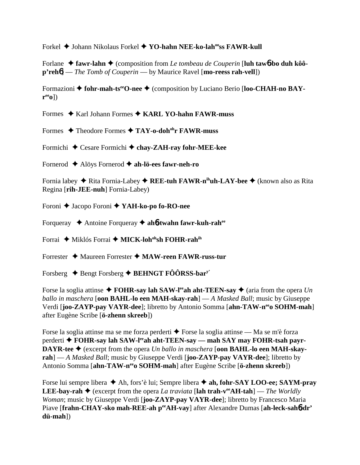Forkel Johann Nikolaus Forkel **YO-hahn NEE-ko-lahooss FAWR-kull**

Forlane ◆ fawr-lahn ◆ (composition from *Le tombeau de Couperin* [luh taw6-bo duh kôô**p'reh**6] — *The Tomb of Couperin* — by Maurice Ravel [**mo-reess rah-vell**])

Formazioni ◆ fohr-mah-ts<sup>ee</sup>O-nee ◆ (composition by Luciano Berio [loo-CHAH-no BAY**reeo**])

Formes ◆ Karl Johann Formes ◆ KARL YO-hahn FAWR-muss

Formes **→ Theodore Formes → TAY-o-doh<sup>oh</sup>r FAWR-muss** 

Formichi Cesare Formichi **chay-ZAH-ray fohr-MEE-kee**

Fornerod Alöys Fornerod **ah-lö-ees fawr-neh-ro**

Fornia labey ◆ Rita Fornia-Labey ◆ REE-tuh FAWR-n<sup>ih</sup>uh-LAY-bee ◆ (known also as Rita Regina [**rih-JEE-nuh**] Fornia-Labey)

Foroni Jacopo Foroni **YAH-ko-po fo-RO-nee**

Forqueray Antoine Forqueray **ah**6**-twahn fawr-kuh-rahee**

Forrai ◆ Miklós Forrai ◆ MICK-loh<sup>oh</sup>sh FOHR-rah<sup>ih</sup>

Forrester Maureen Forrester **MAW-reen FAWR-russ-tur**

Forsberg  $\triangle$  Bengt Forsberg  $\triangle$  BEHNGT FÔÔRSS-bar<sup>y</sup>'

Forse la soglia attinse  $\triangle$  **FOHR-say lah SAW-l<sup>ee</sup>ah aht-TEEN-say**  $\triangle$  (aria from the opera *Un ballo in maschera* [**oon BAHL-lo een MAH-skay-rah**] — *A Masked Ball*; music by Giuseppe Verdi [**joo-ZAYP-pay VAYR-dee**]; libretto by Antonio Somma [**ahn-TAW-neeo SOHM-mah**] after Eugène Scribe [**ö-zhenn skreeb**])

Forse la soglia attinse ma se me forza perderti  $\triangle$  Forse la soglia attinse — Ma se m'è forza perderti **◆ FOHR-say lah SAW-l<sup>ee</sup>ah aht-TEEN-say — mah SAY may FOHR-tsah payr-DAYR-tee ♦** (excerpt from the opera *Un ballo in maschera* [**oon BAHL-lo een MAH-skayrah**] — *A Masked Ball*; music by Giuseppe Verdi [**joo-ZAYP-pay VAYR-dee**]; libretto by Antonio Somma [**ahn-TAW-neeo SOHM-mah**] after Eugène Scribe [**ö-zhenn skreeb**])

Forse lui sempre libera  $\triangle$  Ah, fors'è lui; Sempre libera  $\triangle$  ah, fohr-SAY LOO-ee; SAYM-pray **LEE-bay-rah**  $\triangle$  (excerpt from the opera *La traviata* [lah trah-v<sup>ee</sup>AH-tah] — *The Worldly Woman*; music by Giuseppe Verdi [**joo-ZAYP-pay VAYR-dee**]; libretto by Francesco Maria Piave [frahn-CHAY-sko mah-REE-ah peeAH-vay] after Alexandre Dumas [ah-leck-sah6-dr' **dü-mah**])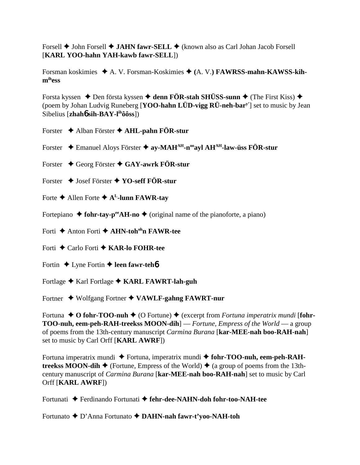Forsell **◆ John Forsell ◆ JAHN fawr-SELL ◆** (known also as Carl Johan Jacob Forsell [**KARL YOO-hahn YAH-kawb fawr-SELL**])

Forsman koskimies ◆ A. V. Forsman-Koskimies ◆ (A. V.) **FAWRSS-mahn-KAWSS-kihmihess**

Forsta kyssen  $\triangle$  Den första kyssen  $\triangle$  denn FÖR-stah SHÜSS-sunn  $\triangle$  (The First Kiss)  $\triangle$ (poem by Johan Ludvig Runeberg [**YOO-hahn LÜD-vigg RÜ-neh-bary'**] set to music by Jean Sibelius [**zhah**6 **sih-BAY-lihôôss**])

Forster Alban Förster **AHL-pahn FÖR-stur**

Forster Emanuel Aloys Förster **ay-MAHAH-nooayl AHAH-law-üss FÖR-stur**

Forster Georg Förster **GAY-awrk FÖR-stur**

- Forster Josef Förster **YO-seff FÖR-stur**
- Forte  $\triangle$  Allen Forte  $\triangle$  A<sup>L</sup>-lunn FAWR-tay

Fortepiano  $\triangle$  fohr-tay-p<sup>ee</sup>AH-no  $\triangle$  (original name of the pianoforte, a piano)

- Forti ◆ Anton Forti ◆ **AHN-toh<sup>oh</sup>n FAWR-tee**
- Forti Carlo Forti **KAR-lo FOHR-tee**
- Fortin  $\triangle$  Lyne Fortin  $\triangle$  **leen fawr-teh**6
- Fortlage ◆ Karl Fortlage ◆ KARL FAWRT-lah-guh

Fortner Wolfgang Fortner **VAWLF-gahng FAWRT-nur**

Fortuna  $\triangle$  **O** fohr-TOO-nuh  $\triangle$  (O Fortune)  $\triangle$  (excerpt from *Fortuna imperatrix mundi* [fohr-**TOO-nuh, eem-peh-RAH-treekss MOON-dih**] — *Fortune, Empress of the World* — a group of poems from the 13th-century manuscript *Carmina Burana* [**kar-MEE-nah boo-RAH-nah**] set to music by Carl Orff [**KARL AWRF**])

Fortuna imperatrix mundi ◆ Fortuna, imperatrix mundi ◆ fohr-TOO-nuh, eem-peh-RAH**treekss MOON-dih**  $\blacklozenge$  (Fortune, Empress of the World)  $\blacklozenge$  (a group of poems from the 13thcentury manuscript of *Carmina Burana* [**kar-MEE-nah boo-RAH-nah**] set to music by Carl Orff [**KARL AWRF**])

Fortunati Ferdinando Fortunati **fehr-dee-NAHN-doh fohr-too-NAH-tee**

Fortunato ◆ D'Anna Fortunato ◆ DAHN-nah fawr-t'yoo-NAH-toh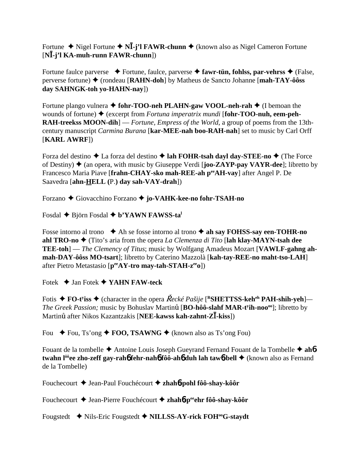Fortune ◆ Nigel Fortune ◆ N**I**-j'l FAWR-chunn ◆ (known also as Nigel Cameron Fortune [**N-j'l KA-muh-runn FAWR-chunn**])

Fortune faulce parverse  $\blacklozenge$  Fortune, faulce, parverse  $\blacklozenge$  fawr-tün, fohlss, par-vehrss  $\blacklozenge$  (False, perverse fortune) (rondeau [**RAHN-doh**] by Matheus de Sancto Johanne [**mah-TAY-ôôss day SAHNGK-toh yo-HAHN-nay**])

Fortune plango vulnera **↓ fohr-TOO-neh PLAHN-gaw VOOL-neh-rah ↓** (I bemoan the wounds of fortune)  $\blacklozenge$  (excerpt from *Fortuna imperatrix mundi* [**fohr-TOO-nuh, eem-peh-RAH-treekss MOON-dih**] — *Fortune, Empress of the World*, a group of poems from the 13thcentury manuscript *Carmina Burana* [**kar-MEE-nah boo-RAH-nah**] set to music by Carl Orff [**KARL AWRF**])

Forza del destino  $\triangle$  La forza del destino  $\triangle$  lah FOHR-tsah dayl day-STEE-no  $\triangle$  (The Force of Destiny) (an opera, with music by Giuseppe Verdi [**joo-ZAYP-pay VAYR-dee**]; libretto by Francesco Maria Piave [**frahn-CHAY-sko mah-REE-ah peeAH-vay**] after Angel P. De Saavedra [**ahn-HELL (**P.**) day sah-VAY-drah**])

Forzano Giovacchino Forzano **jo-VAHK-kee-no fohr-TSAH-no**

Fosdal **→** Björn Fosdal **→ b'YAWN FAWSS-ta**<sup>1</sup>

Fosse intorno al trono  $\triangle$  Ah se fosse intorno al trono  $\triangle$  ah say FOHSS-say een-TOHR-no **ahl TRO-no ♦** (Tito's aria from the opera *La Clemenza di Tito* [**lah klay-MAYN-tsah dee TEE-toh**] — *The Clemency of Titus*; music by Wolfgang Amadeus Mozart [**VAWLF-gahng ahmah-DAY-ôôss MO-tsart**]; libretto by Caterino Mazzolà [**kah-tay-REE-no maht-tso-LAH**] after Pietro Metastasio [**peeAY-tro may-tah-STAH-zeeo**])

Fotek Jan Fotek **YAHN FAW-teck**

Fotis ◆ FO-t<sup>y</sup>iss ◆ (character in the opera *Řecké Pašije* [<sup>R</sup>SHETTSS-keh<sup>eh</sup> PAH-shih-yeh]— *The Greek Passion;* music by Bohuslav Martinu [BO-hôô-slahf MAR-t<sup>y</sup>ih-noo<sup>oo</sup>]; libretto by Martinu<sup>t</sup> after Nikos Kazantzakis [**NEE-kawss kah-zahnt-ZI-kiss**])

Fou  $\div$  Fou, Ts'ong  $\div$  **FOO, TSAWNG**  $\div$  (known also as Ts'ong Fou)

Fouant de la tombelle  $\triangle$  Antoine Louis Joseph Gueyrand Fernand Fouant de la Tombelle  $\triangle$  ah**6twahn l<sup>ôô</sup>ee zho-zeff gay-rah6 fehr-nah6 fôô-ah6 duh lah taw6-bell ♦ (known also as Fernand** de la Tombelle)

Fouchecourt Jean-Paul Fouchécourt **zhah**6**-pohl fôô-shay-kôôr**

Fouchecourt ◆ Jean-Pierre Fouchécourt ◆ zhah**6**-p<sup>ee</sup>ehr fôô-shay-kôôr

Fougstedt **◆** Nils-Eric Fougstedt ◆ NILLSS-AY-rick FOH<sup>oo</sup>G-staydt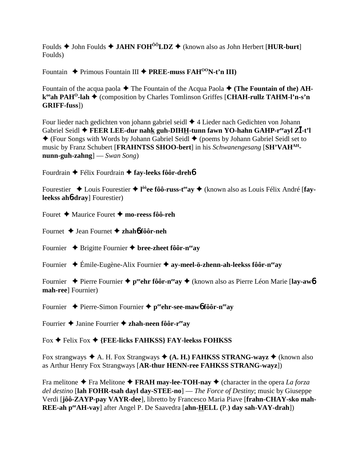Foulds  $\triangle$  John Foulds  $\triangle$  JAHN FOH<sup>00</sup>LDZ  $\triangle$  (known also as John Herbert [HUR-burt] Foulds)

Fountain  $\triangle$  Primous Fountain III  $\triangle$  PREE-muss FAH<sup>00</sup>N-t'n III)

Fountain of the acqua paola  $\blacklozenge$  The Fountain of the Acqua Paola  $\blacklozenge$  (The Fountain of the) AHk<sup>oo</sup>ah PAH<sup>O</sup>-lah ◆ (composition by Charles Tomlinson Griffes [CHAH-rullz TAHM-l'n-s'n **GRIFF-fuss** 

Four lieder nach gedichten von johann gabriel seidl  $\triangle$  4 Lieder nach Gedichten von Johann Gabriel Seidl ♦ FEER LEE-dur nahk guh-DIHH-tunn fawn YO-hahn GAHP-r<sup>ee</sup>ayl ZI-t'l  $\blacklozenge$  (Four Songs with Words by Johann Gabriel Seidl  $\blacklozenge$  (poems by Johann Gabriel Seidl set to music by Franz Schubert [FRAHNTSS SHOO-bert] in his Schwanengesang [SH'VAHAH $num\text{-}guh\text{-}zahng$   $\qquad$   $\qquad$   $\qquad$   $\qquad$   $\qquad$   $\qquad$   $\qquad$   $\qquad$   $\qquad$   $\qquad$   $\qquad$   $\qquad$   $\qquad$   $\qquad$   $\qquad$   $\qquad$   $\qquad$   $\qquad$   $\qquad$   $\qquad$   $\qquad$   $\qquad$   $\qquad$   $\qquad$   $\qquad$   $\qquad$   $\qquad$   $\qquad$   $\qquad$   $\qquad$   $\qquad$   $\qquad$   $\qquad$   $\qquad$ 

Fourdrain  $\triangle$  Félix Fourdrain  $\triangle$  fay-leeks fôôr-dreho

Fourestier  $\triangle$  Louis Fourestier  $\triangle$  1<sup>00</sup>ee fôô-russ-t<sup>ee</sup> ay  $\triangle$  (known also as Louis Félix André [fayleekss ahb-dray] Fourestier)

Fouret  $\triangle$  Maurice Fouret  $\triangle$  mo-reess fôô-reh

Fournet  $\triangle$  Jean Fournet  $\triangle$  zhaho fôôr-neh

Fournier  $\triangle$  Brigitte Fournier  $\triangle$  bree-zheet fôôr-n<sup>ee</sup>ay

Fournier  $\div$  Émile-Eugène-Alix Fournier  $\div$  ay-meel-ö-zhenn-ah-leekss fôôr-n<sup>ee</sup>ay

Fournier  $\rightarrow$  Pierre Fournier  $\rightarrow$  p<sup>ee</sup>chr fôôr-n<sup>ee</sup>ay  $\rightarrow$  (known also as Pierre Léon Marie [lay-aw6] mah-ree] Fournier)

Fournier  $\rightarrow$  Pierre-Simon Fournier  $\rightarrow$  percheter-see-maw6 fôôr-neeay

Fourrier  $\triangle$  Janine Fourrier  $\triangle$  zhah-neen fôôr-r<sup>ee</sup>av

Fox  $\blacklozenge$  Felix Fox  $\blacklozenge$  {FEE-licks FAHKSS} FAY-leekss FOHKSS}

Fox strangways  $\triangle$  A. H. Fox Strangways  $\triangle$  (A. H.) FAHKSS STRANG-wayz  $\triangle$  (known also as Arthur Henry Fox Strangways [AR-thur HENN-ree FAHKSS STRANG-wayz])

Fra melitone  $\blacklozenge$  Fra Melitone  $\blacklozenge$  FRAH may-lee-TOH-nay  $\blacklozenge$  (character in the opera *La forza del destino* [lah FOHR-tsah dayl day-STEE-no] — *The Force of Destiny*; music by Giuseppe Verdi [jôô-ZAYP-pay VAYR-dee], libretto by Francesco Maria Piave [frahn-CHAY-sko mah-REE-ah pee AH-vay] after Angel P. De Saavedra [ahn-HELL (P.) day sah-VAY-drah])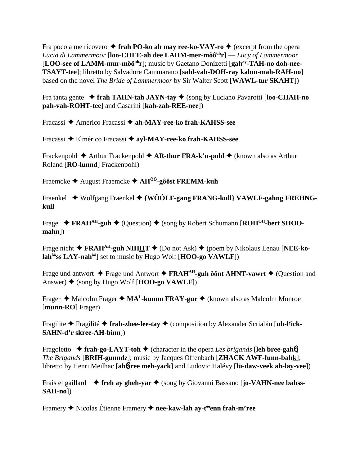Fra poco a me ricovero  $\triangle$  frah PO-ko ah may ree-ko-VAY-ro  $\triangle$  (excerpt from the opera *Lucia di Lammermoor* [**loo-CHEE-ah dee LAHM-mer-môôuhr**] — *Lucy of Lammermoor* [LOO-see of LAMM-mur-môô<sup>uh</sup>r]; music by Gaetano Donizetti [gah<sup>ay</sup>-TAH-no doh-nee-**TSAYT-tee**]; libretto by Salvadore Cammarano [**sahl-vah-DOH-ray kahm-mah-RAH-no**] based on the novel *The Bride of Lammermoor* by Sir Walter Scott [**WAWL-tur SKAHT**])

Fra tanta gente **frah TAHN-tah JAYN-tay** (song by Luciano Pavarotti [**loo-CHAH-no pah-vah-ROHT-tee**] and Casarini [**kah-zah-REE-nee**])

Fracassi Américo Fracassi **ah-MAY-ree-ko frah-KAHSS-see**

Fracassi Elmérico Fracassi  **ayl-MAY-ree-ko frah-KAHSS-see**

Frackenpohl ◆ Arthur Frackenpohl ◆ **AR-thur FRA-k'n-pohl ◆** (known also as Arthur Roland [**RO-lunnd**] Frackenpohl)

Fraemcke August Fraemcke **AHÔÔ-gôôst FREMM-kuh**

Fraenkel ◆ Wolfgang Fraenkel ◆ {WÔÔLF-gang FRANG-kull} VAWLF-gahng FREHNG**kull**

Frage ◆ FRAH<sup>AH</sup>-guh ◆ (Question) ◆ (song by Robert Schumann [ROH<sup>OH</sup>-bert SHOO**mahn**])

Frage nicht **◆ FRAH<sup>AH</sup>-guh NIHHT** ◆ (Do not Ask) ◆ (poem by Nikolaus Lenau [**NEE-kolahôôss LAY-nahôô**] set to music by Hugo Wolf [**HOO-go VAWLF**])

Frage und antwort  $\blacklozenge$  Frage und Antwort  $\blacklozenge$  **FRAH<sup>AH</sup>-guh ôônt AHNT-vawrt**  $\blacklozenge$  (Question and Answer) (song by Hugo Wolf [**HOO-go VAWLF**])

Frager ◆ Malcolm Frager ◆ MA<sup>L</sup>-kumm FRAY-gur ◆ (known also as Malcolm Monroe [**munn-RO**] Frager)

Fragilite ◆ Fragilité ◆ frah-zhee-lee-tay ◆ (composition by Alexander Scriabin [uh-l<sup>y</sup>ick-**SAHN-d'r skree-AH-binn**])

Fragoletto  $\rightarrow$  frah-go-LAYT-toh  $\rightarrow$  (character in the opera *Les brigands* [leh bree-gah**6**] — *The Brigands* [**BRIH-gunndz**]; music by Jacques Offenbach [**ZHACK AWF-funn-bahk**]; libretto by Henri Meilhac [**ah**6**-ree meh-yack**] and Ludovic Halévy [**lü-daw-veek ah-lay-vee**])

Frais et gaillard **freh ay gheh-yar** (song by Giovanni Bassano [**jo-VAHN-nee bahss-SAH-no**])

Framery **→** Nicolas Étienne Framery → nee-kaw-lah ay-t<sup>ee</sup>enn frah-m'ree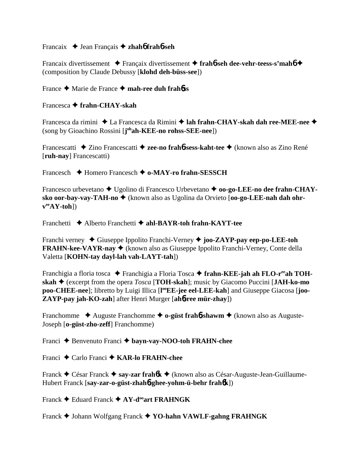### Francaix Jean Français **zhah**6 **frah**6**-seh**

Francaix divertissement Françaix divertissement **frah**6**-seh dee-vehr-teess-s'mah**6 (composition by Claude Debussy [**klohd deh-büss-see**])

France Marie de France **mah-ree duh frah**6**ss**

## Francesca **frahn-CHAY-skah**

Francesca da rimini ◆ La Francesca da Rimini ◆ lah frahn-CHAY-skah dah ree-MEE-nee ◆ (song by Gioachino Rossini [**j ohah-KEE-no rohss-SEE-nee**])

Francescatti ◆ Zino Francescatti ◆ zee-no frah**6-sess-kaht-tee** ◆ (known also as Zino René [**ruh-nay**] Francescatti)

Francesch Homero Francesch **o-MAY-ro frahn-SESSCH**

Francesco urbevetano Ugolino di Francesco Urbevetano **oo-go-LEE-no dee frahn-CHAY**sko oor-bay-vay-TAH-no ◆ (known also as Ugolina da Orvieto [oo-go-LEE-nah dah ohr**veeAY-toh**])

Franchetti Alberto Franchetti **ahl-BAYR-toh frahn-KAYT-tee**

Franchi verney Giuseppe Ippolito Franchi-Verney **joo-ZAYP-pay eep-po-LEE-toh FRAHN-kee-VAYR-nay ♦** (known also as Giuseppe Ippolito Franchi-Verney, Conte della Valetta [**KOHN-tay dayl-lah vah-LAYT-tah**])

Franchigia a floria tosca ◆ Franchigia a Floria Tosca ◆ frahn-KEE-jah ah FLO-r<sup>ee</sup>ah TOH**skah** (excerpt from the opera *Tosca* [**TOH-skah**]; music by Giacomo Puccini [**JAH-ko-mo** poo-CHEE-nee]; libretto by Luigi Illica [l<sup>oo</sup>EE-jee eel-LEE-kah] and Giuseppe Giacosa [joo-**ZAYP-pay jah-KO-zah**] after Henri Murger [**ah**6**-ree mür-zhay**])

Franchomme **→** Auguste Franchomme → **o-güst frah<sup>6</sup>-shawm** → (known also as Auguste-Joseph [**o-güst-zho-zeff**] Franchomme)

Franci Benvenuto Franci **bayn-vay-NOO-toh FRAHN-chee**

Franci Carlo Franci **KAR-lo FRAHN-chee**

Franck César Franck **say-zar frah**6**k** (known also as César-Auguste-Jean-Guillaume-Hubert Franck [**say-zar-o-güst-zhah**6**-ghee-yohm-ü-behr frah**6**k**])

Franck **←** Eduard Franck ← AY-d<sup>oo</sup>art FRAHNGK

Franck Johann Wolfgang Franck **YO-hahn VAWLF-gahng FRAHNGK**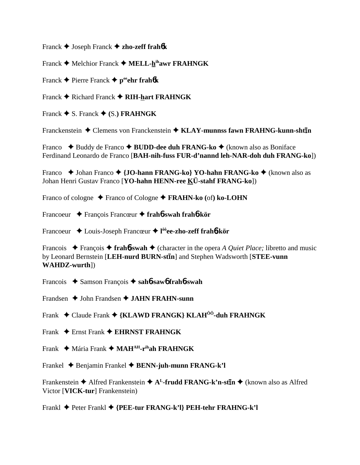Franck Joseph Franck **zho-zeff frah**6**k**

Franck **←** Melchior Franck ← MELL-hihawr FRAHNGK

Franck  $\triangle$  Pierre Franck  $\triangle$  p<sup>ee</sup>ehr frah $\theta$ k

Franck  $\blacklozenge$  Richard Franck  $\blacklozenge$  RIH-hart FRAHNGK

Franck  $\blacklozenge$  S. Franck  $\blacklozenge$  (S.) **FRAHNGK** 

Franckenstein  $\triangle$  Clemens von Franckenstein  $\triangle$  KLAY-munnss fawn FRAHNG-kunn-sht**in** 

Franco **→** Buddy de Franco **→ BUDD-dee duh FRANG-ko →** (known also as Boniface Ferdinand Leonardo de Franco [**BAH-nih-fuss FUR-d'nannd leh-NAR-doh duh FRANG-ko**])

Franco **→** Johan Franco **→ {JO-hann FRANG-ko} YO-hahn FRANG-ko →** (known also as Johan Henri Gustav Franco [**YO-hahn HENN-ree KÜ-stahf FRANG-ko**])

Franco of cologne **→** Franco of Cologne → **FRAHN-ko** (of) ko-LOHN

Francoeur François Francœur **frah**6**-swah frah**6**-kör**

Francoeur Louis-Joseph Francœur **l ôôee-zho-zeff frah**6**-kör**

Francois François **frah**6**-swah** (character in the opera *A Quiet Place;* libretto and music by Leonard Bernstein [LEH-nurd BURN-stin] and Stephen Wadsworth [STEE-vunn **WAHDZ-wurth**])

Francois Samson François **sah**6**-saw**6 **frah**6**-swah**

Frandsen  $\triangle$  John Frandsen  $\triangle$  **JAHN FRAHN-sunn** 

Frank Claude Frank **{KLAWD FRANGK} KLAHÔÔ-duh FRAHNGK**

Frank Ernst Frank **EHRNST FRAHNGK**

Frank Mária Frank **MAHAH-rihah FRAHNGK**

Frankel Benjamin Frankel **BENN-juh-munn FRANG-k'l**

Frankenstein ◆ Alfred Frankenstein ◆ A<sup>L</sup>-frudd FRANG-k'n-st**īn** ◆ (known also as Alfred Victor [**VICK-tur**] Frankenstein)

Frankl Peter Frankl **{PEE-tur FRANG-k'l} PEH-tehr FRAHNG-k'l**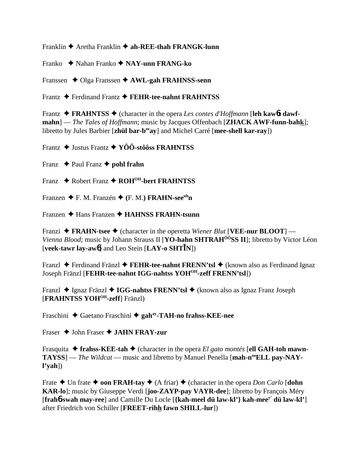Franklin  $\triangle$  Aretha Franklin  $\triangle$  ah-REE-thah FRANGK-lunn

Franko  $\rightarrow$  Nahan Franko  $\rightarrow$  NAY-unn FRANG-ko

Franssen  $\triangle$  Olga Franssen  $\triangle$  AWL-gah FRAHNSS-senn

Frantz ♦ Ferdinand Frantz ♦ FEHR-tee-nahnt FRAHNTSS

Frantz  $\triangleleft$  FRAHNTSS  $\triangleleft$  (character in the opera Les contes d'Hoffmann [leh kaw6t dawfmahn] — The Tales of Hoffmann; music by Jacques Offenbach [**ZHACK AWF-funn-bahk**]; libretto by Jules Barbier [zhül bar-b<sup>ee</sup>ay] and Michel Carré [mee-shell kar-ray])

Frantz  $\triangle$  Justus Frantz  $\triangle$  YÔÔ-stôôss FRAHNTSS

Franz  $\rightarrow$  Paul Franz  $\rightarrow$  pohl frahn

Franz  $\triangle$  Robert Franz  $\triangle$  ROH<sup>OH</sup>-bert FRAHNTSS

Franzen  $\blacklozenge$  F. M. Franzén  $\blacklozenge$  (F. M.) **FRAHN-see**<sup>uh</sup>n

Franzen  $\triangle$  Hans Franzen  $\triangle$  HAHNSS FRAHN-tsunn

Franzi  $\triangle$  FRAHN-tsee  $\triangle$  (character in the operetta Wiener Blut [VEE-nur BLOOT] — *Vienna Blood*; music by Johann Strauss II [**YO-hahn SHTRAH<sup>ôô</sup>SS II**]; libretto by Victor Léon [veek-tawr lay-aw<sup>6</sup>] and Leo Stein  $[\text{LAY-o} \text{ SHT}\bar{I}N]$ 

Franzl ◆ Ferdinand Fränzl ◆ FEHR-tee-nahnt FRENN'tsl ◆ (known also as Ferdinand Ignaz Joseph Fränzl [FEHR-tee-nahnt IGG-nahtss YOH<sup>OH</sup>-zeff FRENN'tsl])

Franzl  $\triangle$  Ignaz Fränzl  $\triangle$  IGG-nahtss FRENN'tsl  $\triangle$  (known also as Ignaz Franz Joseph [FRAHNTSS YOH<sup>OH</sup>-zeff] Fränzl)

Fraschini  $\triangle$  Gaetano Fraschini  $\triangle$  gah<sup>ay</sup>-TAH-no frahss-KEE-nee

Fraser  $\triangle$  John Fraser  $\triangle$  JAHN FRAY-zur

Frasquita  $\triangle$  frahss-KEE-tah  $\triangle$  (character in the opera *El gato montés* [ell GAH-toh mawn-TAYSS] — The Wildcat — music and libretto by Manuel Penella [mah-n<sup>oo</sup>ELL pay-NAY $l'vah$ ])

Frate  $\triangle$  Un frate  $\triangle$  con FRAH-tay  $\triangle$  (A friar)  $\triangle$  (character in the opera *Don Carlo* [dohn KAR-lo]; music by Giuseppe Verdi [joo-ZAYP-pay VAYR-dee]; libretto by Francois Méry [frahb-swah may-ree] and Camille Du Locle [{kah-meel dü law-kl'} kah-mee<sup>y'</sup> dü law-kl'] after Friedrich von Schiller [FREET-rihh fawn SHILL-lur])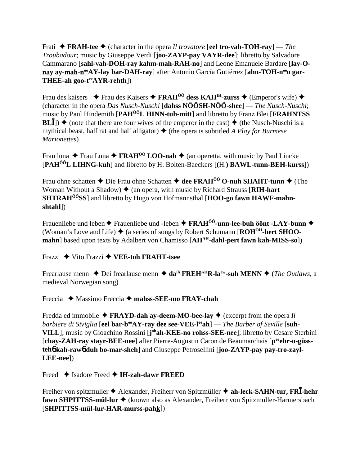Frati  $\triangle$  FRAH-tee  $\triangle$  (character in the opera *Il trovatore* [eel tro-vah-TOH-ray] — The Troubadour; music by Giuseppe Verdi [joo-ZAYP-pay VAYR-dee]; libretto by Salvadore Cammarano [sahl-vah-DOH-ray kahm-mah-RAH-no] and Leone Emanuele Bardare [lay-Onav av-mah-n<sup>oo</sup>AY-lav bar-DAH-rav] after Antonio García Gutiérrez [ahn-TOH-n<sup>ec</sup>o gar-**THEE-ah goo-t<sup>ee</sup>AYR-rehth**])

Frau des kaisers  $\triangle$  Frau des Kaisers  $\triangle$  FRAH<sup>00</sup> dess KAH<sup>IH</sup>-zurss  $\triangle$  (Emperor's wife)  $\triangle$ (character in the opera Das Nusch-Nuschi [dahss  $N\hat{O}\hat{O}SH-N\hat{O}\hat{O}$ -shee] — The Nusch-Nuschi; music by Paul Hindemith [PAH<sup>ÔÔ</sup>L HINN-tuh-mitt] and libretto by Franz Blei [FRAHNTSS]  $BL\overline{I}$ ])  $\blacklozenge$  (note that there are four wives of the emperor in the cast)  $\blacklozenge$  (the Nusch-Nuschi is a mythical beast, half rat and half alligator)  $\blacklozenge$  (the opera is subtitled A Play for Burmese *Marionettes*)

Frau luna  $\triangle$  Frau Luna  $\triangle$  FRAH<sup>00</sup> LOO-nah  $\triangle$  (an operetta, with music by Paul Lincke [PAH<sup>ôô</sup>L LIHNG-kuh] and libretto by H. Bolten-Baeckers [(H.) BAWL-tunn-BEH-kurss])

Frau ohne schatten  $\triangle$  Die Frau ohne Schatten  $\triangleq$  dee FRAH<sup>00</sup> O-nuh SHAHT-tunn  $\triangleq$  (The Woman Without a Shadow)  $\triangle$  (an opera, with music by Richard Strauss [RIH-hart] **SHTRAH<sup>00</sup>SS**] and libretto by Hugo von Hofmannsthal [HOO-go fawn HAWF-mahnshtahl])

Frauenliebe und leben  $\blacklozenge$  Frauenliebe und -leben  $\blacklozenge$  FRAH<sup> $00$ </sup>-unn-lee-buh  $0$   $0$ nt -LAY-bunn  $\blacklozenge$ (Woman's Love and Life)  $\triangleq$  (a series of songs by Robert Schumann [ $ROH^{OH}$ -bert SHOOmahn] based upon texts by Adalbert von Chamisso [AH<sup>AH</sup>-dahl-pert fawn kah-MISS-so])

Frazzi  $\blacklozenge$  Vito Frazzi  $\blacklozenge$  VEE-toh FRAHT-tsee

Frearlause menn  $\triangle$  Dei frearlause menn  $\triangle$  da<sup>ih</sup> FREH<sup>AH</sup>R-la<sup>ew</sup>-suh MENN  $\triangle$  (*The Outlaws*, a medieval Norwegian song)

Freccia  $\triangle$  Massimo Freccia  $\triangle$  mahss-SEE-mo FRAY-chah

Fredda ed immobile  $\triangle$  FRAYD-dah ay-deem-MO-bee-lay  $\triangle$  (excerpt from the opera *Il* barbiere di Siviglia [eel bar-b<sup>ee</sup>AY-ray dee see-VEE-l<sup>ee</sup>ah] — The Barber of Seville [suh-VILL]; music by Gioachino Rossini [j<sup>oh</sup>ah-KEE-no rohss-SEE-nee]; libretto by Cesare Sterbini [chay-ZAH-ray stayr-BEE-nee] after Pierre-Augustin Caron de Beaumarchais [peehr-o-güssteho kah-rawo duh bo-mar-sheh] and Giuseppe Petrosellini [joo-ZAYP-pay pay-tro-zayl- $LEE-nee$ ])

Freed  $\triangle$  Isadore Freed  $\triangle$  IH-zah-dawr FREED

Freiher von spitzmuller  $\triangle$  Alexander, Freiherr von Spitzmüller  $\triangle$  ah-leck-SAHN-tur, FRI-hehr fawn SHPITTSS-mül-lur ◆ (known also as Alexander, Freiherr von Spitzmüller-Harmersbach  $[SHPITTSS-mü1-lur-HAR-murss-pahk])$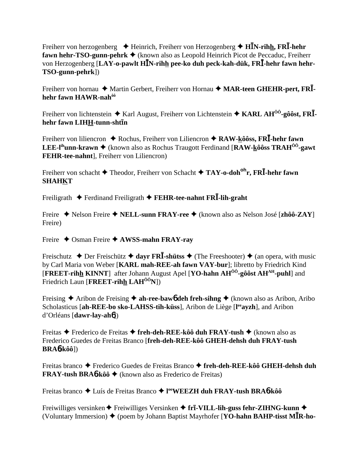Freiherr von herzogenberg  $\triangleq$  Heinrich, Freiherr von Herzogenberg  $\triangleq$  HIN-rihh, FRI-hehr fawn hehr-TSO-gunn-pehrk  $\triangleq$  (known also as Leopold Heinrich Picot de Peccaduc, Freiherr von Herzogenberg [LAY-o-pawlt HIN-rihh pee-ko duh peck-kah-dük, FRI-hehr fawn hehr-TSO-gunn-pehrk])

Freiherr von hornau ◆ Martin Gerbert, Freiherr von Hornau ◆ MAR-teen GHEHR-pert, FRIhehr fawn HAWR-nah<sup>ôô</sup>

Freiherr von lichtenstein  $\triangle$  Karl August, Freiherr von Lichtenstein  $\triangle$  KARL AH<sup> $\hat{0}$ 0-g $\hat{0}$ ôst, FR**I**-</sup> hehr fawn LIHH-tunn-shtin

Freiherr von liliencron  $\triangle$  Rochus, Freiherr von Liliencron  $\triangle$  RAW-kôôss, FR $\overline{I}$ -hehr fawn **LEE-l<sup>ih</sup>unn-krawn**  $\blacklozenge$  (known also as Rochus Traugott Ferdinand [RAW-kôôss TRAH<sup>ôô</sup>-gawt] **FEHR-tee-nahnt**], Freiherr von Liliencron)

Freiherr von schacht  $\blacklozenge$  Theodor, Freiherr von Schacht  $\blacklozenge$  TAY-o-doh<sup>oh</sup>r, FRI-hehr fawn **SHAHKT** 

Freiligrath  $\triangle$  Ferdinand Freiligrath  $\triangle$  FEHR-tee-nahnt FRI-lih-graht

Freire  $\rightarrow$  Nelson Freire  $\rightarrow$  **NELL-sunn FRAY-ree**  $\rightarrow$  (known also as Nelson José [zhôô-ZAY] Freire)

Freire  $\triangle$  Osman Freire  $\triangle$  AWSS-mahn FRAY-ray

Freischutz  $\triangle$  Der Freischütz  $\triangle$  dayr FRI-shütss  $\triangle$  (The Freeshooter)  $\triangle$  (an opera, with music by Carl Maria von Weber [KARL mah-REE-ah fawn VAY-bur]; libretto by Friedrich Kind **[FREET-rihh KINNT]** after Johann August Apel **[YO-hahn AH<sup>** $\hat{0}$ **<sup>0</sup>-g** $\hat{0}$ **ôst AH<sup>AH</sup>-puhl**] and</sup> Friedrich Laun [FREET-rihh  $LAH^{00}N$ ])

Freising  $\triangle$  Aribon de Freising  $\triangle$  ah-ree-bawo deh freh-sihng  $\triangle$  (known also as Aribon, Aribo Scholasticus [ah-REE-bo sko-LAHSS-tih-küss], Aribon de Liège [leavzh], and Aribon  $d'Orléans [dawr-lay-ah6]$ 

Freitas  $\triangle$  Frederico de Freitas  $\triangle$  freh-deh-REE-kôô duh FRAY-tush  $\triangle$  (known also as Frederico Guedes de Freitas Branco [freh-deh-REE-kôô GHEH-dehsh duh FRAY-tush  $BRA6-kôô$ ])

Freitas branco → Frederico Guedes de Freitas Branco → freh-deh-REE-kôô GHEH-dehsh duh **FRAY-tush BRA6-kôô**  $\blacklozenge$  (known also as Frederico de Freitas)

Freitas branco ◆ Luís de Freitas Branco ◆ l<sup>oo</sup>WEEZH duh FRAY-tush BRA6-kôô

Freiwilliges versinken  $\blacklozenge$  Freiwilliges Versinken  $\blacklozenge$  fr**ī-VILL-lih-guss fehr-ZIHNG-kunn**  $\blacklozenge$ (Voluntary Immersion)  $\blacklozenge$  (poem by Johann Baptist Mayrhofer [YO-hahn BAHP-tisst MIR-ho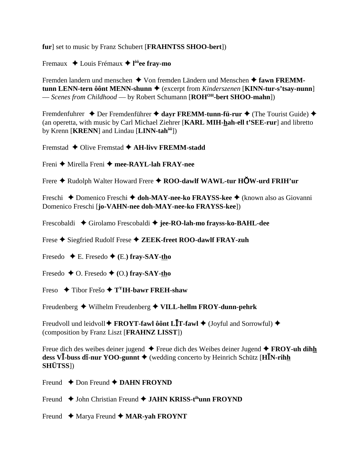fur] set to music by Franz Schubert [FRAHNTSS SHOO-bert])

Fremaux  $\triangleleft$  Louis Frémaux  $\triangleleft$  l<sup>ôô</sup>ee frav-mo

Fremden landern und menschen  $\triangle$  Von fremden Ländern und Menschen  $\triangle$  fawn FREMMtunn LENN-tern ô ônt MENN-shunn  $\triangleq$  (excerpt from *Kinderszenen* [KINN-tur-s'tsay-nunn] - Scenes from Childhood - by Robert Schumann [ROH<sup>OH</sup>-bert SHOO-mahn])

Fremdenfuhrer  $\triangle$  Der Fremdenführer  $\triangle$  dayr FREMM-tunn-fü-rur  $\triangle$  (The Tourist Guide)  $\triangle$ (an operetta, with music by Carl Michael Ziehrer [KARL MIH-hah-ell t'SEE-rur] and libretto by Krenn [KRENN] and Lindau [LINN-tah<sup>ôô</sup>])

Fremstad  $\triangle$  Olive Fremstad  $\triangle$  AH-livy FREMM-stadd

Freni ♦ Mirella Freni ♦ mee-RAYL-lah FRAY-nee

Frere + Rudolph Walter Howard Frere + ROO-dawlf WAWL-tur HOW-urd FRIH'ur

Freschi  $\triangle$  Domenico Freschi  $\triangle$  doh-MAY-nee-ko FRAYSS-kee  $\triangle$  (known also as Giovanni Domenico Freschi [jo-VAHN-nee doh-MAY-nee-ko FRAYSS-kee])

Frescobaldi ◆ Girolamo Frescobaldi ◆ jee-RO-lah-mo frayss-ko-BAHL-dee

Frese ♦ Siegfried Rudolf Frese ♦ ZEEK-freet ROO-dawlf FRAY-zuh

Fresedo  $\blacklozenge$  E. Fresedo  $\blacklozenge$  (E.) fray-SAY-tho

Fresedo  $\blacklozenge$  O. Fresedo  $\blacklozenge$  (O.) fray-SAY-tho

Freso  $\triangle$  Tibor Frešo  $\triangle$  T<sup>Y</sup>IH-hawr FREH-shaw

Freudenberg  $\blacklozenge$  Wilhelm Freudenberg  $\blacklozenge$  VILL-hellm FROY-dunn-pehrk

Freudvoll und leidvoll  $\blacklozenge$  FROYT-fawl ô ont LIT-fawl  $\blacklozenge$  (Joyful and Sorrowful)  $\blacklozenge$ (composition by Franz Liszt [FRAHNZ LISST])

Freue dich des weibes deiner jugend  $\triangle$  Freue dich des Weibes deiner Jugend  $\triangle$  FROY-uh dihh dess VI-buss di-nur YOO-gunnt  $\triangle$  (wedding concerto by Heinrich Schütz [HIN-rihh **SHÜTSS**I)

Freund  $\triangle$  Don Freund  $\triangle$  DAHN FROYND

Freund ◆ John Christian Freund ◆ JAHN KRISS-t<sup>ih</sup>unn FROYND

Freund  $\triangle$  Marya Freund  $\triangle$  MAR-yah FROYNT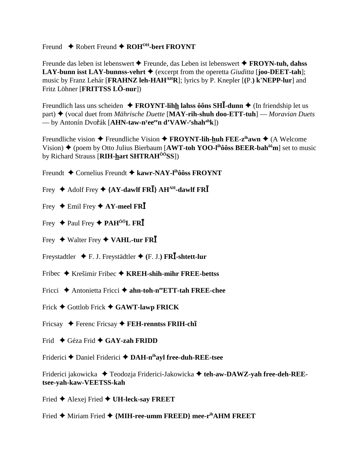## Freund  $\triangle$  Robert Freund  $\triangle$  ROH<sup>OH</sup>-bert FROYNT

Freunde das leben ist lebenswert  $\triangle$  Freunde, das Leben ist lebenswert  $\triangle$  FROYN-tuh, dahss LAY-bunn isst LAY-bunnss-vehrt  $\blacklozenge$  (excerpt from the operetta *Giuditta* [**joo-DEET-tah**]; music by Franz Lehár [FRAHNZ leh-HAH<sup>AH</sup>R]; lyrics by P. Knepler [(P.) k'NEPP-lur] and Fritz Löhner [FRITTSS LÖ-nur])

Freundlich lass uns scheiden  $\triangle$  FROYNT-lihh lahss ôôns SHI-dunn  $\triangle$  (In friendship let us part)  $\blacklozenge$  (vocal duet from *Mährische Duette* [MAY-rih-shuh doo-ETT-tuh] — *Moravian Duets* — by Antonín Dvořák [AHN-taw-n<sup>y</sup>ee<sup>ee</sup>n d'VAW-'shah<sup>ah</sup>k])

Freundliche vision  $\triangle$  Freundliche Vision  $\triangle$  FROYNT-lih-huh FEE-z<sup>ih</sup>awn  $\triangle$  (A Welcome Vision)  $\blacklozenge$  (poem by Otto Julius Bierbaum [AWT-toh YOO-l<sup>ih</sup>ôôss BEER-bah<sup>ôô</sup>m] set to music by Richard Strauss [RIH-hart SHTRAH<sup>00</sup>SS])

- Freundt  $\triangle$  Cornelius Freundt  $\triangle$  kawr-NAY-I<sup>n</sup>ôôss FROYNT
- Frey  $\blacklozenge$  Adolf Frey  $\blacklozenge$  {AY-dawlf FRI} AH<sup>AH</sup>-dawlf FRI
- Frey  $\blacklozenge$  Emil Frey  $\blacklozenge$  AY-meel FRI
- Frey  $\triangle$  Paul Frey  $\triangle$  PAH<sup>ÔÔ</sup>L FR**I**
- Frey  $\blacklozenge$  Walter Frey  $\blacklozenge$  VAHL-tur FRI
- Freystadtler  $\blacklozenge$  F. J. Freystädtler  $\blacklozenge$  (F. J.) FRI-shtett-lur
- Fribec  $\triangle$  Krešimir Fribec  $\triangle$  KREH-shih-mihr FREE-bettss
- Fricci  $\triangle$  Antonietta Fricci  $\triangle$  ahn-toh-n<sup>ee</sup>ETT-tah FREE-chee
- Frick  $\blacklozenge$  Gottlob Frick  $\blacklozenge$  GAWT-lawp FRICK
- Fricsay  $\triangle$  Ferenc Fricsay  $\triangle$  FEH-renntss FRIH-ch1
- Frid  $\triangle$  Géza Frid  $\triangle$  GAY-zah FRIDD

Friderici ♦ Daniel Friderici ♦ DAH-nihayl free-duh-REE-tsee

Friderici jakowicka → Teodozja Friderici-Jakowicka → teh-aw-DAWZ-yah free-deh-REEtsee-yah-kaw-VEETSS-kah

- Fried  $\blacklozenge$  Alexej Fried  $\blacklozenge$  UH-leck-say FREET
- Fried ◆ Miriam Fried ◆ {MIH-ree-umm FREED} mee-r<sup>ih</sup>AHM FREET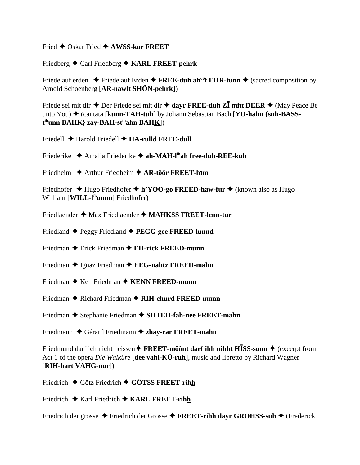Fried  $\bigstar$  Oskar Fried  $\bigstar$  AWSS-kar FREET

Friedberg  $\triangle$  Carl Friedberg  $\triangle$  KARL FREET-pehrk

Friede auf erden  $\blacklozenge$  Friede auf Erden  $\blacklozenge$  FREE-duh ah<sup>oof</sup> EHR-tunn  $\blacklozenge$  (sacred composition by Arnold Schoenberg [AR-nawlt SHÖN-pehrk])

Friede sei mit dir  $\triangle$  Der Friede sei mit dir  $\triangle$  dayr FREE-duh ZI mitt DEER  $\triangle$  (May Peace Be unto You) ◆ (cantata [kunn-TAH-tuh] by Johann Sebastian Bach [YO-hahn {suh-BASS- $\mathbf{t}^{\text{ih}}$ unn BAHK} zay-BAH-s $\mathbf{t}^{\text{ih}}$ ahn BAHK])

- Friedell  $\triangle$  Harold Friedell  $\triangle$  HA-rulld FREE-dull
- Friederike  $\triangle$  Amalia Friederike  $\triangle$  ah-MAH-I<sup>th</sup>ah free-duh-REE-kuh
- Friedheim  $\rightarrow$  Arthur Friedheim  $\rightarrow$  AR-tôôr FREET-him

Friedhofer ◆ Hugo Friedhofer ◆ h'YOO-go FREED-haw-fur ◆ (known also as Hugo William [WILL-l<sup>ih</sup>umm] Friedhofer)

- Friedlaender  $\triangleq$  Max Friedlaender  $\triangleq$  MAHKSS FREET-lenn-tur
- Friedland  $\blacklozenge$  Peggy Friedland  $\blacklozenge$  PEGG-gee FREED-lunnd
- Friedman  $\triangle$  Erick Friedman  $\triangle$  EH-rick FREED-munn
- Friedman  $\triangle$  Ignaz Friedman  $\triangle$  EEG-nahtz FREED-mahn
- Friedman  $\triangle$  Ken Friedman  $\triangle$  KENN FREED-munn
- Friedman  $\triangle$  Richard Friedman  $\triangle$  RIH-churd FREED-munn
- Friedman ◆ Stephanie Friedman ◆ SHTEH-fah-nee FREET-mahn
- Friedmann  $\triangle$  Gérard Friedmann  $\triangle$  zhay-rar FREET-mahn

Friedmund darf ich nicht heissen  $\triangle$  FREET-môônt darf ihh nihht H $\overline{ISS}$ -sunn  $\triangle$  (excerpt from Act 1 of the opera *Die Walküre* [dee vahl-KÜ-ruh], music and libretto by Richard Wagner [RIH-hart VAHG-nur])

Friedrich  $\triangle$  Götz Friedrich  $\triangle$  GÖTSS FREET-rihh

Friedrich  $\triangle$  Karl Friedrich  $\triangle$  KARL FREET-rihh

Friedrich der grosse  $\triangle$  Friedrich der Grosse  $\triangle$  FREET-rihh dayr GROHSS-suh  $\triangle$  (Frederick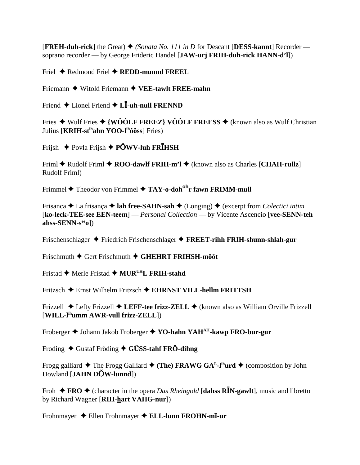**[FREH-duh-rick]** the Great)  $\blacklozenge$  (*Sonata No. 111 in D* for Descant [DESS-kannt] Recorder soprano recorder — by George Frideric Handel [JAW-urj FRIH-duh-rick HANN-d'l])

Friel  $\blacklozenge$  Redmond Friel  $\blacklozenge$  REDD-munnd FREEL

Friemann  $\blacklozenge$  Witold Friemann  $\blacklozenge$  VEE-tawlt FREE-mahn

Friend  $\triangle$  Lionel Friend  $\triangle$  L**I**-uh-null FRENND

Fries  $\triangleq$  Wulf Fries  $\triangleq$  {WÔÔLF FREEZ} VÔÔLF FREESS  $\triangleq$  (known also as Wulf Christian Julius [KRIH-stihahn YOO-lihôôss] Fries)

Frijsh  $\triangle$  Povla Frijsh  $\triangle$  POWV-luh FRIHSH

Friml  $\triangle$  Rudolf Friml  $\triangle$  ROO-dawlf FRIH-m'l  $\triangle$  (known also as Charles [CHAH-rullz] Rudolf Friml)

Frimmel  $\triangle$  Theodor von Frimmel  $\triangle$  TAY-o-doh<sup>oh</sup>r fawn FRIMM-mull

Frisanca  $\triangle$  La frisanca  $\triangle$  lah free-SAHN-sah  $\triangle$  (Longing)  $\triangle$  (excerpt from Colectici intim [ko-leck-TEE-see EEN-teem] — *Personal Collection* — by Vicente Ascencio [vee-SENN-teh]  $\mathbf{a}$ hss-SENN-s<sup>ee</sup>o])

Frischenschlager  $\triangle$  Friedrich Frischenschlager  $\triangle$  FREET-rihh FRIH-shunn-shlah-gur

Frischmuth  $\blacklozenge$  Gert Frischmuth  $\blacklozenge$  GHEHRT FRIHSH-môôt

Fristad ◆ Merle Fristad ◆ MUR<sup>UH</sup>L FRIH-stahd

Fritzsch  $\triangle$  Ernst Wilhelm Fritzsch  $\triangle$  EHRNST VILL-hellm FRITTSH

Frizzell  $\triangle$  Lefty Frizzell  $\triangle$  LEFF-tee frizz-ZELL  $\triangle$  (known also as William Orville Frizzell  $[WILL-l<sup>ih</sup>umm AWR$ -vull frizz-ZELL $]$ 

Froberger  $\triangle$  Johann Jakob Froberger  $\triangle$  YO-hahn YAH<sup>AH</sup>-kawp FRO-bur-gur

Froding  $\triangle$  Gustaf Fröding  $\triangle$  GÜSS-tahf FRÖ-dihng

Frogg galliard  $\triangle$  The Frogg Galliard  $\triangle$  (The) FRAWG GA<sup>L</sup>-l<sup>ih</sup>urd  $\triangle$  (composition by John Dowland [JAHN DOW-lunnd])

Froh  $\triangle$  FRO  $\triangle$  (character in the opera *Das Rheingold* [dahs RIN-gawlt], music and libretto by Richard Wagner [RIH-hart VAHG-nur])

Frohnmayer  $\triangleleft$  Ellen Frohnmayer  $\triangleleft$  ELL-lunn FROHN-mI-ur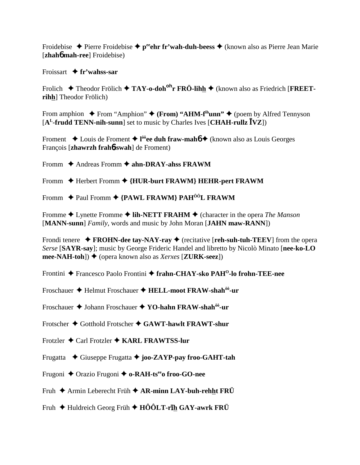Froidebise  $\triangle$  Pierre Froidebise  $\triangle$  p<sup>ee</sup>chr fr'wah-duh-beess  $\triangle$  (known also as Pierre Jean Marie [zhah**ó** mah-ree] Froidebise)

### Froissart  $\triangle$  fr'wahss-sar

Frolich  $\triangle$  Theodor Frölich  $\triangle$  TAY-o-doh<sup>oh</sup>r FRÖ-lihh  $\triangle$  (known also as Friedrich [FREETrihh] Theodor Frölich)

From amphion  $\bullet$  From "Amphion"  $\bullet$  (From) "AHM-f<sup>th</sup>unn"  $\bullet$  (poem by Alfred Tennyson  $[A<sup>L</sup>-frudd TENN-nih-sum]$  set to music by Charles Ives [CHAH-rullz  $\bar{I}VZ$ ])

Froment  $\triangle$  Louis de Froment  $\triangle$  l<sup>ôô</sup>ee duh fraw-mah  $\triangle$  (known also as Louis Georges François [zhawrzh fraho-swah] de Froment)

- Fromm  $\triangle$  Andreas Fromm  $\triangle$  ahn-DRAY-ahss FRAWM
- Fromm ♦ Herbert Fromm ♦ {HUR-burt FRAWM} HEHR-pert FRAWM
- Fromm ◆ Paul Fromm ◆ {PAWL FRAWM} PAH<sup>ôô</sup>L FRAWM

Fromme  $\triangle$  Lynette Fromme  $\triangle$  lih-NETT FRAHM  $\triangle$  (character in the opera *The Manson* [MANN-sunn] Family, words and music by John Moran [JAHN maw-RANN])

Frondit enere  $\rightarrow$  FROHN-dee tay-NAY-ray  $\rightarrow$  (recitative [reh-suh-tuh-TEEV] from the opera Serse [SAYR-say]; music by George Frideric Handel and libretto by Nicolò Minato [nee-ko-LO] mee-NAH-toh])  $\blacklozenge$  (opera known also as *Xerxes* [**ZURK-seez**])

- Frontini ◆ Francesco Paolo Frontini ◆ frahn-CHAY-sko PAH<sup>O</sup>-lo frohn-TEE-nee
- Froschauer ♦ Helmut Froschauer ♦ HELL-moot FRAW-shah<sup>ôô</sup>-ur

Froschauer ♦ Johann Froschauer ♦ YO-hahn FRAW-shah<sup>ôô</sup>-ur

Frotscher  $\triangle$  Gotthold Frotscher  $\triangle$  GAWT-hawlt FRAWT-shur

- Frotzler  $\triangle$  Carl Frotzler  $\triangle$  KARL FRAWTSS-lur
- Frugatta  $\blacklozenge$  Giuseppe Frugatta  $\blacklozenge$  joo-ZAYP-pay froo-GAHT-tah
- Frugoni ◆ Orazio Frugoni ◆ o-RAH-tsee froo-GO-nee
- Fruh  $\triangle$  Armin Leberecht Früh  $\triangle$  AR-minn LAY-buh-rehht FRÜ
- Fruh  $\triangle$  Huldreich Georg Früh  $\triangle$  HÔÔLT-rih GAY-awrk FRÜ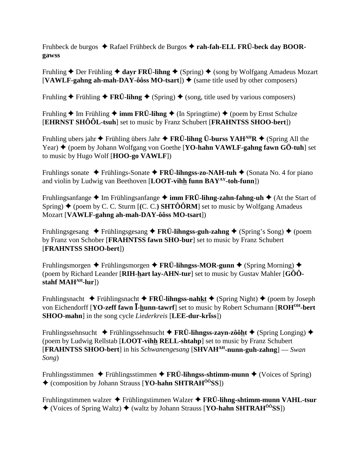Fruhbeck de burgos  $\triangle$  Rafael Frühbeck de Burgos  $\triangle$  rah-fah-ELL FRÜ-beck day BOOR**gawss**

Fruhling  $\triangle$  Der Frühling  $\triangle$  dayr FRÜ-lihng  $\triangle$  (Spring)  $\triangle$  (song by Wolfgang Amadeus Mozart  $[VAWLF-gahng ah-mah-DAY-ôôss MO-tsart]$   $\blacklozenge$  (same title used by other composers)

Fruhling  $\blacklozenge$  Frühling  $\blacklozenge$  **FRÜ-lihng**  $\blacklozenge$  (Spring)  $\blacklozenge$  (song, title used by various composers)

Fruhling  $\triangle$  Im Frühling  $\triangle$  **imm FRÜ-lihng**  $\triangle$  (In Springtime)  $\triangle$  (poem by Ernst Schulze [**EHRNST SHÔÔL-tsuh**] set to music by Franz Schubert [**FRAHNTSS SHOO-bert**])

Fruhling ubers jahr  $\blacklozenge$  Frühling übers Jahr  $\blacklozenge$  **FRÜ-lihng Ü-burss YAH**<sup>AH</sup>**R**  $\blacklozenge$  (Spring All the Year)  $\triangle$  (poem by Johann Wolfgang von Goethe [YO-hahn VAWLF-gahng fawn GÖ-tuh] set to music by Hugo Wolf [**HOO-go VAWLF**])

Fruhlings sonate **→** Frühlings-Sonate → **FRÜ-lihngss-zo-NAH-tuh** → (Sonata No. 4 for piano and violin by Ludwig van Beethoven [**LOOT-vihh funn BAYAY-toh-funn**])

Fruhlingsanfange **→** Im Frühlingsanfange → **imm FRÜ-lihng-zahn-fahng-uh** → (At the Start of Spring)  $\blacklozenge$  (poem by C. C. Sturm [(C. C.) **SHTÔÔRM**] set to music by Wolfgang Amadeus Mozart [**VAWLF-gahng ah-mah-DAY-ôôss MO-tsart**])

Fruhlingsgesang  $\rightarrow$  Frühlingsgesang  $\rightarrow$  **FRÜ-lihngss-guh-zahng**  $\rightarrow$  (Spring's Song)  $\rightarrow$  (poem by Franz von Schober [**FRAHNTSS fawn SHO-bur**] set to music by Franz Schubert [**FRAHNTSS SHOO-bert**])

Fruhlingsmorgen **→** Frühlingsmorgen → FRÜ-lihngss-MOR-gunn → (Spring Morning) → (poem by Richard Leander [**RIH-hart lay-AHN-tur**] set to music by Gustav Mahler [**GÔÔstahf MAHAH-lur**])

Fruhlingsnacht  $\blacklozenge$  Frühlingsnacht  $\blacklozenge$  **FRÜ-lihngss-nahkt**  $\blacklozenge$  (Spring Night)  $\blacklozenge$  (poem by Joseph von Eichendorff [**YO-zeff fawn <sup>***I***-hunn-tawrf**] set to music by Robert Schumann [**ROH<sup>OH</sup>-bert**]</sup> **SHOO-mahn**] in the song cycle *Liederkreis* [LEE-dur-kr**iss**])

Fruhlingssehnsucht **→** Frühlingssehnsucht → FRÜ-lihngss-zayn-zôôht → (Spring Longing) → (poem by Ludwig Rellstab [**LOOT-vihh RELL-shtahp**] set to music by Franz Schubert [**FRAHNTSS SHOO-bert**] in his *Schwanengesang* [**SHVAHAH-nunn-guh-zahng**] — *Swan Song*)

Fruhlingsstimmen  $\blacklozenge$  Frühlingsstimmen  $\blacklozenge$  **FRÜ-lihngss-shtimm-munn**  $\blacklozenge$  (Voices of Spring) (composition by Johann Strauss [**YO-hahn SHTRAHÔÔSS**])

Fruhlingstimmen walzer Frühlingstimmen Walzer **FRÜ-lihng-shtimm-munn VAHL-tsur**  $\triangle$  (Voices of Spring Waltz)  $\triangle$  (waltz by Johann Strauss [**YO-hahn SHTRAH<sup>ôÔ</sup>SS**])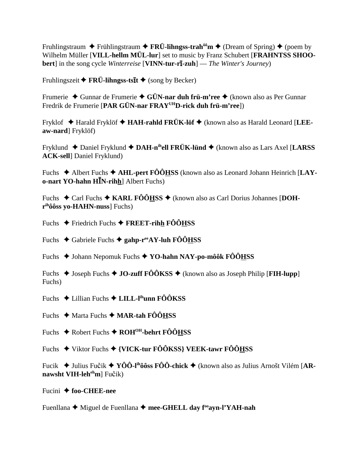Fruhlingstraum  $\triangle$  Frühlingstraum  $\triangle$  FRÜ-lihngss-trah<sup> $\hat{\theta}$ om  $\triangle$  (Dream of Spring)  $\triangle$  (poem by</sup> Wilhelm Müller [VILL-hellm MÜL-lur] set to music by Franz Schubert [FRAHNTSS SHOO**bert**] in the song cycle *Winterreise* [VINN-tur-r $\overline{\textbf{1}}$ -zuh] — *The Winter's Journey*)

Fruhlingszeit  $\blacklozenge$  FRÜ-lihngss-ts $\bar{\imath}$ t  $\blacklozenge$  (song by Becker)

Frumerie  $\triangle$  Gunnar de Frumerie  $\triangle$  GÜN-nar duh frü-m'ree  $\triangle$  (known also as Per Gunnar Fredrik de Frumerie [PAR GÜN-nar FRAY<sup>UH</sup>D-rick duh frü-m'ree])

Fryklof  $\triangle$  Harald Fryklöf  $\triangle$  HAH-rahld FRÜK-löf  $\triangle$  (known also as Harald Leonard [LEEaw-nard] Fryklöf)

Fryklund ◆ Daniel Fryklund ◆ DAH-n<sup>ih</sup>ell FRÜK-lünd ◆ (known also as Lars Axel [LARSS] **ACK-sell** Daniel Fryklund)

Fuchs  $\triangle$  Albert Fuchs  $\triangle$  AHL-pert FOOHSS (known also as Leonard Johann Heinrich [LAY**o-nart YO-hahn H** $\bar{I}$ **N-rihh**] Albert Fuchs)

Fuchs  $\triangle$  Carl Fuchs  $\triangle$  KARL FÔÔHSS  $\triangle$  (known also as Carl Dorius Johannes [DOH- $\mathbf{r}^{\text{ih}}$ ôôss vo-HAHN-nuss] Fuchs)

Fuchs  $\triangle$  Friedrich Fuchs  $\triangle$  FREET-rihh FÔÔHSS

Fuchs  $\triangle$  Gabriele Fuchs  $\triangle$  gahp-r<sup>ee</sup>AY-luh FÔÔHSS

Fuchs  $\triangle$  Johann Nepomuk Fuchs  $\triangle$  YO-hahn NAY-po-môôk FÔÔHSS

Fuchs  $\triangle$  Joseph Fuchs  $\triangle$  JO-zuff FÔÔKSS  $\triangle$  (known also as Joseph Philip [FIH-lupp] Fuchs)

Fuchs  $\triangle$  Lillian Fuchs  $\triangle$  LILL-l<sup>ih</sup>unn FÔÔKSS

Fuchs  $\triangleleft$  Marta Fuchs  $\triangleleft$  MAR-tah FOOHSS

Fuchs  $\triangle$  Robert Fuchs  $\triangle$  ROH<sup>OH</sup>-behrt FÔÔHSS

Fuchs  $\blacklozenge$  Viktor Fuchs  $\blacklozenge$  {VICK-tur FÔÔKSS} VEEK-tawr FÔÔHSS

Fucik  $\blacklozenge$  Julius Fučik  $\blacklozenge$  YÔÔ-l<sup>ih</sup>ôôss FÔÔ-chick  $\blacklozenge$  (known also as Julius Arnošt Vilém [ARnawsht VIH-leh<sup>eh</sup>m] Fučik)

Fucini  $\triangle$  foo-CHEE-nee

Fuenllana ◆ Miguel de Fuenllana ◆ mee-GHELL day f<sup>oo</sup>ayn-l'YAH-nah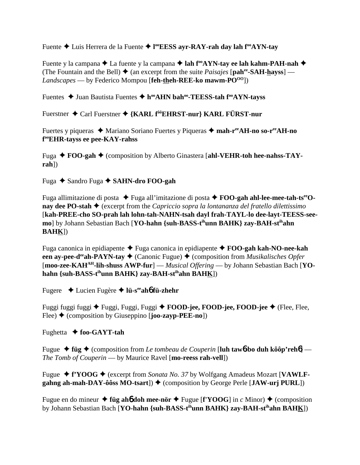Fuente Luis Herrera de la Fuente **l ooEESS ayr-RAY-rah day lah fooAYN-tay**

Fuente y la campana **→** La fuente y la campana **→ lah f<sup>oo</sup>AYN-tay ee lah kahm-PAH-nah →** (The Fountain and the Bell)  $\triangle$  (an excerpt from the suite *Paisajes* [pah<sup>ee</sup>-SAH-hayss] — *Landscapes* — by Federico Mompou [**feh-theh-REE-ko mawm-PO**<sup>00</sup>])

Fuentes ◆ Juan Bautista Fuentes ◆ h<sup>oo</sup>AHN bah<sup>oo</sup>-TEESS-tah f<sup>oo</sup>AYN-tayss

Fuerstner Carl Fuerstner **{KARL fôôEHRST-nur} KARL FÜRST-nur**

Fuertes y piqueras **→** Mariano Soriano Fuertes y Piqueras → mah-r<sup>ee</sup>AH-no so-r<sup>ee</sup>AH-no **f ooEHR-tayss ee pee-KAY-rahss**

Fuga **→ FOO-gah →** (composition by Alberto Ginastera [ahl-VEHR-toh hee-nahss-TAY**rah**])

Fuga **→** Sandro Fuga **→ SAHN-dro FOO-gah** 

Fuga allimitazione di posta ◆ Fuga all'imitazione di posta ◆ **FOO-gah ahl-lee-mee-tah-ts<sup>ee</sup>Onay dee PO-stah ♦** (excerpt from the *Capriccio sopra la lontananza del fratello dilettissimo* [**kah-PREE-cho SO-prah lah lohn-tah-NAHN-tsah dayl frah-TAYL-lo dee-layt-TEESS-seemo**] by Johann Sebastian Bach [**YO-hahn {suh-BASS-tihunn BAHK} zay-BAH-stihahn BAHK**])

Fuga canonica in epidiapente Fuga canonica in epidiapente **FOO-gah kah-NO-nee-kah een av-pee-d<sup>ee</sup>ah-PAYN-tay**  $\triangleleft$  (Canonic Fugue)  $\triangleleft$  (composition from *Musikalisches Opfer* [**moo-zee-KAHAH-lih-shuss AWP-fur**] — *Musical Offering* — by Johann Sebastian Bach [**YOhahn {suh-BASS-tihunn BAHK} zay-BAH-stihahn BAHK**])

Fugere Lucien Fugère **lü-seeah**6 **fü-zhehr**

Fuggi fuggi fuggi Fuggi, Fuggi, Fuggi **FOOD-jee, FOOD-jee, FOOD-jee** (Flee, Flee, Flee) (composition by Giuseppino [**joo-zayp-PEE-no**])

Fughetta  **foo-GAYT-tah**

Fugue **füg** (composition from *Le tombeau de Couperin* [**luh taw**6**-bo duh kôôp'reh**6] — *The Tomb of Couperin* — by Maurice Ravel [**mo-reess rah-vell**])

Fugue ◆ f'YOOG ◆ (excerpt from *Sonata No. 37* by Wolfgang Amadeus Mozart [VAWLFgahng ah-mah-DAY-ôôss MO-tsart])  $\blacklozenge$  (composition by George Perle [JAW-urj PURL])

Fugue en do mineur  $\triangle$  füg ah**6** doh mee-nör  $\triangle$  Fugue [f'YOOG] in *c* Minor)  $\triangle$  (composition by Johann Sebastian Bach [**YO-hahn {suh-BASS-tihunn BAHK} zay-BAH-stihahn BAHK**])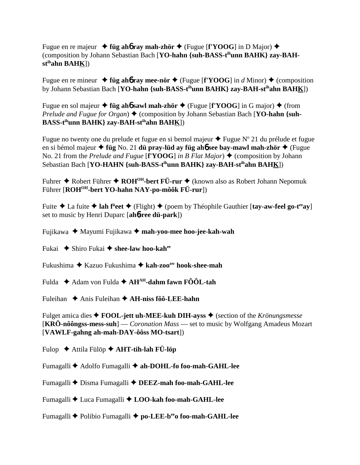Fugue en re majeur  $\triangleleft$  **füg ah<sub>6</sub>** ray mah-zhör  $\triangleleft$  (Fugue [**f'YOOG**] in D Major)  $\triangleleft$ (composition by Johann Sebastian Bach [**YO-hahn {suh-BASS-tihunn BAHK} zay-BAHstihahn BAHK**])

Fugue en re mineur  $\triangleleft$  füg ah**6** ray mee-nör  $\triangleleft$  (Fugue [f'YOOG] in *d* Minor)  $\triangleleft$  (composition by Johann Sebastian Bach [**YO-hahn {suh-BASS-tihunn BAHK} zay-BAH-stihahn BAHK**])

Fugue en sol majeur  $\triangle$  **füg ahó sawl mah-zhör**  $\triangle$  (Fugue [**f'YOOG**] in G major)  $\triangle$  (from *Prelude and Fugue for Organ*)  $\triangle$  (composition by Johann Sebastian Bach [**YO-hahn** {suh-**BASS-tihunn BAHK} zay-BAH-stihahn BAHK**])

Fugue no twenty one du prelude et fugue en si bemol majeur  $\triangle$  Fugue N° 21 du prélude et fugue en si bémol majeur **füg** No. 21 **dü pray-lüd ay füg ah**6 **see bay-mawl mah-zhör** (Fugue No. 21 from the *Prelude and Fugue* [**f'YOOG**] *in B Flat Major*)  $\triangle$  (composition by Johann Sebastian Bach [**YO-HAHN {suh-BASS-tihunn BAHK} zay-BAH-stihahn BAHK**])

Fuhrer ◆ Robert Führer ◆ ROH<sup>OH</sup>-bert FÜ-rur ◆ (known also as Robert Johann Nepomuk Führer [ROH<sup>OH</sup>-bert YO-hahn NAY-po-môôk FÜ-rur])

Fuite ◆ La fuite ◆ lah f<sup>ü</sup>eet ◆ (Flight) ◆ (poem by Théophile Gauthier [tay-aw-feel go-t<sup>ee</sup>ay] set to music by Henri Duparc [**ah**6**-ree dü-park**])

Fujikawa Mayumi Fujikawa **mah-yoo-mee hoo-jee-kah-wah**

Fukai ◆ Shiro Fukai ◆ shee-law hoo-kah<sup>ee</sup>

Fukushima Kazuo Fukushima **kah-zooaw hook-shee-mah**

Fulda  $\triangle$  Adam von Fulda  $\triangle$  AH<sup>AH</sup>-dahm fawn FÔÔL-tah

Fuleihan **→** Anis Fuleihan → **AH-niss fôô-LEE-hahn** 

Fulget amica dies **FOOL-jett uh-MEE-kuh DIH-ayss** (section of the *Krönungsmesse* [**KRÖ-nôôngss-mess-suh**] — *Coronation Mass* — set to music by Wolfgang Amadeus Mozart [**VAWLF-gahng ah-mah-DAY-ôôss MO-tsart**])

Fulop Attila Fülöp **AHT-tih-lah FÜ-löp**

Fumagalli **←** Adolfo Fumagalli ← ah-DOHL-fo foo-mah-GAHL-lee

Fumagalli ◆ Disma Fumagalli ◆ DEEZ-mah foo-mah-GAHL-lee

Fumagalli Luca Fumagalli  **LOO-kah foo-mah-GAHL-lee**

Fumagalli ◆ Polibio Fumagalli ◆ po-LEE-beeo foo-mah-GAHL-lee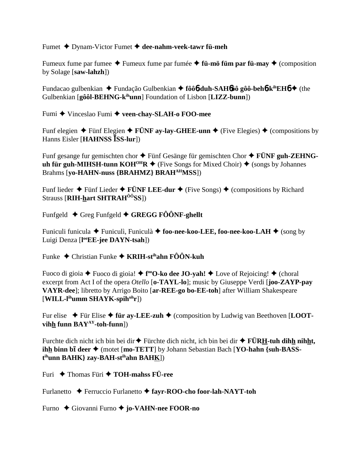Fumet Dynam-Victor Fumet **dee-nahm-veek-tawr fü-meh**

Fumeux fume par fumee  $\triangle$  Fumeux fume par fumée  $\triangle$  fü-mö füm par fü-may  $\triangle$  (composition by Solage [**saw-lahzh**])

Fundacao gulbenkian ◆ Fundação Gulbenkian ◆ fôô**6-duh-SAH6**ôô gôô-beh6-k<sup>ih</sup>EH6 ◆ (the Gulbenkian [**gôôl-BEHNG-kihunn**] Foundation of Lisbon [**LIZZ-bunn**])

Fumi ◆ Vinceslao Fumi ◆ veen-chay-SLAH-o FOO-mee

Funf elegien  $\blacklozenge$  Fünf Elegien  $\blacklozenge$  FÜNF ay-lay-GHEE-unn  $\blacklozenge$  (Five Elegies)  $\blacklozenge$  (compositions by Hanns Eisler [**HAHNSS SS-lur**])

Funf gesange fur gemischten chor **→** Fünf Gesänge für gemischten Chor **→ FÜNF guh-ZEHNGuh für guh-MIHSH-tunn KOH<sup>OH</sup>R**  $\blacklozenge$  (Five Songs for Mixed Choir)  $\blacklozenge$  (songs by Johannes Brahms [**yo-HAHN-nuss {BRAHMZ} BRAHAHMSS**])

Funf lieder  $\blacklozenge$  Fünf Lieder  $\blacklozenge$  **FÜNF LEE-dur**  $\blacklozenge$  (Five Songs)  $\blacklozenge$  (compositions by Richard Strauss [**RIH-hart SHTRAHÔÔSS**])

Funfgeld  $\blacklozenge$  Greg Funfgeld  $\blacklozenge$  GREGG FÔÔNF-ghellt

Funiculi funicula ◆ Funiculì, Funiculà ◆ foo-nee-koo-LEE, foo-nee-koo-LAH ◆ (song by Luigi Denza [**l ooEE-jee DAYN-tsah**])

Funke Christian Funke **KRIH-stihahn FÔÔN-kuh**

Fuoco di gioia ♦ Fuoco di gioia! ♦ f<sup>oo</sup>**O-ko dee JO-yah!** ♦ Love of Rejoicing! ♦ (choral excerpt from Act I of the opera *Otello* [**o-TAYL-lo**]; music by Giuseppe Verdi [**joo-ZAYP-pay VAYR-dee**]; libretto by Arrigo Boito [**ar-REE-go bo-EE-toh**] after William Shakespeare [**WILL-lihumm SHAYK-spihuhr**])

Fur elise  $\blacklozenge$  Für Elise  $\blacklozenge$  für ay-LEE-zuh  $\blacklozenge$  (composition by Ludwig van Beethoven [LOOT**vihh funn BAYAY-toh-funn**])

Furchte dich nicht ich bin bei dir **◆** Fürchte dich nicht, ich bin bei dir ◆ **FÜRH-tuh dih<u>h</u> nihht**, **ihh binn bī deer ◆** (motet [**mo-TETT**] by Johann Sebastian Bach [**YO-hahn {suh-BASSt ihunn BAHK} zay-BAH-stihahn BAHK**])

Furi **← Thomas Füri ← TOH-mahss FÜ-ree** 

Furlanetto Ferruccio Furlanetto **fayr-ROO-cho foor-lah-NAYT-toh**

Furno Giovanni Furno **jo-VAHN-nee FOOR-no**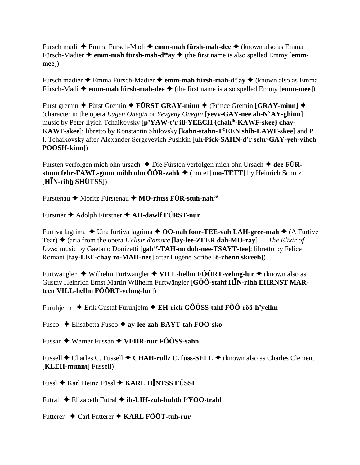Fursch madi Emma Fürsch-Madi **emm-mah fürsh-mah-dee** (known also as Emma Fürsch-Madier  $\triangle$  **emm-mah fürsh-mah-d<sup>ee</sup>av**  $\triangle$  (the first name is also spelled Emmy [**emmmee**])

Fursch madier ◆ Emma Fürsch-Madier ◆ **emm-mah fürsh-mah-d<sup>ee</sup>ay ◆** (known also as Emma Fürsch-Madi **→ emm-mah fürsh-mah-dee** ◆ (the first name is also spelled Emmy [**emm-mee**])

Furst gremin ◆ Fürst Gremin ◆ FÜRST GRAY-minn ◆ (Prince Gremin [GRAY-minn] ◆ (character in the opera *Eugen Onegin* or *Yevgeny Onegin* [**yevv-GAY-nee ah-NYAY-ghinn**]; music by Peter Ilyich Tchaikovsky [**p'YAW-t'r ill-YEECH {chahih-KAWF-skee} chay-KAWF-skee**]; libretto by Konstantin Shilovsky [**kahn-stahn-TYEEN shih-LAWF-skee**] and P. I. Tchaikovsky after Alexander Sergeyevich Pushkin [**uh-ly ick-SAHN-d'r sehr-GAY-yeh-vihch POOSH-kinn**])

Fursten verfolgen mich ohn ursach ◆ Die Fürsten verfolgen mich ohn Ursach ◆ dee FÜR**stunn fehr-FAWL-gunn mihh ohn**  $\hat{O}$ **OR-zahk**  $\blacklozenge$  (motet [**mo-TETT**] by Heinrich Schütz [**HN-rihh SHÜTSS**])

Furstenau **→** Moritz Fürstenau → MO-rittss FÜR-stuh-nah<sup>ôô</sup>

Furstner Adolph Fürstner **AH-dawlf FÜRST-nur**

Furtiva lagrima ◆ Una furtiva lagrima ◆ **OO-nah foor-TEE-vah LAH-gree-mah** ◆ (A Furtive Tear)  $\triangle$  (aria from the opera *L'elisir d'amore* [**lay-lee-ZEER dah-MO-ray**] — *The Elixir of Love*; music by Gaetano Donizetti [gah<sup>ay</sup>-TAH-no doh-nee-TSAYT-tee]; libretto by Felice Romani [**fay-LEE-chay ro-MAH-nee**] after Eugène Scribe [**ö-zhenn skreeb**])

Furtwangler ◆ Wilhelm Furtwängler ◆ **VILL-hellm FÔÔRT-vehng-lur** ◆ (known also as Gustav Heinrich Ernst Martin Wilhelm Furtwängler [**GÔÔ-stahf HN-rihh EHRNST MARteen VILL-hellm FÔÔRT-vehng-lur**])

Furuhjelm  $\div$  Erik Gustaf Furuhjelm  $\div$  **EH-rick GÔÔSS-tahf FÔÔ-rôô-h'vellm** 

Fusco Elisabetta Fusco **ay-lee-zah-BAYT-tah FOO-sko**

Fussan Werner Fussan **VEHR-nur FÔÔSS-sahn**

Fussell **←** Charles C. Fussell ← CHAH-rullz C. fuss-SELL ← (known also as Charles Clement [**KLEH-munnt**] Fussell)

Fussl Karl Heinz Füssl **KARL HNTSS FÜSSL**

Futral ◆ Elizabeth Futral ◆ **ih-LIH-zuh-buhth f'YOO-trahl** 

Futterer Carl Futterer **KARL FÔÔT-tuh-rur**